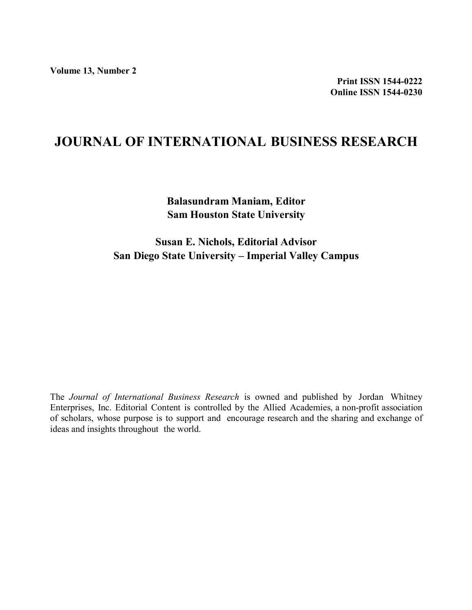### **JOURNAL OF INTERNATIONAL BUSINESS RESEARCH**

**Balasundram Maniam, Editor Sam Houston State University**

**Susan E. Nichols, Editorial Advisor San Diego State University – Imperial Valley Campus**

The *Journal of International Business Research* is owned and published by Jordan Whitney Enterprises, Inc. Editorial Content is controlled by the Allied Academies, a non-profit association of scholars, whose purpose is to support and encourage research and the sharing and exchange of ideas and insights throughout the world.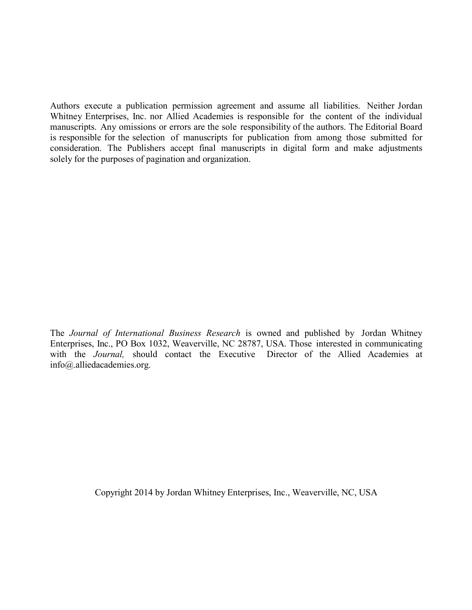Authors execute a publication permission agreement and assume all liabilities. Neither Jordan Whitney Enterprises, Inc. nor Allied Academies is responsible for the content of the individual manuscripts. Any omissions or errors are the sole responsibility of the authors. The Editorial Board is responsible for the selection of manuscripts for publication from among those submitted for consideration. The Publishers accept final manuscripts in digital form and make adjustments solely for the purposes of pagination and organization.

The *Journal of International Business Research* is owned and published by Jordan Whitney Enterprises, Inc., PO Box 1032, Weaverville, NC 28787, USA. Those interested in communicating with the *Journal,* should contact the Executive Director of the Allied Academies at info@.alliedacademies.org.

Copyright 2014 by Jordan Whitney Enterprises, Inc., Weaverville, NC, USA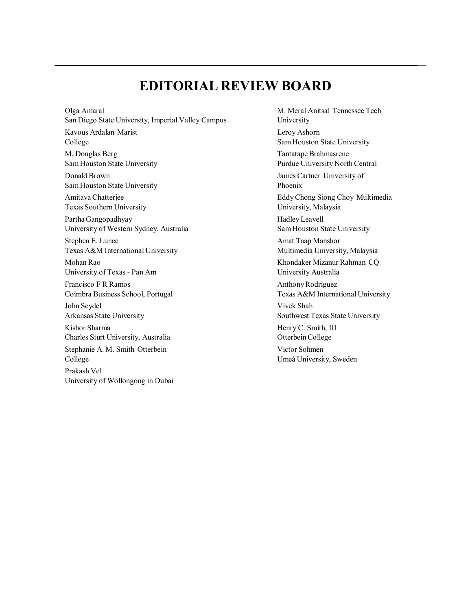### **EDITORIAL REVIEW BOARD**

Olga Amaral San Diego State University, Imperial Valley Campus Kavous Ardalan Marist College M. Douglas Berg Sam Houston State University Donald Brown Sam Houston State University Amitava Chatterjee Texas Southern University Partha Gangopadhyay University of Western Sydney, Australia Stephen E. Lunce Texas A&M International University Mohan Rao University of Texas - Pan Am Francisco F R Ramos Coimbra Business School, Portugal John Seydel Arkansas State University Kishor Sharma Charles Sturt University, Australia Stephanie A. M. Smith Otterbein College Prakash Vel University of Wollongong in Dubai

M. Meral Anitsal Tennessee Tech University Leroy Ashorn Sam Houston State University Tantatape Brahmasrene Purdue University North Central James Cartner University of Phoenix Eddy Chong Siong Choy Multimedia University, Malaysia Hadley Leavell Sam Houston State University Amat Taap Manshor Multimedia University, Malaysia Khondaker Mizanur Rahman CQ University Australia Anthony Rodriguez Texas A&M International University Vivek Shah Southwest Texas State University Henry C. Smith, III Otterbein College Victor Sohmen Umeå University, Sweden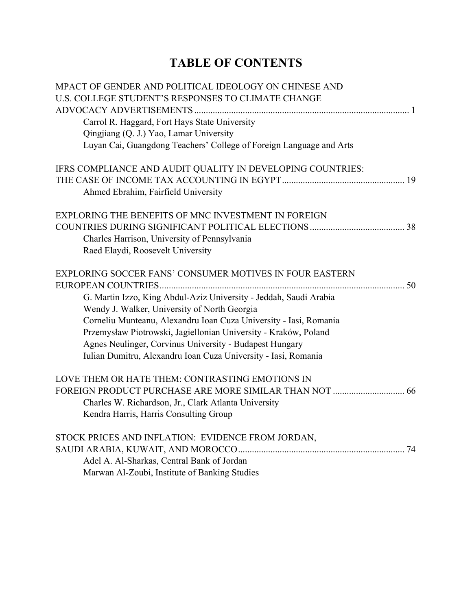# **7ABLE OF CONTENTS**

| MPACT OF GENDER AND POLITICAL IDEOLOGY ON CHINESE AND                                                             |  |
|-------------------------------------------------------------------------------------------------------------------|--|
| U.S. COLLEGE STUDENT'S RESPONSES TO CLIMATE CHANGE                                                                |  |
|                                                                                                                   |  |
| Carrol R. Haggard, Fort Hays State University                                                                     |  |
| Qingjiang (Q. J.) Yao, Lamar University                                                                           |  |
| Luyan Cai, Guangdong Teachers' College of Foreign Language and Arts                                               |  |
| IFRS COMPLIANCE AND AUDIT QUALITY IN DEVELOPING COUNTRIES:                                                        |  |
|                                                                                                                   |  |
| Ahmed Ebrahim, Fairfield University                                                                               |  |
| EXPLORING THE BENEFITS OF MNC INVESTMENT IN FOREIGN                                                               |  |
|                                                                                                                   |  |
| Charles Harrison, University of Pennsylvania                                                                      |  |
| Raed Elaydi, Roosevelt University                                                                                 |  |
| <b>EXPLORING SOCCER FANS' CONSUMER MOTIVES IN FOUR EASTERN</b>                                                    |  |
|                                                                                                                   |  |
| G. Martin Izzo, King Abdul-Aziz University - Jeddah, Saudi Arabia<br>Wendy J. Walker, University of North Georgia |  |
| Corneliu Munteanu, Alexandru Ioan Cuza University - Iasi, Romania                                                 |  |
| Przemysław Piotrowski, Jagiellonian University - Kraków, Poland                                                   |  |
| Agnes Neulinger, Corvinus University - Budapest Hungary                                                           |  |
| Iulian Dumitru, Alexandru Ioan Cuza University - Iasi, Romania                                                    |  |
| LOVE THEM OR HATE THEM: CONTRASTING EMOTIONS IN                                                                   |  |
|                                                                                                                   |  |
| Charles W. Richardson, Jr., Clark Atlanta University                                                              |  |
| Kendra Harris, Harris Consulting Group                                                                            |  |
| STOCK PRICES AND INFLATION: EVIDENCE FROM JORDAN,                                                                 |  |
|                                                                                                                   |  |
| Adel A. Al-Sharkas, Central Bank of Jordan                                                                        |  |
| Marwan Al-Zoubi, Institute of Banking Studies                                                                     |  |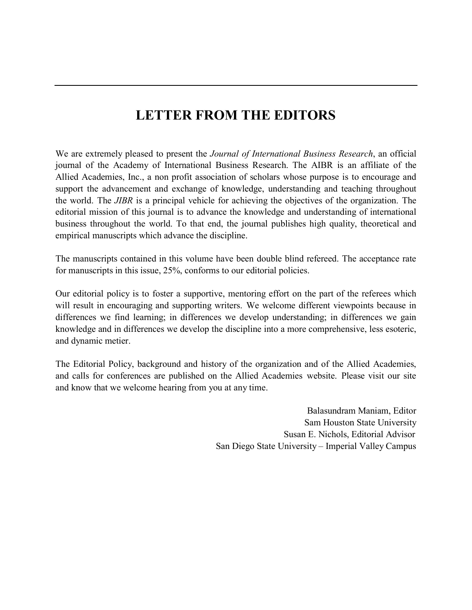## **LETTER FROM THE EDITORS**

We are extremely pleased to present the *Journal of International Business Research*, an official journal of the Academy of International Business Research. The AIBR is an affiliate of the Allied Academies, Inc., a non profit association of scholars whose purpose is to encourage and support the advancement and exchange of knowledge, understanding and teaching throughout the world. The *JIBR* is a principal vehicle for achieving the objectives of the organization. The editorial mission of this journal is to advance the knowledge and understanding of international business throughout the world. To that end, the journal publishes high quality, theoretical and empirical manuscripts which advance the discipline.

The manuscripts contained in this volume have been double blind refereed. The acceptance rate for manuscripts in this issue, 25%, conforms to our editorial policies.

Our editorial policy is to foster a supportive, mentoring effort on the part of the referees which will result in encouraging and supporting writers. We welcome different viewpoints because in differences we find learning; in differences we develop understanding; in differences we gain knowledge and in differences we develop the discipline into a more comprehensive, less esoteric, and dynamic metier.

The Editorial Policy, background and history of the organization and of the Allied Academies, and calls for conferences are published on the Allied Academies website. Please visit our site and know that we welcome hearing from you at any time.

> Balasundram Maniam, Editor Sam Houston State University Susan E. Nichols, Editorial Advisor San Diego State University – Imperial Valley Campus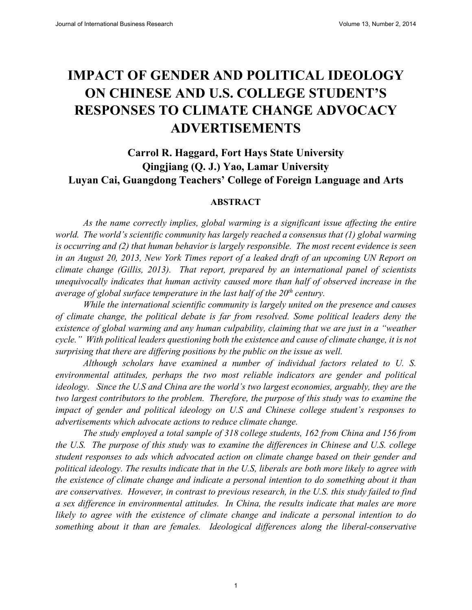# **IMPACT OF GENDER AND POLITICAL IDEOLOGY ON CHINESE AND U.S. COLLEGE STUDENT'S RESPONSES TO CLIMATE CHANGE ADVOCACY ADVERTISEMENTS**

### **Carrol R. Haggard, Fort Hays State University Qingjiang (Q. J.) Yao, Lamar University Luyan Cai, Guangdong Teachers' College of Foreign Language and Arts**

#### **ABSTRACT**

*As the name correctly implies, global warming is a significant issue affecting the entire world. The world's scientific community has largely reached a consensus that (1) global warming is occurring and (2) that human behavior is largely responsible. The most recent evidence is seen in an August 20, 2013, New York Times report of a leaked draft of an upcoming UN Report on climate change (Gillis, 2013). That report, prepared by an international panel of scientists unequivocally indicates that human activity caused more than half of observed increase in the average of global surface temperature in the last half of the 20<sup>th</sup> century.* 

*While the international scientific community is largely united on the presence and causes of climate change, the political debate is far from resolved. Some political leaders deny the existence of global warming and any human culpability, claiming that we are just in a "weather cycle." With political leaders questioning both the existence and cause of climate change, it is not surprising that there are differing positions by the public on the issue as well.* 

*Although scholars have examined a number of individual factors related to U. S. environmental attitudes, perhaps the two most reliable indicators are gender and political ideology. Since the U.S and China are the world's two largest economies, arguably, they are the two largest contributors to the problem. Therefore, the purpose of this study was to examine the impact of gender and political ideology on U.S and Chinese college student's responses to advertisements which advocate actions to reduce climate change.*

*The study employed a total sample of 318 college students, 162 from China and 156 from the U.S. The purpose of this study was to examine the differences in Chinese and U.S. college student responses to ads which advocated action on climate change based on their gender and political ideology. The results indicate that in the U.S, liberals are both more likely to agree with the existence of climate change and indicate a personal intention to do something about it than are conservatives. However, in contrast to previous research, in the U.S. this study failed to find a sex difference in environmental attitudes. In China, the results indicate that males are more likely to agree with the existence of climate change and indicate a personal intention to do something about it than are females. Ideological differences along the liberal-conservative* 

 $\mathbf{1}$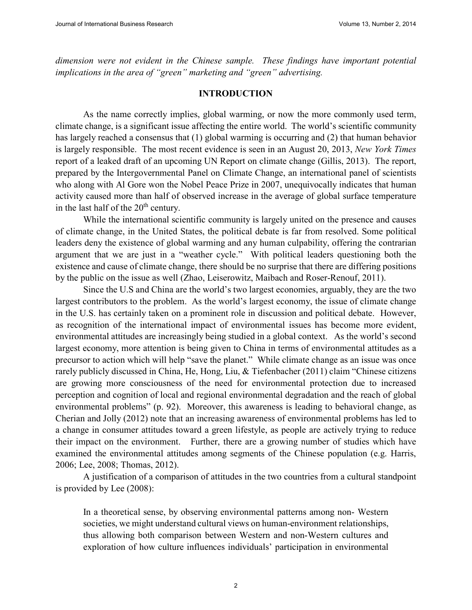*dimension were not evident in the Chinese sample. These findings have important potential implications in the area of "green" marketing and "green" advertising.* 

#### **INTRODUCTION**

As the name correctly implies, global warming, or now the more commonly used term, climate change, is a significant issue affecting the entire world. The world's scientific community has largely reached a consensus that (1) global warming is occurring and (2) that human behavior is largely responsible. The most recent evidence is seen in an August 20, 2013, *New York Times* report of a leaked draft of an upcoming UN Report on climate change (Gillis, 2013). The report, prepared by the Intergovernmental Panel on Climate Change, an international panel of scientists who along with Al Gore won the Nobel Peace Prize in 2007, unequivocally indicates that human activity caused more than half of observed increase in the average of global surface temperature in the last half of the  $20<sup>th</sup>$  century.

While the international scientific community is largely united on the presence and causes of climate change, in the United States, the political debate is far from resolved. Some political leaders deny the existence of global warming and any human culpability, offering the contrarian argument that we are just in a "weather cycle." With political leaders questioning both the existence and cause of climate change, there should be no surprise that there are differing positions by the public on the issue as well (Zhao, Leiserowitz, Maibach and Roser-Renouf, 2011).

Since the U.S and China are the world's two largest economies, arguably, they are the two largest contributors to the problem. As the world's largest economy, the issue of climate change in the U.S. has certainly taken on a prominent role in discussion and political debate. However, as recognition of the international impact of environmental issues has become more evident, environmental attitudes are increasingly being studied in a global context. As the world's second largest economy, more attention is being given to China in terms of environmental attitudes as a precursor to action which will help "save the planet." While climate change as an issue was once rarely publicly discussed in China, He, Hong, Liu, & Tiefenbacher (2011) claim "Chinese citizens are growing more consciousness of the need for environmental protection due to increased perception and cognition of local and regional environmental degradation and the reach of global environmental problems" (p. 92). Moreover, this awareness is leading to behavioral change, as Cherian and Jolly (2012) note that an increasing awareness of environmental problems has led to a change in consumer attitudes toward a green lifestyle, as people are actively trying to reduce their impact on the environment. Further, there are a growing number of studies which have examined the environmental attitudes among segments of the Chinese population (e.g. Harris, 2006; Lee, 2008; Thomas, 2012).

A justification of a comparison of attitudes in the two countries from a cultural standpoint is provided by Lee (2008):

In a theoretical sense, by observing environmental patterns among non- Western societies, we might understand cultural views on human-environment relationships, thus allowing both comparison between Western and non-Western cultures and exploration of how culture influences individuals' participation in environmental

 $\overline{2}$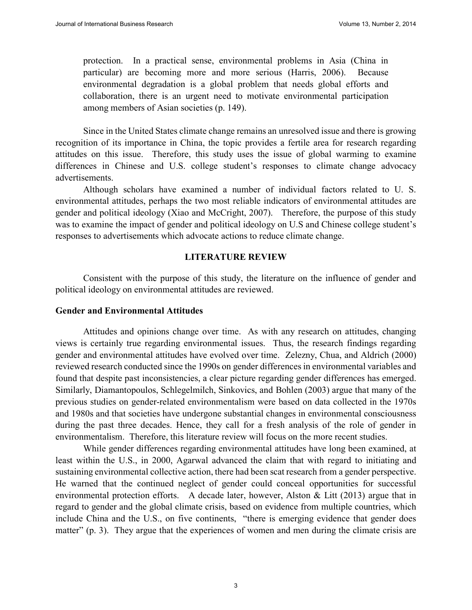protection. In a practical sense, environmental problems in Asia (China in particular) are becoming more and more serious (Harris, 2006). Because environmental degradation is a global problem that needs global efforts and collaboration, there is an urgent need to motivate environmental participation among members of Asian societies (p. 149).

Since in the United States climate change remains an unresolved issue and there is growing recognition of its importance in China, the topic provides a fertile area for research regarding attitudes on this issue. Therefore, this study uses the issue of global warming to examine differences in Chinese and U.S. college student's responses to climate change advocacy advertisements.

Although scholars have examined a number of individual factors related to U. S. environmental attitudes, perhaps the two most reliable indicators of environmental attitudes are gender and political ideology (Xiao and McCright, 2007). Therefore, the purpose of this study was to examine the impact of gender and political ideology on U.S and Chinese college student's responses to advertisements which advocate actions to reduce climate change.

#### **LITERATURE REVIEW**

Consistent with the purpose of this study, the literature on the influence of gender and political ideology on environmental attitudes are reviewed.

#### **Gender and Environmental Attitudes**

Attitudes and opinions change over time. As with any research on attitudes, changing views is certainly true regarding environmental issues. Thus, the research findings regarding gender and environmental attitudes have evolved over time. Zelezny, Chua, and Aldrich (2000) reviewed research conducted since the 1990s on gender differences in environmental variables and found that despite past inconsistencies, a clear picture regarding gender differences has emerged. Similarly, Diamantopoulos, Schlegelmilch, Sinkovics, and Bohlen (2003) argue that many of the previous studies on gender-related environmentalism were based on data collected in the 1970s and 1980s and that societies have undergone substantial changes in environmental consciousness during the past three decades. Hence, they call for a fresh analysis of the role of gender in environmentalism. Therefore, this literature review will focus on the more recent studies.

While gender differences regarding environmental attitudes have long been examined, at least within the U.S., in 2000, Agarwal advanced the claim that with regard to initiating and sustaining environmental collective action, there had been scat research from a gender perspective. He warned that the continued neglect of gender could conceal opportunities for successful environmental protection efforts. A decade later, however, Alston & Litt (2013) argue that in regard to gender and the global climate crisis, based on evidence from multiple countries, which include China and the U.S., on five continents, "there is emerging evidence that gender does matter" (p. 3). They argue that the experiences of women and men during the climate crisis are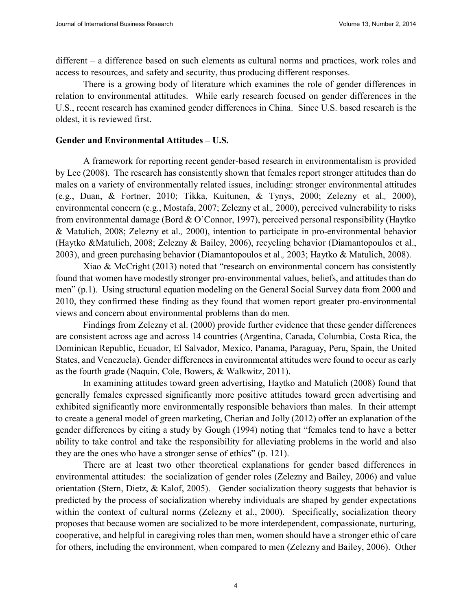different – a difference based on such elements as cultural norms and practices, work roles and access to resources, and safety and security, thus producing different responses.

There is a growing body of literature which examines the role of gender differences in relation to environmental attitudes. While early research focused on gender differences in the U.S., recent research has examined gender differences in China. Since U.S. based research is the oldest, it is reviewed first.

#### **Gender and Environmental Attitudes – U.S.**

A framework for reporting recent gender-based research in environmentalism is provided by Lee (2008). The research has consistently shown that females report stronger attitudes than do males on a variety of environmentally related issues, including: stronger environmental attitudes (e.g., Duan, & Fortner, 2010; Tikka, Kuitunen, & Tynys, 2000; Zelezny et al.*,* 2000), environmental concern (e.g., Mostafa, 2007; Zelezny et al.*,* 2000), perceived vulnerability to risks from environmental damage (Bord & O'Connor, 1997), perceived personal responsibility (Haytko & Matulich, 2008; Zelezny et al.*,* 2000), intention to participate in pro-environmental behavior (Haytko &Matulich, 2008; Zelezny & Bailey, 2006), recycling behavior (Diamantopoulos et al., 2003), and green purchasing behavior (Diamantopoulos et al.*,* 2003; Haytko & Matulich, 2008).

Xiao & McCright (2013) noted that "research on environmental concern has consistently found that women have modestly stronger pro-environmental values, beliefs, and attitudes than do men" (p.1). Using structural equation modeling on the General Social Survey data from 2000 and 2010, they confirmed these finding as they found that women report greater pro-environmental views and concern about environmental problems than do men.

Findings from Zelezny et al. (2000) provide further evidence that these gender differences are consistent across age and across 14 countries (Argentina, Canada, Columbia, Costa Rica, the Dominican Republic, Ecuador, El Salvador, Mexico, Panama, Paraguay, Peru, Spain, the United States, and Venezuela). Gender differences in environmental attitudes were found to occur as early as the fourth grade (Naquin, Cole, Bowers, & Walkwitz, 2011).

In examining attitudes toward green advertising, Haytko and Matulich (2008) found that generally females expressed significantly more positive attitudes toward green advertising and exhibited significantly more environmentally responsible behaviors than males. In their attempt to create a general model of green marketing, Cherian and Jolly (2012) offer an explanation of the gender differences by citing a study by Gough (1994) noting that "females tend to have a better ability to take control and take the responsibility for alleviating problems in the world and also they are the ones who have a stronger sense of ethics" (p. 121).

There are at least two other theoretical explanations for gender based differences in environmental attitudes: the socialization of gender roles (Zelezny and Bailey, 2006) and value orientation (Stern, Dietz, & Kalof, 2005). Gender socialization theory suggests that behavior is predicted by the process of socialization whereby individuals are shaped by gender expectations within the context of cultural norms (Zelezny et al., 2000). Specifically, socialization theory proposes that because women are socialized to be more interdependent, compassionate, nurturing, cooperative, and helpful in caregiving roles than men, women should have a stronger ethic of care for others, including the environment, when compared to men (Zelezny and Bailey, 2006). Other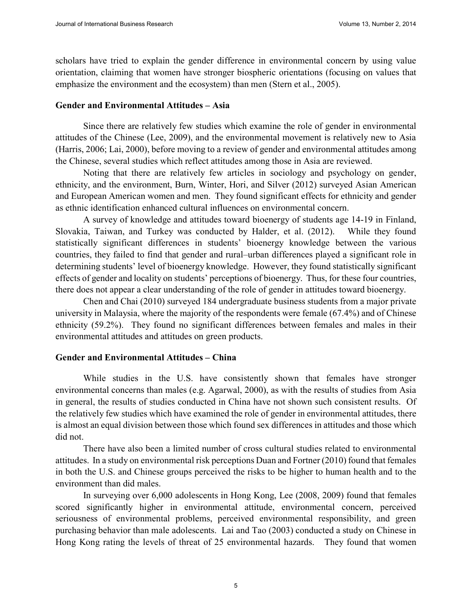scholars have tried to explain the gender difference in environmental concern by using value orientation, claiming that women have stronger biospheric orientations (focusing on values that emphasize the environment and the ecosystem) than men (Stern et al., 2005).

#### **Gender and Environmental Attitudes – Asia**

Since there are relatively few studies which examine the role of gender in environmental attitudes of the Chinese (Lee, 2009), and the environmental movement is relatively new to Asia (Harris, 2006; Lai, 2000), before moving to a review of gender and environmental attitudes among the Chinese, several studies which reflect attitudes among those in Asia are reviewed.

Noting that there are relatively few articles in sociology and psychology on gender, ethnicity, and the environment, Burn, Winter, Hori, and Silver (2012) surveyed Asian American and European American women and men. They found significant effects for ethnicity and gender as ethnic identification enhanced cultural influences on environmental concern.

A survey of knowledge and attitudes toward bioenergy of students age 14-19 in Finland, Slovakia, Taiwan, and Turkey was conducted by Halder, et al. (2012). While they found statistically significant differences in students' bioenergy knowledge between the various countries, they failed to find that gender and rural–urban differences played a significant role in determining students' level of bioenergy knowledge. However, they found statistically significant effects of gender and locality on students' perceptions of bioenergy. Thus, for these four countries, there does not appear a clear understanding of the role of gender in attitudes toward bioenergy.

Chen and Chai (2010) surveyed 184 undergraduate business students from a major private university in Malaysia, where the majority of the respondents were female (67.4%) and of Chinese ethnicity (59.2%). They found no significant differences between females and males in their environmental attitudes and attitudes on green products.

#### **Gender and Environmental Attitudes – China**

While studies in the U.S. have consistently shown that females have stronger environmental concerns than males (e.g. Agarwal, 2000), as with the results of studies from Asia in general, the results of studies conducted in China have not shown such consistent results. Of the relatively few studies which have examined the role of gender in environmental attitudes, there is almost an equal division between those which found sex differences in attitudes and those which did not.

There have also been a limited number of cross cultural studies related to environmental attitudes. In a study on environmental risk perceptions Duan and Fortner (2010) found that females in both the U.S. and Chinese groups perceived the risks to be higher to human health and to the environment than did males.

In surveying over 6,000 adolescents in Hong Kong, Lee (2008, 2009) found that females scored significantly higher in environmental attitude, environmental concern, perceived seriousness of environmental problems, perceived environmental responsibility, and green purchasing behavior than male adolescents. Lai and Tao (2003) conducted a study on Chinese in Hong Kong rating the levels of threat of 25 environmental hazards. They found that women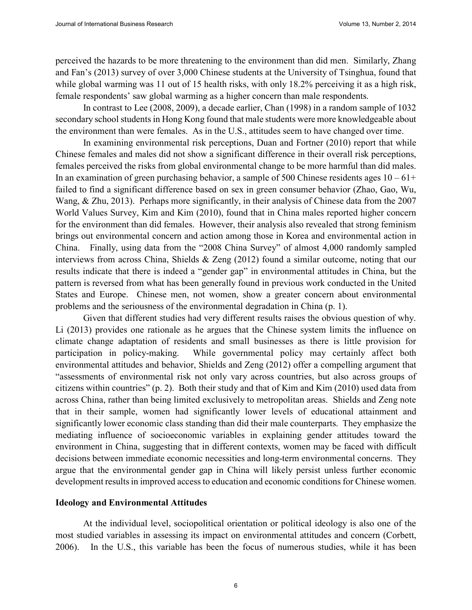perceived the hazards to be more threatening to the environment than did men. Similarly, Zhang and Fan's (2013) survey of over 3,000 Chinese students at the University of Tsinghua, found that while global warming was 11 out of 15 health risks, with only 18.2% perceiving it as a high risk, female respondents' saw global warming as a higher concern than male respondents.

In contrast to Lee (2008, 2009), a decade earlier, Chan (1998) in a random sample of 1032 secondary school students in Hong Kong found that male students were more knowledgeable about the environment than were females. As in the U.S., attitudes seem to have changed over time.

In examining environmental risk perceptions, Duan and Fortner (2010) report that while Chinese females and males did not show a significant difference in their overall risk perceptions, females perceived the risks from global environmental change to be more harmful than did males. In an examination of green purchasing behavior, a sample of 500 Chinese residents ages  $10 - 61 +$ failed to find a significant difference based on sex in green consumer behavior (Zhao, Gao, Wu, Wang, & Zhu, 2013). Perhaps more significantly, in their analysis of Chinese data from the 2007 World Values Survey, Kim and Kim (2010), found that in China males reported higher concern for the environment than did females. However, their analysis also revealed that strong feminism brings out environmental concern and action among those in Korea and environmental action in China. Finally, using data from the "2008 China Survey" of almost 4,000 randomly sampled interviews from across China, Shields & Zeng (2012) found a similar outcome, noting that our results indicate that there is indeed a "gender gap" in environmental attitudes in China, but the pattern is reversed from what has been generally found in previous work conducted in the United States and Europe. Chinese men, not women, show a greater concern about environmental problems and the seriousness of the environmental degradation in China (p. 1).

Given that different studies had very different results raises the obvious question of why. Li (2013) provides one rationale as he argues that the Chinese system limits the influence on climate change adaptation of residents and small businesses as there is little provision for participation in policy-making. While governmental policy may certainly affect both environmental attitudes and behavior, Shields and Zeng (2012) offer a compelling argument that "assessments of environmental risk not only vary across countries, but also across groups of citizens within countries" (p. 2). Both their study and that of Kim and Kim (2010) used data from across China, rather than being limited exclusively to metropolitan areas. Shields and Zeng note that in their sample, women had significantly lower levels of educational attainment and significantly lower economic class standing than did their male counterparts. They emphasize the mediating influence of socioeconomic variables in explaining gender attitudes toward the environment in China, suggesting that in different contexts, women may be faced with difficult decisions between immediate economic necessities and long-term environmental concerns. They argue that the environmental gender gap in China will likely persist unless further economic development results in improved access to education and economic conditions for Chinese women.

#### **Ideology and Environmental Attitudes**

At the individual level, sociopolitical orientation or political ideology is also one of the most studied variables in assessing its impact on environmental attitudes and concern (Corbett, 2006). In the U.S., this variable has been the focus of numerous studies, while it has been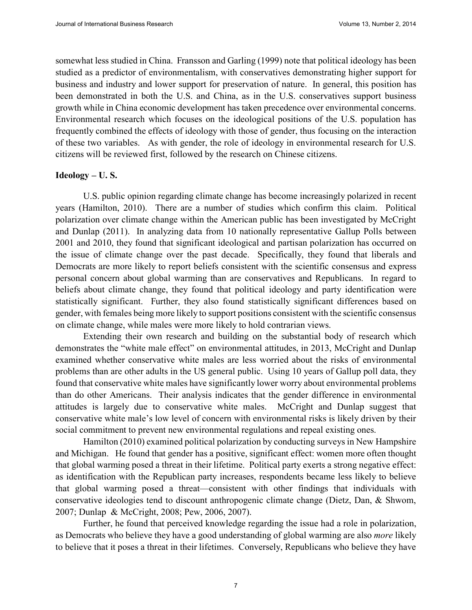somewhat less studied in China. Fransson and Garling (1999) note that political ideology has been studied as a predictor of environmentalism, with conservatives demonstrating higher support for business and industry and lower support for preservation of nature. In general, this position has been demonstrated in both the U.S. and China, as in the U.S. conservatives support business growth while in China economic development has taken precedence over environmental concerns. Environmental research which focuses on the ideological positions of the U.S. population has frequently combined the effects of ideology with those of gender, thus focusing on the interaction of these two variables. As with gender, the role of ideology in environmental research for U.S. citizens will be reviewed first, followed by the research on Chinese citizens.

#### **Ideology – U. S.**

U.S. public opinion regarding climate change has become increasingly polarized in recent years (Hamilton, 2010). There are a number of studies which confirm this claim. Political polarization over climate change within the American public has been investigated by McCright and Dunlap (2011). In analyzing data from 10 nationally representative Gallup Polls between 2001 and 2010, they found that significant ideological and partisan polarization has occurred on the issue of climate change over the past decade. Specifically, they found that liberals and Democrats are more likely to report beliefs consistent with the scientific consensus and express personal concern about global warming than are conservatives and Republicans. In regard to beliefs about climate change, they found that political ideology and party identification were statistically significant. Further, they also found statistically significant differences based on gender, with females being more likely to support positions consistent with the scientific consensus on climate change, while males were more likely to hold contrarian views.

Extending their own research and building on the substantial body of research which demonstrates the "white male effect" on environmental attitudes, in 2013, McCright and Dunlap examined whether conservative white males are less worried about the risks of environmental problems than are other adults in the US general public. Using 10 years of Gallup poll data, they found that conservative white males have significantly lower worry about environmental problems than do other Americans. Their analysis indicates that the gender difference in environmental attitudes is largely due to conservative white males. McCright and Dunlap suggest that conservative white male's low level of concern with environmental risks is likely driven by their social commitment to prevent new environmental regulations and repeal existing ones.

Hamilton (2010) examined political polarization by conducting surveys in New Hampshire and Michigan. He found that gender has a positive, significant effect: women more often thought that global warming posed a threat in their lifetime. Political party exerts a strong negative effect: as identification with the Republican party increases, respondents became less likely to believe that global warming posed a threat—consistent with other findings that individuals with conservative ideologies tend to discount anthropogenic climate change (Dietz, Dan, & Shwom, 2007; Dunlap & McCright, 2008; Pew, 2006, 2007).

Further, he found that perceived knowledge regarding the issue had a role in polarization, as Democrats who believe they have a good understanding of global warming are also *more* likely to believe that it poses a threat in their lifetimes. Conversely, Republicans who believe they have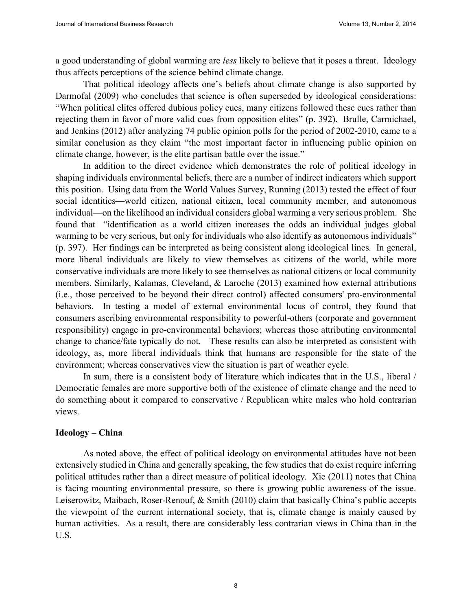a good understanding of global warming are *less* likely to believe that it poses a threat. Ideology thus affects perceptions of the science behind climate change.

That political ideology affects one's beliefs about climate change is also supported by Darmofal (2009) who concludes that science is often superseded by ideological considerations: "When political elites offered dubious policy cues, many citizens followed these cues rather than rejecting them in favor of more valid cues from opposition elites" (p. 392). Brulle, Carmichael, and Jenkins (2012) after analyzing 74 public opinion polls for the period of 2002-2010, came to a similar conclusion as they claim "the most important factor in influencing public opinion on climate change, however, is the elite partisan battle over the issue."

In addition to the direct evidence which demonstrates the role of political ideology in shaping individuals environmental beliefs, there are a number of indirect indicators which support this position. Using data from the World Values Survey, Running (2013) tested the effect of four social identities—world citizen, national citizen, local community member, and autonomous individual—on the likelihood an individual considers global warming a very serious problem. She found that "identification as a world citizen increases the odds an individual judges global warming to be very serious, but only for individuals who also identify as autonomous individuals" (p. 397). Her findings can be interpreted as being consistent along ideological lines. In general, more liberal individuals are likely to view themselves as citizens of the world, while more conservative individuals are more likely to see themselves as national citizens or local community members. Similarly, Kalamas, Cleveland, & Laroche (2013) examined how external attributions (i.e., those perceived to be beyond their direct control) affected consumers' pro-environmental behaviors. In testing a model of external environmental locus of control, they found that consumers ascribing environmental responsibility to powerful-others (corporate and government responsibility) engage in pro-environmental behaviors; whereas those attributing environmental change to chance/fate typically do not. These results can also be interpreted as consistent with ideology, as, more liberal individuals think that humans are responsible for the state of the environment; whereas conservatives view the situation is part of weather cycle.

In sum, there is a consistent body of literature which indicates that in the U.S., liberal / Democratic females are more supportive both of the existence of climate change and the need to do something about it compared to conservative / Republican white males who hold contrarian views.

#### **Ideology – China**

As noted above, the effect of political ideology on environmental attitudes have not been extensively studied in China and generally speaking, the few studies that do exist require inferring political attitudes rather than a direct measure of political ideology. Xie (2011) notes that China is facing mounting environmental pressure, so there is growing public awareness of the issue. Leiserowitz, Maibach, Roser-Renouf, & Smith (2010) claim that basically China's public accepts the viewpoint of the current international society, that is, climate change is mainly caused by human activities. As a result, there are considerably less contrarian views in China than in the U.S.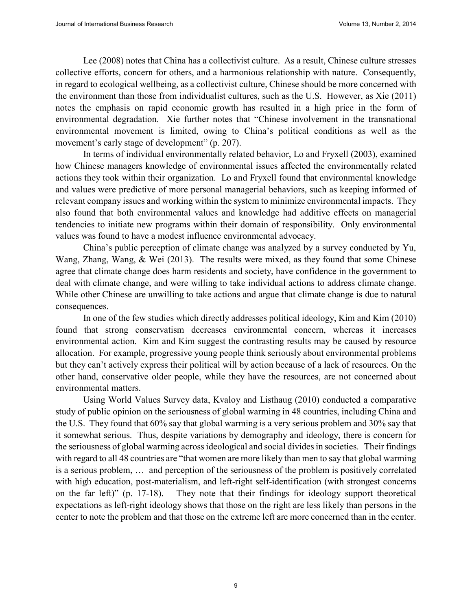Lee (2008) notes that China has a collectivist culture. As a result, Chinese culture stresses collective efforts, concern for others, and a harmonious relationship with nature. Consequently, in regard to ecological wellbeing, as a collectivist culture, Chinese should be more concerned with the environment than those from individualist cultures, such as the U.S. However, as Xie (2011) notes the emphasis on rapid economic growth has resulted in a high price in the form of environmental degradation. Xie further notes that "Chinese involvement in the transnational environmental movement is limited, owing to China's political conditions as well as the movement's early stage of development" (p. 207).

In terms of individual environmentally related behavior, Lo and Fryxell (2003), examined how Chinese managers knowledge of environmental issues affected the environmentally related actions they took within their organization. Lo and Fryxell found that environmental knowledge and values were predictive of more personal managerial behaviors, such as keeping informed of relevant company issues and working within the system to minimize environmental impacts. They also found that both environmental values and knowledge had additive effects on managerial tendencies to initiate new programs within their domain of responsibility. Only environmental values was found to have a modest influence environmental advocacy.

China's public perception of climate change was analyzed by a survey conducted by Yu, Wang, Zhang, Wang, & Wei (2013). The results were mixed, as they found that some Chinese agree that climate change does harm residents and society, have confidence in the government to deal with climate change, and were willing to take individual actions to address climate change. While other Chinese are unwilling to take actions and argue that climate change is due to natural consequences.

In one of the few studies which directly addresses political ideology, Kim and Kim (2010) found that strong conservatism decreases environmental concern, whereas it increases environmental action. Kim and Kim suggest the contrasting results may be caused by resource allocation. For example, progressive young people think seriously about environmental problems but they can't actively express their political will by action because of a lack of resources. On the other hand, conservative older people, while they have the resources, are not concerned about environmental matters.

Using World Values Survey data, Kvaloy and Listhaug (2010) conducted a comparative study of public opinion on the seriousness of global warming in 48 countries, including China and the U.S. They found that 60% say that global warming is a very serious problem and 30% say that it somewhat serious. Thus, despite variations by demography and ideology, there is concern for the seriousness of global warming across ideological and social divides in societies. Their findings with regard to all 48 countries are "that women are more likely than men to say that global warming is a serious problem, … and perception of the seriousness of the problem is positively correlated with high education, post-materialism, and left-right self-identification (with strongest concerns on the far left)" (p. 17-18). They note that their findings for ideology support theoretical expectations as left-right ideology shows that those on the right are less likely than persons in the center to note the problem and that those on the extreme left are more concerned than in the center.

9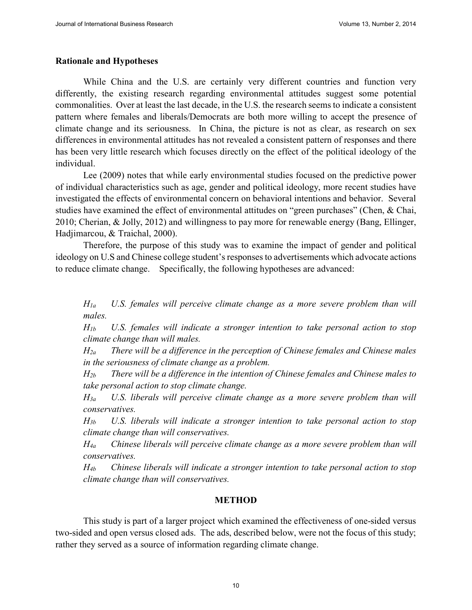#### **Rationale and Hypotheses**

While China and the U.S. are certainly very different countries and function very differently, the existing research regarding environmental attitudes suggest some potential commonalities. Over at least the last decade, in the U.S. the research seems to indicate a consistent pattern where females and liberals/Democrats are both more willing to accept the presence of climate change and its seriousness. In China, the picture is not as clear, as research on sex differences in environmental attitudes has not revealed a consistent pattern of responses and there has been very little research which focuses directly on the effect of the political ideology of the individual.

Lee (2009) notes that while early environmental studies focused on the predictive power of individual characteristics such as age, gender and political ideology, more recent studies have investigated the effects of environmental concern on behavioral intentions and behavior. Several studies have examined the effect of environmental attitudes on "green purchases" (Chen, & Chai, 2010; Cherian, & Jolly, 2012) and willingness to pay more for renewable energy (Bang, Ellinger, Hadjimarcou, & Traichal, 2000).

Therefore, the purpose of this study was to examine the impact of gender and political ideology on U.S and Chinese college student's responses to advertisements which advocate actions to reduce climate change. Specifically, the following hypotheses are advanced:

*H1a U.S. females will perceive climate change as a more severe problem than will males.*

*H1b U.S. females will indicate a stronger intention to take personal action to stop climate change than will males.*

*H2a There will be a difference in the perception of Chinese females and Chinese males in the seriousness of climate change as a problem.* 

*H2b There will be a difference in the intention of Chinese females and Chinese males to take personal action to stop climate change.* 

*H3a U.S. liberals will perceive climate change as a more severe problem than will conservatives.* 

*H3b U.S. liberals will indicate a stronger intention to take personal action to stop climate change than will conservatives.* 

*H4a Chinese liberals will perceive climate change as a more severe problem than will conservatives.* 

*H4b Chinese liberals will indicate a stronger intention to take personal action to stop climate change than will conservatives.* 

#### **METHOD**

This study is part of a larger project which examined the effectiveness of one-sided versus two-sided and open versus closed ads. The ads, described below, were not the focus of this study; rather they served as a source of information regarding climate change.

 $10$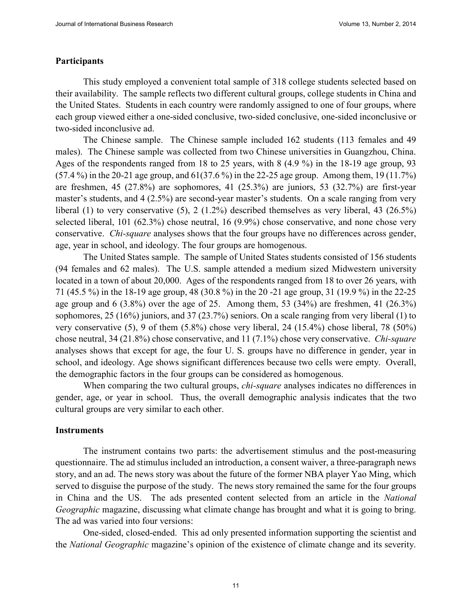#### **Participants**

This study employed a convenient total sample of 318 college students selected based on their availability. The sample reflects two different cultural groups, college students in China and the United States. Students in each country were randomly assigned to one of four groups, where each group viewed either a one-sided conclusive, two-sided conclusive, one-sided inconclusive or two-sided inconclusive ad.

The Chinese sample. The Chinese sample included 162 students (113 females and 49 males). The Chinese sample was collected from two Chinese universities in Guangzhou, China. Ages of the respondents ranged from 18 to 25 years, with 8 (4.9 %) in the 18-19 age group, 93 (57.4 %) in the 20-21 age group, and 61(37.6 %) in the 22-25 age group. Among them, 19 (11.7%) are freshmen, 45 (27.8%) are sophomores, 41 (25.3%) are juniors, 53 (32.7%) are first-year master's students, and 4 (2.5%) are second-year master's students. On a scale ranging from very liberal (1) to very conservative (5), 2 (1.2%) described themselves as very liberal, 43 (26.5%) selected liberal, 101 (62.3%) chose neutral, 16 (9.9%) chose conservative, and none chose very conservative. *Chi-square* analyses shows that the four groups have no differences across gender, age, year in school, and ideology. The four groups are homogenous.

The United States sample. The sample of United States students consisted of 156 students (94 females and 62 males). The U.S. sample attended a medium sized Midwestern university located in a town of about 20,000. Ages of the respondents ranged from 18 to over 26 years, with 71 (45.5 %) in the 18-19 age group, 48 (30.8 %) in the 20 -21 age group, 31 (19.9 %) in the 22-25 age group and 6 (3.8%) over the age of 25. Among them, 53 (34%) are freshmen, 41 (26.3%) sophomores, 25 (16%) juniors, and 37 (23.7%) seniors. On a scale ranging from very liberal (1) to very conservative (5), 9 of them (5.8%) chose very liberal, 24 (15.4%) chose liberal, 78 (50%) chose neutral, 34 (21.8%) chose conservative, and 11 (7.1%) chose very conservative. *Chi-square* analyses shows that except for age, the four U. S. groups have no difference in gender, year in school, and ideology. Age shows significant differences because two cells were empty. Overall, the demographic factors in the four groups can be considered as homogenous.

When comparing the two cultural groups, *chi-square* analyses indicates no differences in gender, age, or year in school. Thus, the overall demographic analysis indicates that the two cultural groups are very similar to each other.

#### **Instruments**

The instrument contains two parts: the advertisement stimulus and the post-measuring questionnaire. The ad stimulus included an introduction, a consent waiver, a three-paragraph news story, and an ad. The news story was about the future of the former NBA player Yao Ming, which served to disguise the purpose of the study. The news story remained the same for the four groups in China and the US. The ads presented content selected from an article in the *National Geographic* magazine, discussing what climate change has brought and what it is going to bring. The ad was varied into four versions:

One-sided, closed-ended. This ad only presented information supporting the scientist and the *National Geographic* magazine's opinion of the existence of climate change and its severity.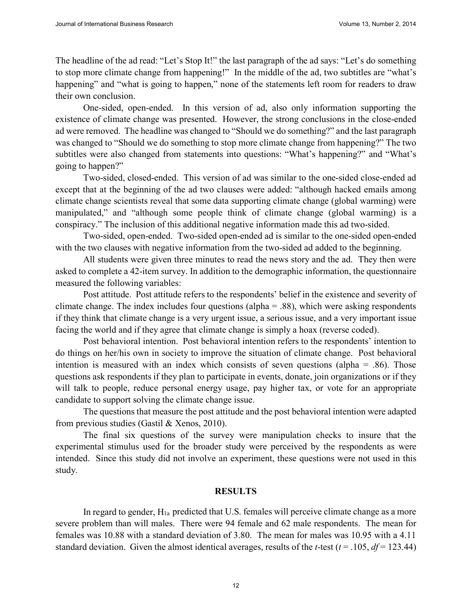The headline of the ad read: "Let's Stop It!" the last paragraph of the ad says: "Let's do something to stop more climate change from happening!" In the middle of the ad, two subtitles are "what's happening" and "what is going to happen," none of the statements left room for readers to draw their own conclusion.

One-sided, open-ended. In this version of ad, also only information supporting the existence of climate change was presented. However, the strong conclusions in the close-ended ad were removed. The headline was changed to "Should we do something?" and the last paragraph was changed to "Should we do something to stop more climate change from happening?" The two subtitles were also changed from statements into questions: "What's happening?" and "What's going to happen?"

Two-sided, closed-ended. This version of ad was similar to the one-sided close-ended ad except that at the beginning of the ad two clauses were added: "although hacked emails among climate change scientists reveal that some data supporting climate change (global warming) were manipulated," and "although some people think of climate change (global warming) is a conspiracy." The inclusion of this additional negative information made this ad two-sided.

Two-sided, open-ended. Two-sided open-ended ad is similar to the one-sided open-ended with the two clauses with negative information from the two-sided ad added to the beginning.

All students were given three minutes to read the news story and the ad. They then were asked to complete a 42-item survey. In addition to the demographic information, the questionnaire measured the following variables:

Post attitude. Post attitude refers to the respondents' belief in the existence and severity of climate change. The index includes four questions (alpha = .88), which were asking respondents if they think that climate change is a very urgent issue, a serious issue, and a very important issue facing the world and if they agree that climate change is simply a hoax (reverse coded).

Post behavioral intention. Post behavioral intention refers to the respondents' intention to do things on her/his own in society to improve the situation of climate change. Post behavioral intention is measured with an index which consists of seven questions (alpha  $=$  .86). Those questions ask respondents if they plan to participate in events, donate, join organizations or if they will talk to people, reduce personal energy usage, pay higher tax, or vote for an appropriate candidate to support solving the climate change issue.

The questions that measure the post attitude and the post behavioral intention were adapted from previous studies (Gastil & Xenos, 2010).

The final six questions of the survey were manipulation checks to insure that the experimental stimulus used for the broader study were perceived by the respondents as were intended. Since this study did not involve an experiment, these questions were not used in this study.

#### **RESULTS**

In regard to gender,  $H_{1a}$  predicted that U.S. females will perceive climate change as a more severe problem than will males. There were 94 female and 62 male respondents. The mean for females was 10.88 with a standard deviation of 3.80. The mean for males was 10.95 with a 4.11 standard deviation. Given the almost identical averages, results of the *t*-test ( $t = .105$ ,  $df = 123.44$ )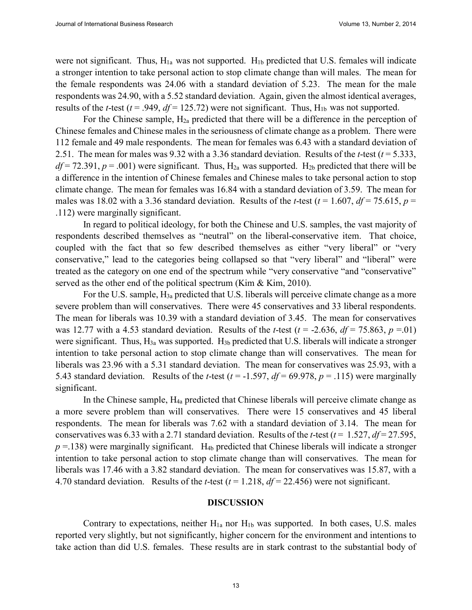were not significant. Thus,  $H_{1a}$  was not supported.  $H_{1b}$  predicted that U.S. females will indicate a stronger intention to take personal action to stop climate change than will males. The mean for the female respondents was 24.06 with a standard deviation of 5.23. The mean for the male respondents was 24.90, with a 5.52 standard deviation. Again, given the almost identical averages, results of the *t*-test ( $t = .949$ ,  $df = 125.72$ ) were not significant. Thus, H<sub>1b</sub> was not supported.

For the Chinese sample,  $H_{2a}$  predicted that there will be a difference in the perception of Chinese females and Chinese males in the seriousness of climate change as a problem. There were 112 female and 49 male respondents. The mean for females was 6.43 with a standard deviation of 2.51. The mean for males was 9.32 with a 3.36 standard deviation. Results of the *t*-test (*t* = 5.333,  $df = 72.391$ ,  $p = .001$ ) were significant. Thus,  $H_{2a}$  was supported.  $H_{2b}$  predicted that there will be a difference in the intention of Chinese females and Chinese males to take personal action to stop climate change. The mean for females was 16.84 with a standard deviation of 3.59. The mean for males was 18.02 with a 3.36 standard deviation. Results of the *t*-test ( $t = 1.607$ ,  $df = 75.615$ ,  $p =$ .112) were marginally significant.

In regard to political ideology, for both the Chinese and U.S. samples, the vast majority of respondents described themselves as "neutral" on the liberal-conservative item. That choice, coupled with the fact that so few described themselves as either "very liberal" or "very conservative," lead to the categories being collapsed so that "very liberal" and "liberal" were treated as the category on one end of the spectrum while "very conservative "and "conservative" served as the other end of the political spectrum (Kim & Kim, 2010).

For the U.S. sample, H3a predicted that U.S. liberals will perceive climate change as a more severe problem than will conservatives. There were 45 conservatives and 33 liberal respondents. The mean for liberals was 10.39 with a standard deviation of 3.45. The mean for conservatives was 12.77 with a 4.53 standard deviation. Results of the *t*-test ( $t = -2.636$ ,  $df = 75.863$ ,  $p = .01$ ) were significant. Thus, H<sub>3a</sub> was supported. H<sub>3b</sub> predicted that U.S. liberals will indicate a stronger intention to take personal action to stop climate change than will conservatives. The mean for liberals was 23.96 with a 5.31 standard deviation. The mean for conservatives was 25.93, with a 5.43 standard deviation. Results of the *t*-test ( $t = -1.597$ ,  $df = 69.978$ ,  $p = .115$ ) were marginally significant.

In the Chinese sample, H4a predicted that Chinese liberals will perceive climate change as a more severe problem than will conservatives. There were 15 conservatives and 45 liberal respondents. The mean for liberals was 7.62 with a standard deviation of 3.14. The mean for conservatives was 6.33 with a 2.71 standard deviation. Results of the *t*-test ( $t = 1.527$ ,  $df = 27.595$ ,  $p = 138$ ) were marginally significant. H<sub>4b</sub> predicted that Chinese liberals will indicate a stronger intention to take personal action to stop climate change than will conservatives. The mean for liberals was 17.46 with a 3.82 standard deviation. The mean for conservatives was 15.87, with a 4.70 standard deviation. Results of the *t*-test (*t* = 1.218, *df* = 22.456) were not significant.

#### **DISCUSSION**

Contrary to expectations, neither  $H_{1a}$  nor  $H_{1b}$  was supported. In both cases, U.S. males reported very slightly, but not significantly, higher concern for the environment and intentions to take action than did U.S. females. These results are in stark contrast to the substantial body of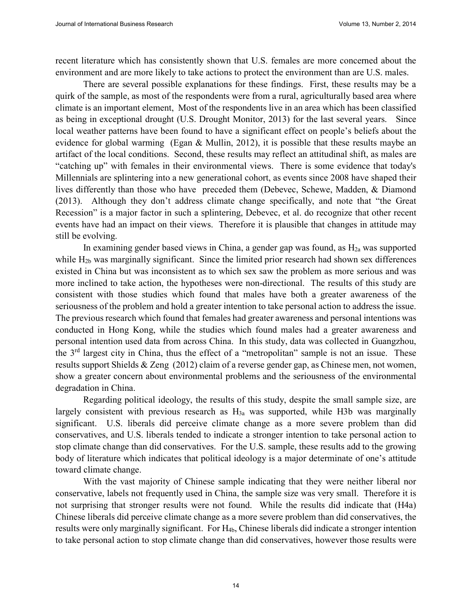recent literature which has consistently shown that U.S. females are more concerned about the environment and are more likely to take actions to protect the environment than are U.S. males.

There are several possible explanations for these findings. First, these results may be a quirk of the sample, as most of the respondents were from a rural, agriculturally based area where climate is an important element, Most of the respondents live in an area which has been classified as being in exceptional drought (U.S. Drought Monitor, 2013) for the last several years. Since local weather patterns have been found to have a significant effect on people's beliefs about the evidence for global warming (Egan & Mullin, 2012), it is possible that these results maybe an artifact of the local conditions. Second, these results may reflect an attitudinal shift, as males are "catching up" with females in their environmental views. There is some evidence that today's Millennials are splintering into a new generational cohort, as events since 2008 have shaped their lives differently than those who have preceded them (Debevec, Schewe, Madden, & Diamond (2013). Although they don't address climate change specifically, and note that "the Great Recession" is a major factor in such a splintering, Debevec, et al. do recognize that other recent events have had an impact on their views. Therefore it is plausible that changes in attitude may still be evolving.

In examining gender based views in China, a gender gap was found, as  $H_{2a}$  was supported while H<sub>2b</sub> was marginally significant. Since the limited prior research had shown sex differences existed in China but was inconsistent as to which sex saw the problem as more serious and was more inclined to take action, the hypotheses were non-directional. The results of this study are consistent with those studies which found that males have both a greater awareness of the seriousness of the problem and hold a greater intention to take personal action to address the issue. The previous research which found that females had greater awareness and personal intentions was conducted in Hong Kong, while the studies which found males had a greater awareness and personal intention used data from across China. In this study, data was collected in Guangzhou, the 3rd largest city in China, thus the effect of a "metropolitan" sample is not an issue. These results support Shields & Zeng (2012) claim of a reverse gender gap, as Chinese men, not women, show a greater concern about environmental problems and the seriousness of the environmental degradation in China.

Regarding political ideology, the results of this study, despite the small sample size, are largely consistent with previous research as  $H_{3a}$  was supported, while H3b was marginally significant. U.S. liberals did perceive climate change as a more severe problem than did conservatives, and U.S. liberals tended to indicate a stronger intention to take personal action to stop climate change than did conservatives. For the U.S. sample, these results add to the growing body of literature which indicates that political ideology is a major determinate of one's attitude toward climate change.

With the vast majority of Chinese sample indicating that they were neither liberal nor conservative, labels not frequently used in China, the sample size was very small. Therefore it is not surprising that stronger results were not found. While the results did indicate that (H4a) Chinese liberals did perceive climate change as a more severe problem than did conservatives, the results were only marginally significant. For H4b, Chinese liberals did indicate a stronger intention to take personal action to stop climate change than did conservatives, however those results were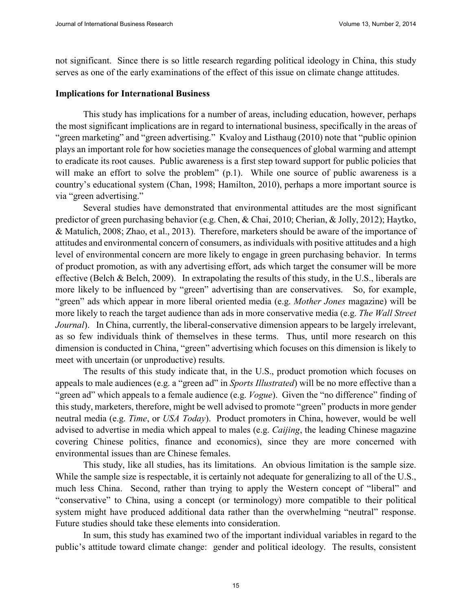not significant. Since there is so little research regarding political ideology in China, this study serves as one of the early examinations of the effect of this issue on climate change attitudes.

#### **Implications for International Business**

This study has implications for a number of areas, including education, however, perhaps the most significant implications are in regard to international business, specifically in the areas of "green marketing" and "green advertising." Kvaloy and Listhaug (2010) note that "public opinion plays an important role for how societies manage the consequences of global warming and attempt to eradicate its root causes. Public awareness is a first step toward support for public policies that will make an effort to solve the problem" (p.1). While one source of public awareness is a country's educational system (Chan, 1998; Hamilton, 2010), perhaps a more important source is via "green advertising."

Several studies have demonstrated that environmental attitudes are the most significant predictor of green purchasing behavior (e.g. Chen, & Chai, 2010; Cherian, & Jolly, 2012); Haytko, & Matulich, 2008; Zhao, et al., 2013). Therefore, marketers should be aware of the importance of attitudes and environmental concern of consumers, as individuals with positive attitudes and a high level of environmental concern are more likely to engage in green purchasing behavior. In terms of product promotion, as with any advertising effort, ads which target the consumer will be more effective (Belch & Belch, 2009). In extrapolating the results of this study, in the U.S., liberals are more likely to be influenced by "green" advertising than are conservatives. So, for example, "green" ads which appear in more liberal oriented media (e.g. *Mother Jones* magazine) will be more likely to reach the target audience than ads in more conservative media (e.g. *The Wall Street Journal*). In China, currently, the liberal-conservative dimension appears to be largely irrelevant, as so few individuals think of themselves in these terms. Thus, until more research on this dimension is conducted in China, "green" advertising which focuses on this dimension is likely to meet with uncertain (or unproductive) results.

The results of this study indicate that, in the U.S., product promotion which focuses on appeals to male audiences (e.g. a "green ad" in *Sports Illustrated*) will be no more effective than a "green ad" which appeals to a female audience (e.g. *Vogue*). Given the "no difference" finding of this study, marketers, therefore, might be well advised to promote "green" products in more gender neutral media (e.g. *Time*, or *USA Today*). Product promoters in China, however, would be well advised to advertise in media which appeal to males (e.g. *Caijing*, the leading Chinese magazine covering Chinese politics, finance and economics), since they are more concerned with environmental issues than are Chinese females.

This study, like all studies, has its limitations. An obvious limitation is the sample size. While the sample size is respectable, it is certainly not adequate for generalizing to all of the U.S., much less China. Second, rather than trying to apply the Western concept of "liberal" and "conservative" to China, using a concept (or terminology) more compatible to their political system might have produced additional data rather than the overwhelming "neutral" response. Future studies should take these elements into consideration.

In sum, this study has examined two of the important individual variables in regard to the public's attitude toward climate change: gender and political ideology. The results, consistent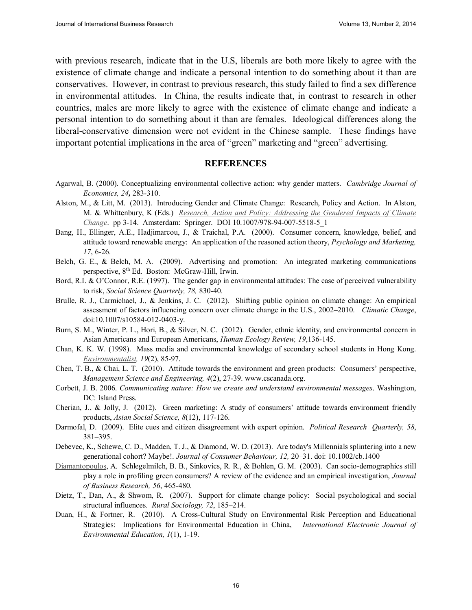with previous research, indicate that in the U.S, liberals are both more likely to agree with the existence of climate change and indicate a personal intention to do something about it than are conservatives. However, in contrast to previous research, this study failed to find a sex difference in environmental attitudes. In China, the results indicate that, in contrast to research in other countries, males are more likely to agree with the existence of climate change and indicate a personal intention to do something about it than are females. Ideological differences along the liberal-conservative dimension were not evident in the Chinese sample. These findings have important potential implications in the area of "green" marketing and "green" advertising.

#### **REFERENCES**

- Agarwal, B. (2000). Conceptualizing environmental collective action: why gender matters. *Cambridge Journal of Economics, 24,* 283-310.
- Alston, M., & Litt, M. (2013). Introducing Gender and Climate Change: Research, Policy and Action. In Alston, M. & Whittenbury, K (Eds.) *Research, Action and Policy: Addressing the Gendered Impacts of Climate Change*. pp 3-14. Amsterdam: Springer. DOI 10.1007/978-94-007-5518-5\_1
- Bang, H., Ellinger, A.E., Hadjimarcou, J., & Traichal, P.A. (2000). Consumer concern, knowledge, belief, and attitude toward renewable energy: An application of the reasoned action theory, *Psychology and Marketing, 17*, 6-26.
- Belch, G. E., & Belch, M. A. (2009). Advertising and promotion: An integrated marketing communications perspective, 8<sup>th</sup> Ed. Boston: McGraw-Hill, Irwin.
- Bord, R.I. & O'Connor, R.E. (1997). The gender gap in environmental attitudes: The case of perceived vulnerability to risk, *Social Science Quarterly, 78,* 830-40.
- Brulle, R. J., Carmichael, J., & Jenkins, J. C. (2012). Shifting public opinion on climate change: An empirical assessment of factors influencing concern over climate change in the U.S., 2002–2010. *Climatic Change*, doi:10.1007/s10584-012-0403-y.
- Burn, S. M., Winter, P. L., Hori, B., & Silver, N. C. (2012). Gender, ethnic identity, and environmental concern in Asian Americans and European Americans, *Human Ecology Review, 19*,136-145.
- Chan, K. K. W. (1998). Mass media and environmental knowledge of secondary school students in Hong Kong. *Environmentalist, 19*(2), 85-97.
- Chen, T. B., & Chai, L. T. (2010). Attitude towards the environment and green products: Consumers' perspective, *Management Science and Engineering, 4*(2), 27-39. www.cscanada.org.
- Corbett, J. B. 2006. *Communicating nature: How we create and understand environmental messages*. Washington, DC: Island Press.
- Cherian, J., & Jolly, J. (2012). Green marketing: A study of consumers' attitude towards environment friendly products, *Asian Social Science, 8*(12), 117-126.
- Darmofal, D. (2009). Elite cues and citizen disagreement with expert opinion. *Political Research Quarterly, 58*, 381–395.
- Debevec, K., Schewe, C. D., Madden, T. J., & Diamond, W. D. (2013). Are today's Millennials splintering into a new generational cohort? Maybe!. *Journal of Consumer Behaviour, 12,* 20–31. doi: 10.1002/cb.1400
- Diamantopoulos, A. Schlegelmilch, B. B., Sinkovics, R. R., & Bohlen, G. M. (2003). Can socio-demographics still play a role in profiling green consumers? A review of the evidence and an empirical investigation, *Journal of Business Research, 56*, 465-480.
- Dietz, T., Dan, A., & Shwom, R. (2007). Support for climate change policy: Social psychological and social structural influences. *Rural Sociology, 72*, 185–214.
- Duan, H., & Fortner, R. (2010). A Cross-Cultural Study on Environmental Risk Perception and Educational Strategies: Implications for Environmental Education in China, *International Electronic Journal of Environmental Education, 1*(1), 1-19.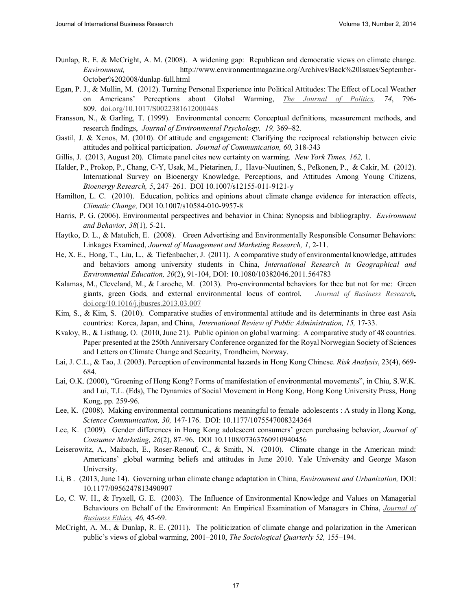- Dunlap, R. E. & McCright, A. M. (2008). A widening gap: Republican and democratic views on climate change. *Environment,* http://www.environmentmagazine.org/Archives/Back%20Issues/September-October%202008/dunlap-full.html
- Egan, P. J., & Mullin, M. (2012). Turning Personal Experience into Political Attitudes: The Effect of Local Weather on Americans' Perceptions about Global Warming, *The Journal of Politics, 74*, 796- 809. doi.org/10.1017/S0022381612000448
- Fransson, N., & Garling, T. (1999). Environmental concern: Conceptual definitions, measurement methods, and research findings, *Journal of Environmental Psychology, 19,* 369–82.
- Gastil, J. & Xenos, M. (2010). Of attitude and engagement: Clarifying the reciprocal relationship between civic attitudes and political participation. *Journal of Communication, 60,* 318-343
- Gillis, J. (2013, August 20). Climate panel cites new certainty on warming. *New York Times, 162,* 1.
- Halder, P., Prokop, P., Chang, C-Y, Usak, M., Pietarinen, J., Havu-Nuutinen, S., Pelkonen, P., & Cakir, M. (2012). International Survey on Bioenergy Knowledge, Perceptions, and Attitudes Among Young Citizens, *Bioenergy Research, 5*, 247–261. DOI 10.1007/s12155-011-9121-y
- Hamilton, L. C. (2010). Education, politics and opinions about climate change evidence for interaction effects, *Climatic Change,* DOI 10.1007/s10584-010-9957-8
- Harris, P. G. (2006). Environmental perspectives and behavior in China: Synopsis and bibliography. *Environment and Behavior, 38*(1)*,* 5-21.
- Haytko, D. L., & Matulich, E. (2008). Green Advertising and Environmentally Responsible Consumer Behaviors: Linkages Examined, *Journal of Management and Marketing Research, 1*, 2-11.
- He, X. E., Hong, T., Liu, L., & Tiefenbacher, J. (2011). A comparative study of environmental knowledge, attitudes and behaviors among university students in China, *International Research in Geographical and Environmental Education, 20*(2), 91-104, DOI: 10.1080/10382046.2011.564783
- Kalamas, M., Cleveland, M., & Laroche, M. (2013). Pro-environmental behaviors for thee but not for me: Green giants, green Gods, and external environmental locus of control. *Journal of Business Research,* doi.org/10.1016/j.jbusres.2013.03.007
- Kim, S., & Kim, S. (2010). Comparative studies of environmental attitude and its determinants in three east Asia countries: Korea, Japan, and China, *International Review of Public Administration, 15,* 17-33.
- Kvaloy, B., & Listhaug, O. (2010, June 21). Public opinion on global warming: A comparative study of 48 countries. Paper presented at the 250th Anniversary Conference organized for the Royal Norwegian Society of Sciences and Letters on Climate Change and Security, Trondheim, Norway.
- Lai, J. C.L., & Tao, J. (2003). Perception of environmental hazards in Hong Kong Chinese. *Risk Analysis*, 23(4), 669- 684.
- Lai, O.K. (2000), "Greening of Hong Kong? Forms of manifestation of environmental movements", in Chiu, S.W.K. and Lui, T.L. (Eds), The Dynamics of Social Movement in Hong Kong, Hong Kong University Press, Hong Kong, pp. 259-96.
- Lee, K. (2008). Making environmental communications meaningful to female adolescents : A study in Hong Kong, *Science Communication, 30,* 147-176. DOI: 10.1177/1075547008324364
- Lee, K. (2009). Gender differences in Hong Kong adolescent consumers' green purchasing behavior, *Journal of Consumer Marketing, 26*(2), 87–96. DOI 10.1108/07363760910940456
- Leiserowitz, A., Maibach, E., Roser-Renouf, C., & Smith, N. (2010). Climate change in the American mind: Americans' global warming beliefs and attitudes in June 2010. Yale University and George Mason University.
- Li, B . (2013, June 14). Governing urban climate change adaptation in China, *Environment and Urbanization,* DOI: 10.1177/0956247813490907
- Lo, C. W. H., & Fryxell, G. E. (2003). The Influence of Environmental Knowledge and Values on Managerial Behaviours on Behalf of the Environment: An Empirical Examination of Managers in China, *Journal of Business Ethics, 46,* 45-69.
- McCright, A. M., & Dunlap, R. E. (2011). The politicization of climate change and polarization in the American public's views of global warming, 2001–2010, *The Sociological Quarterly 52,* 155–194.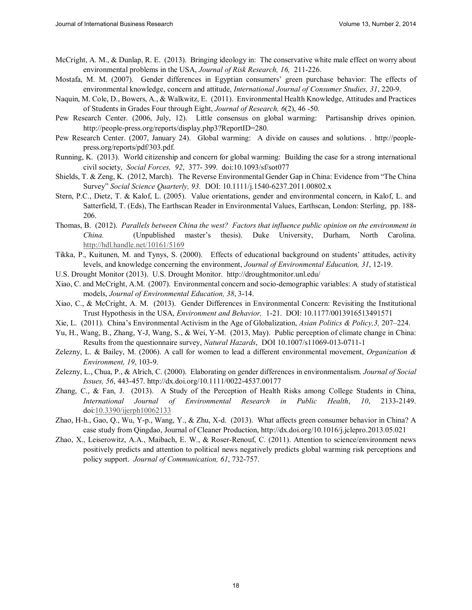- McCright, A. M., & Dunlap, R. E. (2013). Bringing ideology in: The conservative white male effect on worry about environmental problems in the USA, *Journal of Risk Research, 16,* 211-226.
- Mostafa, M. M. (2007). Gender differences in Egyptian consumers' green purchase behavior: The effects of environmental knowledge, concern and attitude, *International Journal of Consumer Studies, 31*, 220-9.
- Naquin, M. Cole, D., Bowers, A., & Walkwitz, E. (2011). Environmental Health Knowledge, Attitudes and Practices of Students in Grades Four through Eight, *Journal of Research, 6*(2), 46 -50.
- Pew Research Center. (2006, July, 12). Little consensus on global warming: Partisanship drives opinion. http://people-press.org/reports/display.php3?ReportID=280.
- Pew Research Center. (2007, January 24). Global warming: A divide on causes and solutions. . http://peoplepress.org/reports/pdf/303.pdf.
- Running, K. (2013). World citizenship and concern for global warming: Building the case for a strong international civil society, *Social Forces, 92*, 377- 399. doi:10.1093/sf/sot077
- Shields, T. & Zeng, K. (2012, March). The Reverse Environmental Gender Gap in China: Evidence from "The China Survey" *Social Science Quarterly, 93.* DOI: 10.1111/j.1540-6237.2011.00802.x
- Stern, P.C., Dietz, T. & Kalof, L. (2005). Value orientations, gender and environmental concern, in Kalof, L. and Satterfield, T. (Eds), The Earthscan Reader in Environmental Values, Earthscan, London: Sterling, pp. 188- 206.
- Thomas, B. (2012). *Parallels between China the west? Factors that influence public opinion on the environment in China.* (Unpublished master's thesis). Duke University, Durham, North Carolina. http://hdl.handle.net/10161/5169
- Tikka, P., Kuitunen, M. and Tynys, S. (2000). Effects of educational background on students' attitudes, activity levels, and knowledge concerning the environment, *Journal of Environmental Education, 31*, 12-19.
- U.S. Drought Monitor (2013). U.S. Drought Monitor. http://droughtmonitor.unl.edu/
- Xiao, C. and McCright, A.M. (2007). Environmental concern and socio-demographic variables: A study of statistical models, *Journal of Environmental Education, 38*, 3-14.
- Xiao, C., & McCright, A. M. (2013). Gender Differences in Environmental Concern: Revisiting the Institutional Trust Hypothesis in the USA, *Environment and Behavior,* 1-21. DOI: 10.1177/0013916513491571
- Xie, L. (2011). China's Environmental Activism in the Age of Globalization, *Asian Politics & Policy,3,* 207–224.
- Yu, H., Wang, B., Zhang, Y-J, Wang, S., & Wei, Y-M. (2013, May). Public perception of climate change in China: Results from the questionnaire survey, *Natural Hazards*, DOI 10.1007/s11069-013-0711-1
- Zelezny, L. & Bailey, M. (2006). A call for women to lead a different environmental movement, *Organization & Environment, 19*, 103-9.
- Zelezny, L., Chua, P., & Alrich, C. (2000). Elaborating on gender differences in environmentalism. *Journal of Social Issues, 56*, 443-457. http://dx.doi.org/10.1111/0022-4537.00177
- Zhang, C., & Fan, J. (2013). A Study of the Perception of Health Risks among College Students in China, *International Journal of Environmental Research in Public Health*, *10*, 2133-2149. doi:10.3390/ijerph10062133
- Zhao, H-h., Gao, Q., Wu, Y-p., Wang, Y., & Zhu, X-d. (2013). What affects green consumer behavior in China? A case study from Qingdao, Journal of Cleaner Production, http://dx.doi.org/10.1016/j.jclepro.2013.05.021
- Zhao, X., Leiserowitz, A.A., Maibach, E. W., & Roser-Renouf, C. (2011). Attention to science/environment news positively predicts and attention to political news negatively predicts global warming risk perceptions and policy support. *Journal of Communication, 61*, 732-757.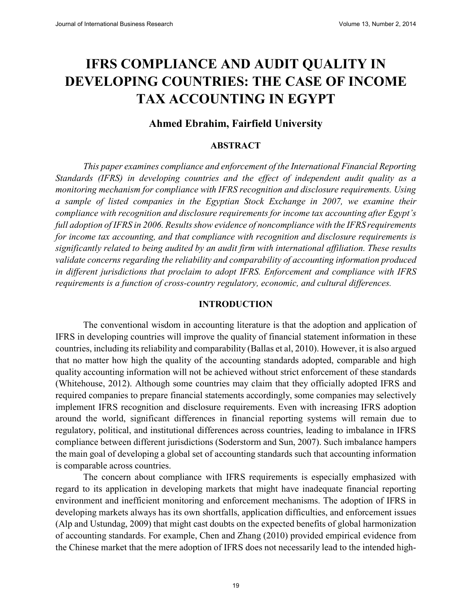### **IFRS COMPLIANCE AND AUDIT QUALITY IN DEVELOPING COUNTRIES: THE CASE OF INCOME TAX ACCOUNTING IN EGYPT**

#### **Ahmed Ebrahim, Fairfield University**

#### **ABSTRACT**

*This paper examines compliance and enforcement of the International Financial Reporting Standards (IFRS) in developing countries and the effect of independent audit quality as a monitoring mechanism for compliance with IFRS recognition and disclosure requirements. Using a sample of listed companies in the Egyptian Stock Exchange in 2007, we examine their compliance with recognition and disclosure requirements for income tax accounting after Egypt's full adoption of IFRS in 2006. Results show evidence of noncompliance with the IFRS requirements for income tax accounting, and that compliance with recognition and disclosure requirements is significantly related to being audited by an audit firm with international affiliation. These results validate concerns regarding the reliability and comparability of accounting information produced in different jurisdictions that proclaim to adopt IFRS. Enforcement and compliance with IFRS requirements is a function of cross-country regulatory, economic, and cultural differences.* 

#### **INTRODUCTION**

The conventional wisdom in accounting literature is that the adoption and application of IFRS in developing countries will improve the quality of financial statement information in these countries, including its reliability and comparability (Ballas et al, 2010). However, it is also argued that no matter how high the quality of the accounting standards adopted, comparable and high quality accounting information will not be achieved without strict enforcement of these standards (Whitehouse, 2012). Although some countries may claim that they officially adopted IFRS and required companies to prepare financial statements accordingly, some companies may selectively implement IFRS recognition and disclosure requirements. Even with increasing IFRS adoption around the world, significant differences in financial reporting systems will remain due to regulatory, political, and institutional differences across countries, leading to imbalance in IFRS compliance between different jurisdictions (Soderstorm and Sun, 2007). Such imbalance hampers the main goal of developing a global set of accounting standards such that accounting information is comparable across countries.

The concern about compliance with IFRS requirements is especially emphasized with regard to its application in developing markets that might have inadequate financial reporting environment and inefficient monitoring and enforcement mechanisms. The adoption of IFRS in developing markets always has its own shortfalls, application difficulties, and enforcement issues (Alp and Ustundag, 2009) that might cast doubts on the expected benefits of global harmonization of accounting standards. For example, Chen and Zhang (2010) provided empirical evidence from the Chinese market that the mere adoption of IFRS does not necessarily lead to the intended high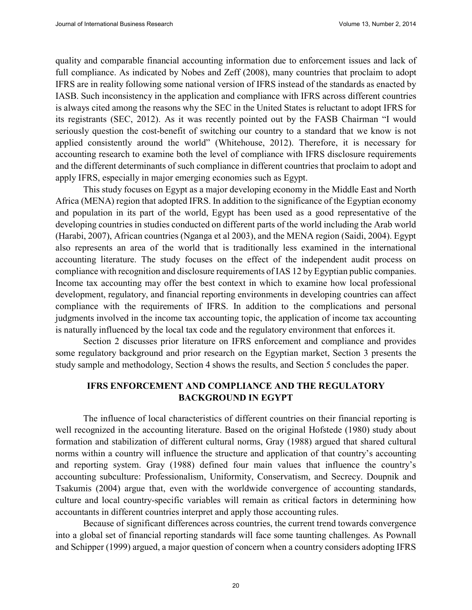quality and comparable financial accounting information due to enforcement issues and lack of full compliance. As indicated by Nobes and Zeff (2008), many countries that proclaim to adopt IFRS are in reality following some national version of IFRS instead of the standards as enacted by IASB. Such inconsistency in the application and compliance with IFRS across different countries is always cited among the reasons why the SEC in the United States is reluctant to adopt IFRS for its registrants (SEC, 2012). As it was recently pointed out by the FASB Chairman "I would seriously question the cost-benefit of switching our country to a standard that we know is not applied consistently around the world" (Whitehouse, 2012). Therefore, it is necessary for accounting research to examine both the level of compliance with IFRS disclosure requirements and the different determinants of such compliance in different countries that proclaim to adopt and apply IFRS, especially in major emerging economies such as Egypt.

This study focuses on Egypt as a major developing economy in the Middle East and North Africa (MENA) region that adopted IFRS. In addition to the significance of the Egyptian economy and population in its part of the world, Egypt has been used as a good representative of the developing countries in studies conducted on different parts of the world including the Arab world (Harabi, 2007), African countries (Nganga et al 2003), and the MENA region (Saidi, 2004). Egypt also represents an area of the world that is traditionally less examined in the international accounting literature. The study focuses on the effect of the independent audit process on compliance with recognition and disclosure requirements of IAS 12 by Egyptian public companies. Income tax accounting may offer the best context in which to examine how local professional development, regulatory, and financial reporting environments in developing countries can affect compliance with the requirements of IFRS. In addition to the complications and personal judgments involved in the income tax accounting topic, the application of income tax accounting is naturally influenced by the local tax code and the regulatory environment that enforces it.

Section 2 discusses prior literature on IFRS enforcement and compliance and provides some regulatory background and prior research on the Egyptian market, Section 3 presents the study sample and methodology, Section 4 shows the results, and Section 5 concludes the paper.

#### **IFRS ENFORCEMENT AND COMPLIANCE AND THE REGULATORY BACKGROUND IN EGYPT**

The influence of local characteristics of different countries on their financial reporting is well recognized in the accounting literature. Based on the original Hofstede (1980) study about formation and stabilization of different cultural norms, Gray (1988) argued that shared cultural norms within a country will influence the structure and application of that country's accounting and reporting system. Gray (1988) defined four main values that influence the country's accounting subculture: Professionalism, Uniformity, Conservatism, and Secrecy. Doupnik and Tsakumis (2004) argue that, even with the worldwide convergence of accounting standards, culture and local country-specific variables will remain as critical factors in determining how accountants in different countries interpret and apply those accounting rules.

Because of significant differences across countries, the current trend towards convergence into a global set of financial reporting standards will face some taunting challenges. As Pownall and Schipper (1999) argued, a major question of concern when a country considers adopting IFRS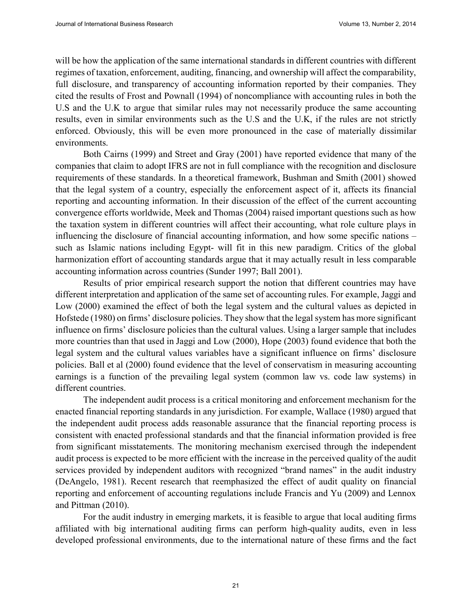will be how the application of the same international standards in different countries with different regimes of taxation, enforcement, auditing, financing, and ownership will affect the comparability, full disclosure, and transparency of accounting information reported by their companies. They cited the results of Frost and Pownall (1994) of noncompliance with accounting rules in both the U.S and the U.K to argue that similar rules may not necessarily produce the same accounting results, even in similar environments such as the U.S and the U.K, if the rules are not strictly enforced. Obviously, this will be even more pronounced in the case of materially dissimilar environments.

Both Cairns (1999) and Street and Gray (2001) have reported evidence that many of the companies that claim to adopt IFRS are not in full compliance with the recognition and disclosure requirements of these standards. In a theoretical framework, Bushman and Smith (2001) showed that the legal system of a country, especially the enforcement aspect of it, affects its financial reporting and accounting information. In their discussion of the effect of the current accounting convergence efforts worldwide, Meek and Thomas (2004) raised important questions such as how the taxation system in different countries will affect their accounting, what role culture plays in influencing the disclosure of financial accounting information, and how some specific nations – such as Islamic nations including Egypt- will fit in this new paradigm. Critics of the global harmonization effort of accounting standards argue that it may actually result in less comparable accounting information across countries (Sunder 1997; Ball 2001).

Results of prior empirical research support the notion that different countries may have different interpretation and application of the same set of accounting rules. For example, Jaggi and Low (2000) examined the effect of both the legal system and the cultural values as depicted in Hofstede (1980) on firms' disclosure policies. They show that the legal system has more significant influence on firms' disclosure policies than the cultural values. Using a larger sample that includes more countries than that used in Jaggi and Low (2000), Hope (2003) found evidence that both the legal system and the cultural values variables have a significant influence on firms' disclosure policies. Ball et al (2000) found evidence that the level of conservatism in measuring accounting earnings is a function of the prevailing legal system (common law vs. code law systems) in different countries.

The independent audit process is a critical monitoring and enforcement mechanism for the enacted financial reporting standards in any jurisdiction. For example, Wallace (1980) argued that the independent audit process adds reasonable assurance that the financial reporting process is consistent with enacted professional standards and that the financial information provided is free from significant misstatements. The monitoring mechanism exercised through the independent audit process is expected to be more efficient with the increase in the perceived quality of the audit services provided by independent auditors with recognized "brand names" in the audit industry (DeAngelo, 1981). Recent research that reemphasized the effect of audit quality on financial reporting and enforcement of accounting regulations include Francis and Yu (2009) and Lennox and Pittman (2010).

For the audit industry in emerging markets, it is feasible to argue that local auditing firms affiliated with big international auditing firms can perform high-quality audits, even in less developed professional environments, due to the international nature of these firms and the fact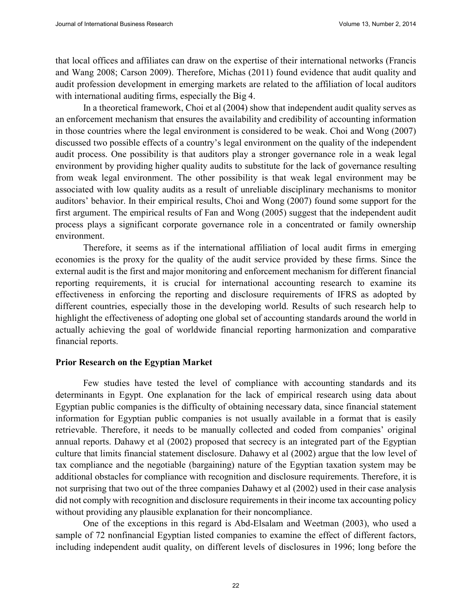that local offices and affiliates can draw on the expertise of their international networks (Francis and Wang 2008; Carson 2009). Therefore, Michas (2011) found evidence that audit quality and audit profession development in emerging markets are related to the affiliation of local auditors with international auditing firms, especially the Big 4.

In a theoretical framework, Choi et al (2004) show that independent audit quality serves as an enforcement mechanism that ensures the availability and credibility of accounting information in those countries where the legal environment is considered to be weak. Choi and Wong (2007) discussed two possible effects of a country's legal environment on the quality of the independent audit process. One possibility is that auditors play a stronger governance role in a weak legal environment by providing higher quality audits to substitute for the lack of governance resulting from weak legal environment. The other possibility is that weak legal environment may be associated with low quality audits as a result of unreliable disciplinary mechanisms to monitor auditors' behavior. In their empirical results, Choi and Wong (2007) found some support for the first argument. The empirical results of Fan and Wong (2005) suggest that the independent audit process plays a significant corporate governance role in a concentrated or family ownership environment.

Therefore, it seems as if the international affiliation of local audit firms in emerging economies is the proxy for the quality of the audit service provided by these firms. Since the external audit is the first and major monitoring and enforcement mechanism for different financial reporting requirements, it is crucial for international accounting research to examine its effectiveness in enforcing the reporting and disclosure requirements of IFRS as adopted by different countries, especially those in the developing world. Results of such research help to highlight the effectiveness of adopting one global set of accounting standards around the world in actually achieving the goal of worldwide financial reporting harmonization and comparative financial reports.

#### **Prior Research on the Egyptian Market**

Few studies have tested the level of compliance with accounting standards and its determinants in Egypt. One explanation for the lack of empirical research using data about Egyptian public companies is the difficulty of obtaining necessary data, since financial statement information for Egyptian public companies is not usually available in a format that is easily retrievable. Therefore, it needs to be manually collected and coded from companies' original annual reports. Dahawy et al (2002) proposed that secrecy is an integrated part of the Egyptian culture that limits financial statement disclosure. Dahawy et al (2002) argue that the low level of tax compliance and the negotiable (bargaining) nature of the Egyptian taxation system may be additional obstacles for compliance with recognition and disclosure requirements. Therefore, it is not surprising that two out of the three companies Dahawy et al (2002) used in their case analysis did not comply with recognition and disclosure requirements in their income tax accounting policy without providing any plausible explanation for their noncompliance.

One of the exceptions in this regard is Abd-Elsalam and Weetman (2003), who used a sample of 72 nonfinancial Egyptian listed companies to examine the effect of different factors, including independent audit quality, on different levels of disclosures in 1996; long before the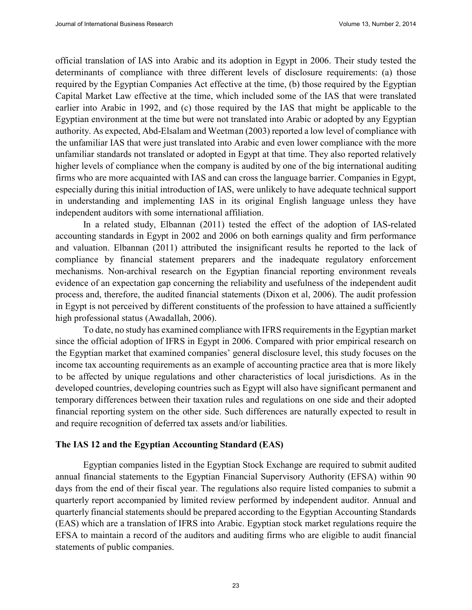official translation of IAS into Arabic and its adoption in Egypt in 2006. Their study tested the determinants of compliance with three different levels of disclosure requirements: (a) those required by the Egyptian Companies Act effective at the time, (b) those required by the Egyptian Capital Market Law effective at the time, which included some of the IAS that were translated earlier into Arabic in 1992, and (c) those required by the IAS that might be applicable to the Egyptian environment at the time but were not translated into Arabic or adopted by any Egyptian authority. As expected, Abd-Elsalam and Weetman (2003) reported a low level of compliance with the unfamiliar IAS that were just translated into Arabic and even lower compliance with the more unfamiliar standards not translated or adopted in Egypt at that time. They also reported relatively higher levels of compliance when the company is audited by one of the big international auditing firms who are more acquainted with IAS and can cross the language barrier. Companies in Egypt, especially during this initial introduction of IAS, were unlikely to have adequate technical support in understanding and implementing IAS in its original English language unless they have independent auditors with some international affiliation.

In a related study, Elbannan (2011) tested the effect of the adoption of IAS-related accounting standards in Egypt in 2002 and 2006 on both earnings quality and firm performance and valuation. Elbannan (2011) attributed the insignificant results he reported to the lack of compliance by financial statement preparers and the inadequate regulatory enforcement mechanisms. Non-archival research on the Egyptian financial reporting environment reveals evidence of an expectation gap concerning the reliability and usefulness of the independent audit process and, therefore, the audited financial statements (Dixon et al, 2006). The audit profession in Egypt is not perceived by different constituents of the profession to have attained a sufficiently high professional status (Awadallah, 2006).

To date, no study has examined compliance with IFRS requirements in the Egyptian market since the official adoption of IFRS in Egypt in 2006. Compared with prior empirical research on the Egyptian market that examined companies' general disclosure level, this study focuses on the income tax accounting requirements as an example of accounting practice area that is more likely to be affected by unique regulations and other characteristics of local jurisdictions. As in the developed countries, developing countries such as Egypt will also have significant permanent and temporary differences between their taxation rules and regulations on one side and their adopted financial reporting system on the other side. Such differences are naturally expected to result in and require recognition of deferred tax assets and/or liabilities.

#### **The IAS 12 and the Egyptian Accounting Standard (EAS)**

Egyptian companies listed in the Egyptian Stock Exchange are required to submit audited annual financial statements to the Egyptian Financial Supervisory Authority (EFSA) within 90 days from the end of their fiscal year. The regulations also require listed companies to submit a quarterly report accompanied by limited review performed by independent auditor. Annual and quarterly financial statements should be prepared according to the Egyptian Accounting Standards (EAS) which are a translation of IFRS into Arabic. Egyptian stock market regulations require the EFSA to maintain a record of the auditors and auditing firms who are eligible to audit financial statements of public companies.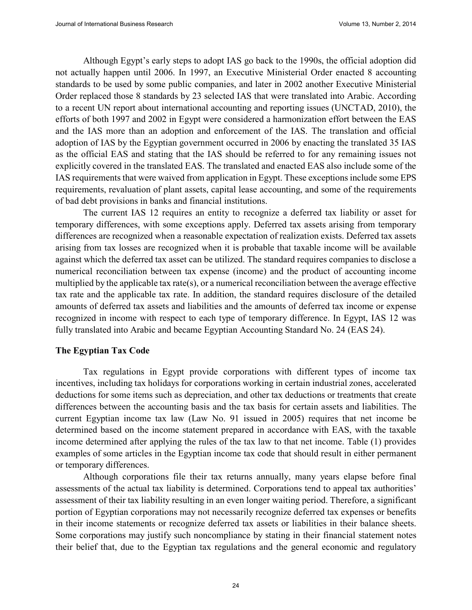Although Egypt's early steps to adopt IAS go back to the 1990s, the official adoption did not actually happen until 2006. In 1997, an Executive Ministerial Order enacted 8 accounting standards to be used by some public companies, and later in 2002 another Executive Ministerial Order replaced those 8 standards by 23 selected IAS that were translated into Arabic. According to a recent UN report about international accounting and reporting issues (UNCTAD, 2010), the efforts of both 1997 and 2002 in Egypt were considered a harmonization effort between the EAS and the IAS more than an adoption and enforcement of the IAS. The translation and official adoption of IAS by the Egyptian government occurred in 2006 by enacting the translated 35 IAS as the official EAS and stating that the IAS should be referred to for any remaining issues not explicitly covered in the translated EAS. The translated and enacted EAS also include some of the IAS requirements that were waived from application in Egypt. These exceptions include some EPS requirements, revaluation of plant assets, capital lease accounting, and some of the requirements of bad debt provisions in banks and financial institutions.

The current IAS 12 requires an entity to recognize a deferred tax liability or asset for temporary differences, with some exceptions apply. Deferred tax assets arising from temporary differences are recognized when a reasonable expectation of realization exists. Deferred tax assets arising from tax losses are recognized when it is probable that taxable income will be available against which the deferred tax asset can be utilized. The standard requires companies to disclose a numerical reconciliation between tax expense (income) and the product of accounting income multiplied by the applicable tax rate(s), or a numerical reconciliation between the average effective tax rate and the applicable tax rate. In addition, the standard requires disclosure of the detailed amounts of deferred tax assets and liabilities and the amounts of deferred tax income or expense recognized in income with respect to each type of temporary difference. In Egypt, IAS 12 was fully translated into Arabic and became Egyptian Accounting Standard No. 24 (EAS 24).

#### **The Egyptian Tax Code**

Tax regulations in Egypt provide corporations with different types of income tax incentives, including tax holidays for corporations working in certain industrial zones, accelerated deductions for some items such as depreciation, and other tax deductions or treatments that create differences between the accounting basis and the tax basis for certain assets and liabilities. The current Egyptian income tax law (Law No. 91 issued in 2005) requires that net income be determined based on the income statement prepared in accordance with EAS, with the taxable income determined after applying the rules of the tax law to that net income. Table (1) provides examples of some articles in the Egyptian income tax code that should result in either permanent or temporary differences.

Although corporations file their tax returns annually, many years elapse before final assessments of the actual tax liability is determined. Corporations tend to appeal tax authorities' assessment of their tax liability resulting in an even longer waiting period. Therefore, a significant portion of Egyptian corporations may not necessarily recognize deferred tax expenses or benefits in their income statements or recognize deferred tax assets or liabilities in their balance sheets. Some corporations may justify such noncompliance by stating in their financial statement notes their belief that, due to the Egyptian tax regulations and the general economic and regulatory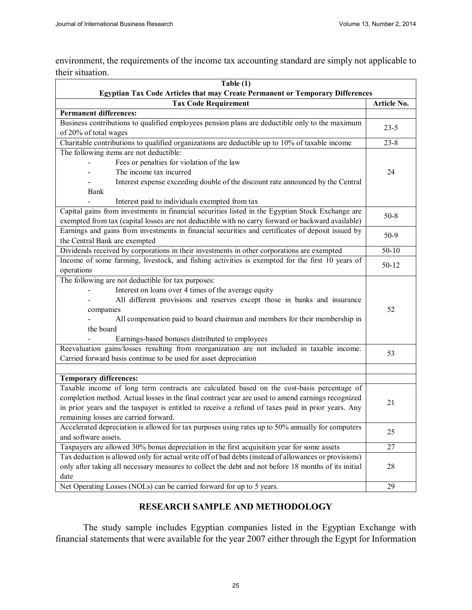environment, the requirements of the income tax accounting standard are simply not applicable to their situation.

| Table $(1)$                                                                                                                        |             |  |
|------------------------------------------------------------------------------------------------------------------------------------|-------------|--|
| Egyptian Tax Code Articles that may Create Permanent or Temporary Differences                                                      |             |  |
| <b>Tax Code Requirement</b>                                                                                                        | Article No. |  |
| <b>Permanent differences:</b>                                                                                                      |             |  |
| Business contributions to qualified employees pension plans are deductible only to the maximum<br>of 20% of total wages            | $23 - 5$    |  |
| Charitable contributions to qualified organizations are deductible up to 10% of taxable income                                     | $23 - 8$    |  |
| The following items are not deductible:                                                                                            |             |  |
| Fees or penalties for violation of the law                                                                                         |             |  |
| The income tax incurred                                                                                                            | 24          |  |
| Interest expense exceeding double of the discount rate announced by the Central                                                    |             |  |
| <b>Bank</b>                                                                                                                        |             |  |
| Interest paid to individuals exempted from tax                                                                                     |             |  |
| Capital gains from investments in financial securities listed in the Egyptian Stock Exchange are                                   |             |  |
| exempted from tax (capital losses are not deductible with no carry forward or backward available)                                  | $50 - 8$    |  |
| Earnings and gains from investments in financial securities and certificates of deposit issued by<br>the Central Bank are exempted | $50-9$      |  |
| Dividends received by corporations in their investments in other corporations are exempted                                         | $50-10$     |  |
| Income of some farming, livestock, and fishing activities is exempted for the first 10 years of                                    |             |  |
| operations                                                                                                                         | $50 - 12$   |  |
| The following are not deductible for tax purposes:                                                                                 |             |  |
| Interest on loans over 4 times of the average equity                                                                               |             |  |
| All different provisions and reserves except those in banks and insurance                                                          |             |  |
| companies                                                                                                                          | 52          |  |
| All compensation paid to board chairman and members for their membership in                                                        |             |  |
| the board                                                                                                                          |             |  |
| Earnings-based bonuses distributed to employees                                                                                    |             |  |
| Reevaluation gains/losses resulting from reorganization are not included in taxable income.                                        | 53          |  |
| Carried forward basis continue to be used for asset depreciation                                                                   |             |  |
|                                                                                                                                    |             |  |
| <b>Temporary differences:</b>                                                                                                      |             |  |
| Taxable income of long term contracts are calculated based on the cost-basis percentage of                                         |             |  |
| completion method. Actual losses in the final contract year are used to amend earnings recognized                                  | 21          |  |
| in prior years and the taxpayer is entitled to receive a refund of taxes paid in prior years. Any                                  |             |  |
| remaining losses are carried forward.                                                                                              |             |  |
| Accelerated depreciation is allowed for tax purposes using rates up to 50% annually for computers                                  |             |  |
| and software assets.                                                                                                               | 25          |  |
| Taxpayers are allowed 30% bonus depreciation in the first acquisition year for some assets                                         |             |  |
| Tax deduction is allowed only for actual write off of bad debts (instead of allowances or provisions)                              |             |  |
| only after taking all necessary measures to collect the debt and not before 18 months of its initial                               | 28          |  |
| date                                                                                                                               |             |  |
| Net Operating Losses (NOLs) can be carried forward for up to 5 years.                                                              | 29          |  |

#### **RESEARCH SAMPLE AND METHODOLOGY**

The study sample includes Egyptian companies listed in the Egyptian Exchange with financial statements that were available for the year 2007 either through the Egypt for Information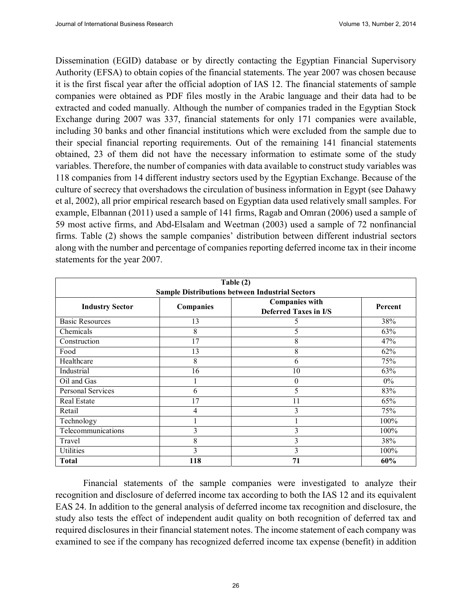Dissemination (EGID) database or by directly contacting the Egyptian Financial Supervisory Authority (EFSA) to obtain copies of the financial statements. The year 2007 was chosen because it is the first fiscal year after the official adoption of IAS 12. The financial statements of sample companies were obtained as PDF files mostly in the Arabic language and their data had to be extracted and coded manually. Although the number of companies traded in the Egyptian Stock Exchange during 2007 was 337, financial statements for only 171 companies were available, including 30 banks and other financial institutions which were excluded from the sample due to their special financial reporting requirements. Out of the remaining 141 financial statements obtained, 23 of them did not have the necessary information to estimate some of the study variables. Therefore, the number of companies with data available to construct study variables was 118 companies from 14 different industry sectors used by the Egyptian Exchange. Because of the culture of secrecy that overshadows the circulation of business information in Egypt (see Dahawy et al, 2002), all prior empirical research based on Egyptian data used relatively small samples. For example, Elbannan (2011) used a sample of 141 firms, Ragab and Omran (2006) used a sample of 59 most active firms, and Abd-Elsalam and Weetman (2003) used a sample of 72 nonfinancial firms. Table (2) shows the sample companies' distribution between different industrial sectors along with the number and percentage of companies reporting deferred income tax in their income statements for the year 2007.

| Table (2)                                              |           |                                                       |         |  |  |
|--------------------------------------------------------|-----------|-------------------------------------------------------|---------|--|--|
| <b>Sample Distributions between Industrial Sectors</b> |           |                                                       |         |  |  |
| <b>Industry Sector</b>                                 | Companies | <b>Companies with</b><br><b>Deferred Taxes in I/S</b> | Percent |  |  |
| <b>Basic Resources</b>                                 | 13        | 5                                                     | 38%     |  |  |
| Chemicals                                              | 8         | 5                                                     | 63%     |  |  |
| Construction                                           | 17        | 8                                                     | 47%     |  |  |
| Food                                                   | 13        | 8                                                     | 62%     |  |  |
| Healthcare                                             | 8         | 6                                                     | 75%     |  |  |
| Industrial                                             | 16        | 10                                                    | 63%     |  |  |
| Oil and Gas                                            |           | $\boldsymbol{0}$                                      | $0\%$   |  |  |
| Personal Services                                      | 6         | 5                                                     | 83%     |  |  |
| <b>Real Estate</b>                                     | 17        | 11                                                    | 65%     |  |  |
| Retail                                                 | 4         | 3                                                     | 75%     |  |  |
| Technology                                             |           |                                                       | 100%    |  |  |
| Telecommunications                                     | 3         | 3                                                     | 100%    |  |  |
| Travel                                                 | 8         | 3                                                     | 38%     |  |  |
| Utilities                                              | 3         | 3                                                     | 100%    |  |  |
| <b>Total</b>                                           | 118       | 71                                                    | 60%     |  |  |

Financial statements of the sample companies were investigated to analyze their recognition and disclosure of deferred income tax according to both the IAS 12 and its equivalent EAS 24. In addition to the general analysis of deferred income tax recognition and disclosure, the study also tests the effect of independent audit quality on both recognition of deferred tax and required disclosures in their financial statement notes. The income statement of each company was examined to see if the company has recognized deferred income tax expense (benefit) in addition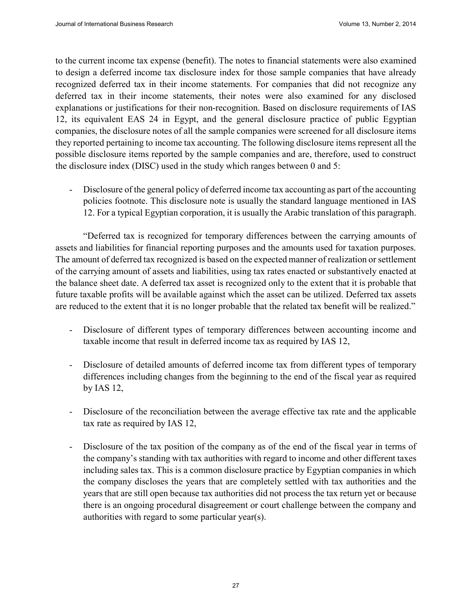to the current income tax expense (benefit). The notes to financial statements were also examined to design a deferred income tax disclosure index for those sample companies that have already recognized deferred tax in their income statements. For companies that did not recognize any deferred tax in their income statements, their notes were also examined for any disclosed explanations or justifications for their non-recognition. Based on disclosure requirements of IAS 12, its equivalent EAS 24 in Egypt, and the general disclosure practice of public Egyptian companies, the disclosure notes of all the sample companies were screened for all disclosure items they reported pertaining to income tax accounting. The following disclosure items represent all the possible disclosure items reported by the sample companies and are, therefore, used to construct the disclosure index (DISC) used in the study which ranges between 0 and 5:

Disclosure of the general policy of deferred income tax accounting as part of the accounting policies footnote. This disclosure note is usually the standard language mentioned in IAS 12. For a typical Egyptian corporation, it is usually the Arabic translation of this paragraph.

"Deferred tax is recognized for temporary differences between the carrying amounts of assets and liabilities for financial reporting purposes and the amounts used for taxation purposes. The amount of deferred tax recognized is based on the expected manner of realization or settlement of the carrying amount of assets and liabilities, using tax rates enacted or substantively enacted at the balance sheet date. A deferred tax asset is recognized only to the extent that it is probable that future taxable profits will be available against which the asset can be utilized. Deferred tax assets are reduced to the extent that it is no longer probable that the related tax benefit will be realized."

- Disclosure of different types of temporary differences between accounting income and taxable income that result in deferred income tax as required by IAS 12,
- Disclosure of detailed amounts of deferred income tax from different types of temporary differences including changes from the beginning to the end of the fiscal year as required by IAS 12,
- Disclosure of the reconciliation between the average effective tax rate and the applicable tax rate as required by IAS 12,
- Disclosure of the tax position of the company as of the end of the fiscal year in terms of the company's standing with tax authorities with regard to income and other different taxes including sales tax. This is a common disclosure practice by Egyptian companies in which the company discloses the years that are completely settled with tax authorities and the years that are still open because tax authorities did not process the tax return yet or because there is an ongoing procedural disagreement or court challenge between the company and authorities with regard to some particular year(s).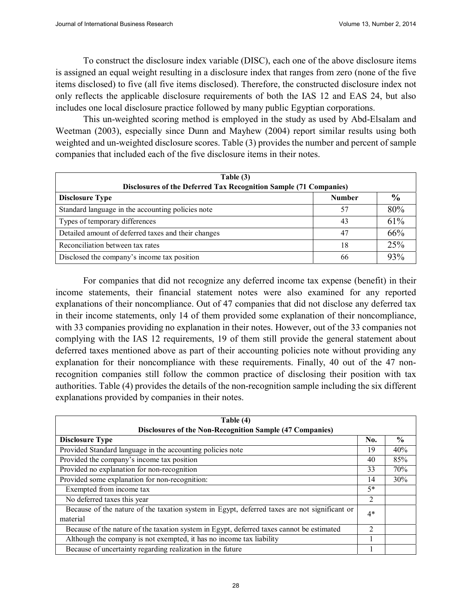To construct the disclosure index variable (DISC), each one of the above disclosure items is assigned an equal weight resulting in a disclosure index that ranges from zero (none of the five items disclosed) to five (all five items disclosed). Therefore, the constructed disclosure index not only reflects the applicable disclosure requirements of both the IAS 12 and EAS 24, but also includes one local disclosure practice followed by many public Egyptian corporations.

This un-weighted scoring method is employed in the study as used by Abd-Elsalam and Weetman (2003), especially since Dunn and Mayhew (2004) report similar results using both weighted and un-weighted disclosure scores. Table (3) provides the number and percent of sample companies that included each of the five disclosure items in their notes.

| Table (3)<br>Disclosures of the Deferred Tax Recognition Sample (71 Companies) |               |               |  |
|--------------------------------------------------------------------------------|---------------|---------------|--|
| <b>Disclosure Type</b>                                                         | <b>Number</b> | $\frac{0}{0}$ |  |
| Standard language in the accounting policies note                              | 57            | 80%           |  |
| Types of temporary differences                                                 | 43            | 61%           |  |
| Detailed amount of deferred taxes and their changes                            | 47            | 66%           |  |
| Reconciliation between tax rates                                               | 18            | 25%           |  |
| Disclosed the company's income tax position                                    | 66            | 93%           |  |

For companies that did not recognize any deferred income tax expense (benefit) in their income statements, their financial statement notes were also examined for any reported explanations of their noncompliance. Out of 47 companies that did not disclose any deferred tax in their income statements, only 14 of them provided some explanation of their noncompliance, with 33 companies providing no explanation in their notes. However, out of the 33 companies not complying with the IAS 12 requirements, 19 of them still provide the general statement about deferred taxes mentioned above as part of their accounting policies note without providing any explanation for their noncompliance with these requirements. Finally, 40 out of the 47 nonrecognition companies still follow the common practice of disclosing their position with tax authorities. Table (4) provides the details of the non-recognition sample including the six different explanations provided by companies in their notes.

| Table (4)                                                                                    |                |               |  |  |
|----------------------------------------------------------------------------------------------|----------------|---------------|--|--|
| Disclosures of the Non-Recognition Sample (47 Companies)                                     |                |               |  |  |
| <b>Disclosure Type</b>                                                                       | No.            | $\frac{0}{0}$ |  |  |
| Provided Standard language in the accounting policies note                                   | 19             | 40%           |  |  |
| Provided the company's income tax position                                                   | 40             | 85%           |  |  |
| Provided no explanation for non-recognition                                                  | 33             | 70%           |  |  |
| Provided some explanation for non-recognition:                                               | 14             | 30%           |  |  |
| Exempted from income tax                                                                     | $5*$           |               |  |  |
| No deferred taxes this year                                                                  | 2              |               |  |  |
| Because of the nature of the taxation system in Egypt, deferred taxes are not significant or | 4*             |               |  |  |
| material                                                                                     |                |               |  |  |
| Because of the nature of the taxation system in Egypt, deferred taxes cannot be estimated    | $\mathfrak{D}$ |               |  |  |
| Although the company is not exempted, it has no income tax liability                         |                |               |  |  |
| Because of uncertainty regarding realization in the future                                   |                |               |  |  |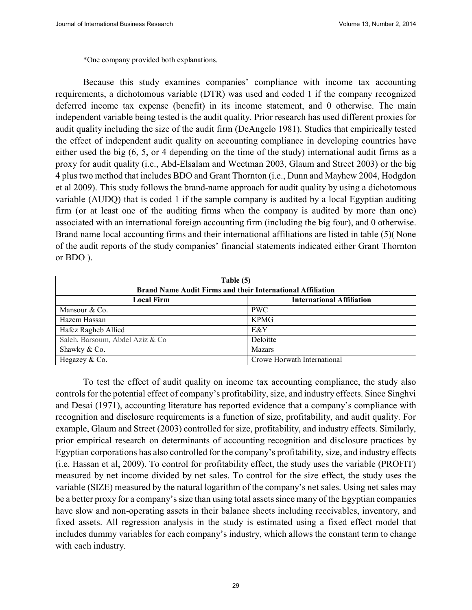\*One company provided both explanations.

Because this study examines companies' compliance with income tax accounting requirements, a dichotomous variable (DTR) was used and coded 1 if the company recognized deferred income tax expense (benefit) in its income statement, and 0 otherwise. The main independent variable being tested is the audit quality. Prior research has used different proxies for audit quality including the size of the audit firm (DeAngelo 1981). Studies that empirically tested the effect of independent audit quality on accounting compliance in developing countries have either used the big (6, 5, or 4 depending on the time of the study) international audit firms as a proxy for audit quality (i.e., Abd-Elsalam and Weetman 2003, Glaum and Street 2003) or the big 4 plus two method that includes BDO and Grant Thornton (i.e., Dunn and Mayhew 2004, Hodgdon et al 2009). This study follows the brand-name approach for audit quality by using a dichotomous variable (AUDQ) that is coded 1 if the sample company is audited by a local Egyptian auditing firm (or at least one of the auditing firms when the company is audited by more than one) associated with an international foreign accounting firm (including the big four), and 0 otherwise. Brand name local accounting firms and their international affiliations are listed in table (5)( None of the audit reports of the study companies' financial statements indicated either Grant Thornton or BDO ).

| Table (5)<br><b>Brand Name Audit Firms and their International Affiliation</b> |                                  |  |
|--------------------------------------------------------------------------------|----------------------------------|--|
| <b>Local Firm</b>                                                              | <b>International Affiliation</b> |  |
| Mansour $& Co.$                                                                | <b>PWC</b>                       |  |
| Hazem Hassan                                                                   | <b>KPMG</b>                      |  |
| Hafez Ragheb Allied                                                            | E&Y                              |  |
| Saleh, Barsoum, Abdel Aziz & Co                                                | Deloitte                         |  |
| Shawky & Co.                                                                   | <b>Mazars</b>                    |  |
| Hegazey & Co.                                                                  | Crowe Horwath International      |  |

To test the effect of audit quality on income tax accounting compliance, the study also controls for the potential effect of company's profitability, size, and industry effects. Since Singhvi and Desai (1971), accounting literature has reported evidence that a company's compliance with recognition and disclosure requirements is a function of size, profitability, and audit quality. For example, Glaum and Street (2003) controlled for size, profitability, and industry effects. Similarly, prior empirical research on determinants of accounting recognition and disclosure practices by Egyptian corporations has also controlled for the company's profitability, size, and industry effects (i.e. Hassan et al, 2009). To control for profitability effect, the study uses the variable (PROFIT) measured by net income divided by net sales. To control for the size effect, the study uses the variable (SIZE) measured by the natural logarithm of the company's net sales. Using net sales may be a better proxy for a company's size than using total assets since many of the Egyptian companies have slow and non-operating assets in their balance sheets including receivables, inventory, and fixed assets. All regression analysis in the study is estimated using a fixed effect model that includes dummy variables for each company's industry, which allows the constant term to change with each industry.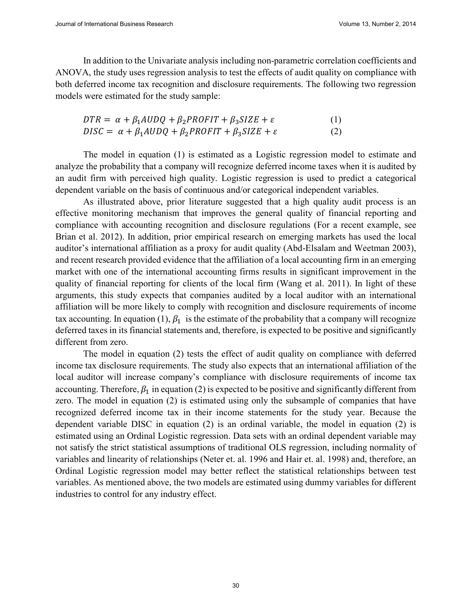In addition to the Univariate analysis including non-parametric correlation coefficients and ANOVA, the study uses regression analysis to test the effects of audit quality on compliance with both deferred income tax recognition and disclosure requirements. The following two regression models were estimated for the study sample:

$$
DTR = \alpha + \beta_1 A U D Q + \beta_2 P R O F I T + \beta_3 S I Z E + \varepsilon
$$
  

$$
DISC = \alpha + \beta_1 A U D Q + \beta_2 P R O F I T + \beta_3 S I Z E + \varepsilon
$$
 (2)

The model in equation (1) is estimated as a Logistic regression model to estimate and analyze the probability that a company will recognize deferred income taxes when it is audited by an audit firm with perceived high quality. Logistic regression is used to predict a categorical dependent variable on the basis of continuous and/or categorical independent variables.

As illustrated above, prior literature suggested that a high quality audit process is an effective monitoring mechanism that improves the general quality of financial reporting and compliance with accounting recognition and disclosure regulations (For a recent example, see Brian et al. 2012). In addition, prior empirical research on emerging markets has used the local auditor's international affiliation as a proxy for audit quality (Abd-Elsalam and Weetman 2003), and recent research provided evidence that the affiliation of a local accounting firm in an emerging market with one of the international accounting firms results in significant improvement in the quality of financial reporting for clients of the local firm (Wang et al. 2011). In light of these arguments, this study expects that companies audited by a local auditor with an international affiliation will be more likely to comply with recognition and disclosure requirements of income tax accounting. In equation (1),  $\beta_1$  is the estimate of the probability that a company will recognize deferred taxes in its financial statements and, therefore, is expected to be positive and significantly different from zero.

The model in equation (2) tests the effect of audit quality on compliance with deferred income tax disclosure requirements. The study also expects that an international affiliation of the local auditor will increase company's compliance with disclosure requirements of income tax accounting. Therefore,  $\beta_1$  in equation (2) is expected to be positive and significantly different from zero. The model in equation (2) is estimated using only the subsample of companies that have recognized deferred income tax in their income statements for the study year. Because the dependent variable DISC in equation (2) is an ordinal variable, the model in equation (2) is estimated using an Ordinal Logistic regression. Data sets with an ordinal dependent variable may not satisfy the strict statistical assumptions of traditional OLS regression, including normality of variables and linearity of relationships (Neter et. al. 1996 and Hair et. al. 1998) and, therefore, an Ordinal Logistic regression model may better reflect the statistical relationships between test variables. As mentioned above, the two models are estimated using dummy variables for different industries to control for any industry effect.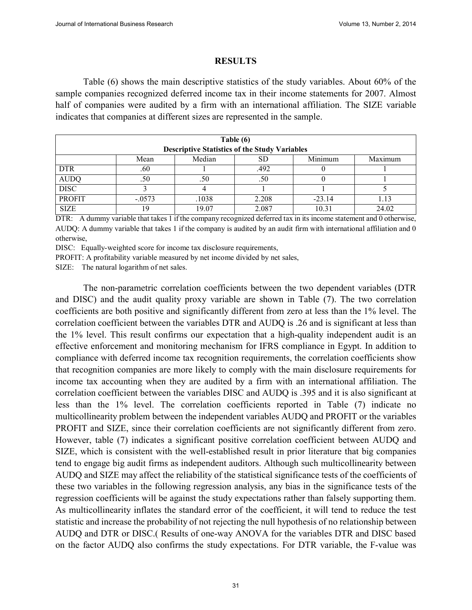#### **RESULTS**

Table (6) shows the main descriptive statistics of the study variables. About 60% of the sample companies recognized deferred income tax in their income statements for 2007. Almost half of companies were audited by a firm with an international affiliation. The SIZE variable indicates that companies at different sizes are represented in the sample.

|               |          |        | Table (6)<br><b>Descriptive Statistics of the Study Variables</b> |          |         |
|---------------|----------|--------|-------------------------------------------------------------------|----------|---------|
|               | Mean     | Median | SD                                                                | Minimum  | Maximum |
| <b>DTR</b>    | .60      |        | .492                                                              |          |         |
| <b>AUDQ</b>   | .50      | .50    | .50                                                               |          |         |
| <b>DISC</b>   |          |        |                                                                   |          |         |
| <b>PROFIT</b> | $-.0573$ | .1038  | 2.208                                                             | $-23.14$ | 1.13    |
| <b>SIZE</b>   | 19       | 19.07  | 2.087                                                             | 10.31    | 24.02   |

DTR: A dummy variable that takes 1 if the company recognized deferred tax in its income statement and 0 otherwise, AUDQ: A dummy variable that takes 1 if the company is audited by an audit firm with international affiliation and 0 otherwise,

DISC: Equally-weighted score for income tax disclosure requirements,

PROFIT: A profitability variable measured by net income divided by net sales,

SIZE: The natural logarithm of net sales.

The non-parametric correlation coefficients between the two dependent variables (DTR and DISC) and the audit quality proxy variable are shown in Table (7). The two correlation coefficients are both positive and significantly different from zero at less than the 1% level. The correlation coefficient between the variables DTR and AUDQ is .26 and is significant at less than the 1% level. This result confirms our expectation that a high-quality independent audit is an effective enforcement and monitoring mechanism for IFRS compliance in Egypt. In addition to compliance with deferred income tax recognition requirements, the correlation coefficients show that recognition companies are more likely to comply with the main disclosure requirements for income tax accounting when they are audited by a firm with an international affiliation. The correlation coefficient between the variables DISC and AUDQ is .395 and it is also significant at less than the 1% level. The correlation coefficients reported in Table (7) indicate no multicollinearity problem between the independent variables AUDQ and PROFIT or the variables PROFIT and SIZE, since their correlation coefficients are not significantly different from zero. However, table (7) indicates a significant positive correlation coefficient between AUDQ and SIZE, which is consistent with the well-established result in prior literature that big companies tend to engage big audit firms as independent auditors. Although such multicollinearity between AUDQ and SIZE may affect the reliability of the statistical significance tests of the coefficients of these two variables in the following regression analysis, any bias in the significance tests of the regression coefficients will be against the study expectations rather than falsely supporting them. As multicollinearity inflates the standard error of the coefficient, it will tend to reduce the test statistic and increase the probability of not rejecting the null hypothesis of no relationship between AUDQ and DTR or DISC.( Results of one-way ANOVA for the variables DTR and DISC based on the factor AUDQ also confirms the study expectations. For DTR variable, the F-value was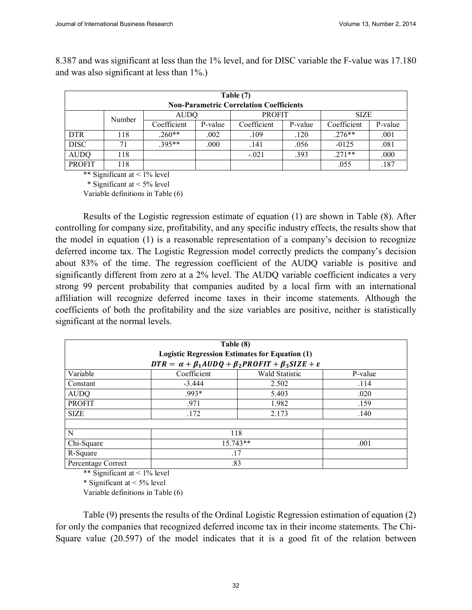and was also significant at less than 1%.) **Table (7)**

8.387 and was significant at less than the 1% level, and for DISC variable the F-value was 17.180

|               | Table (7) |             |         |                                                |         |             |         |
|---------------|-----------|-------------|---------|------------------------------------------------|---------|-------------|---------|
|               |           |             |         | <b>Non-Parametric Correlation Coefficients</b> |         |             |         |
|               | Number    | <b>AUDQ</b> |         | <b>PROFIT</b>                                  |         | <b>SIZE</b> |         |
|               |           | Coefficient | P-value | Coefficient                                    | P-value | Coefficient | P-value |
| <b>DTR</b>    | 118       | $.260**$    | .002    | .109                                           | .120    | $.276**$    | .001    |
| <b>DISC</b>   | 71        | $.395**$    | .000    | .141                                           | .056    | $-0125$     | .081    |
| <b>AUDQ</b>   | 118       |             |         | $-.021$                                        | .393    | $.271**$    | .000    |
| <b>PROFIT</b> | 118       |             |         |                                                |         | .055        | .187    |

\*\* Significant at < 1% level

\* Significant at < 5% level

Variable definitions in Table (6)

Results of the Logistic regression estimate of equation (1) are shown in Table (8). After controlling for company size, profitability, and any specific industry effects, the results show that the model in equation (1) is a reasonable representation of a company's decision to recognize deferred income tax. The Logistic Regression model correctly predicts the company's decision about 83% of the time. The regression coefficient of the AUDQ variable is positive and significantly different from zero at a 2% level. The AUDQ variable coefficient indicates a very strong 99 percent probability that companies audited by a local firm with an international affiliation will recognize deferred income taxes in their income statements. Although the coefficients of both the profitability and the size variables are positive, neither is statistically significant at the normal levels.

|                    | Table (8)          | <b>Logistic Regression Estimates for Equation (1)</b><br>$DTR = \alpha + \beta_1 A U DQ + \beta_2 P ROFIT + \beta_3 SIZE + \varepsilon$ |         |  |  |  |
|--------------------|--------------------|-----------------------------------------------------------------------------------------------------------------------------------------|---------|--|--|--|
| Variable           | Coefficient        | <b>Wald Statistic</b>                                                                                                                   | P-value |  |  |  |
| Constant           | $-3.444$           | 2.502                                                                                                                                   | .114    |  |  |  |
| <b>AUDO</b>        | $.993*$            | 5.403                                                                                                                                   | .020    |  |  |  |
| <b>PROFIT</b>      | .971               | 1.982                                                                                                                                   | .159    |  |  |  |
| <b>SIZE</b>        | .172               | 2.173                                                                                                                                   | .140    |  |  |  |
|                    |                    |                                                                                                                                         |         |  |  |  |
| N                  |                    | 118                                                                                                                                     |         |  |  |  |
| Chi-Square         | $15.743**$<br>.001 |                                                                                                                                         |         |  |  |  |
| R-Square           | .17                |                                                                                                                                         |         |  |  |  |
| Percentage Correct |                    | .83                                                                                                                                     |         |  |  |  |

\*\* Significant at < 1% level

\* Significant at  $\leq 5\%$  level

Variable definitions in Table (6)

Table (9) presents the results of the Ordinal Logistic Regression estimation of equation (2) for only the companies that recognized deferred income tax in their income statements. The Chi-Square value (20.597) of the model indicates that it is a good fit of the relation between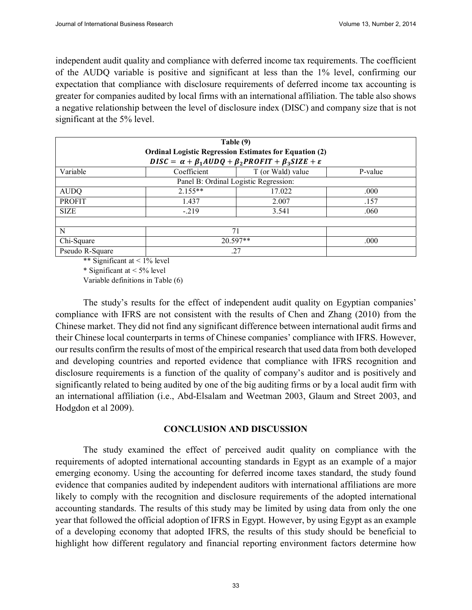independent audit quality and compliance with deferred income tax requirements. The coefficient of the AUDQ variable is positive and significant at less than the 1% level, confirming our expectation that compliance with disclosure requirements of deferred income tax accounting is greater for companies audited by local firms with an international affiliation. The table also shows a negative relationship between the level of disclosure index (DISC) and company size that is not significant at the 5% level.

|                 |                    | Table (9)<br><b>Ordinal Logistic Regression Estimates for Equation (2)</b>      |         |  |  |  |
|-----------------|--------------------|---------------------------------------------------------------------------------|---------|--|--|--|
|                 |                    | $DISC = \alpha + \beta_1 A U DQ + \beta_2 P ROFIT + \beta_3 SIZE + \varepsilon$ |         |  |  |  |
| Variable        | Coefficient        | T (or Wald) value                                                               | P-value |  |  |  |
|                 |                    | Panel B: Ordinal Logistic Regression:                                           |         |  |  |  |
| <b>AUDQ</b>     | $2.155**$          | 17.022                                                                          | .000    |  |  |  |
| <b>PROFIT</b>   | 1.437              | 2.007                                                                           | .157    |  |  |  |
| <b>SIZE</b>     | $-219$             | 3.541                                                                           | .060    |  |  |  |
|                 |                    |                                                                                 |         |  |  |  |
| N               |                    | 71                                                                              |         |  |  |  |
| Chi-Square      | $20.597**$<br>.000 |                                                                                 |         |  |  |  |
| Pseudo R-Square |                    | .27                                                                             |         |  |  |  |

\*\* Significant at < 1% level

\* Significant at < 5% level

Variable definitions in Table (6)

The study's results for the effect of independent audit quality on Egyptian companies' compliance with IFRS are not consistent with the results of Chen and Zhang (2010) from the Chinese market. They did not find any significant difference between international audit firms and their Chinese local counterparts in terms of Chinese companies' compliance with IFRS. However, our results confirm the results of most of the empirical research that used data from both developed and developing countries and reported evidence that compliance with IFRS recognition and disclosure requirements is a function of the quality of company's auditor and is positively and significantly related to being audited by one of the big auditing firms or by a local audit firm with an international affiliation (i.e., Abd-Elsalam and Weetman 2003, Glaum and Street 2003, and Hodgdon et al 2009).

#### **CONCLUSION AND DISCUSSION**

The study examined the effect of perceived audit quality on compliance with the requirements of adopted international accounting standards in Egypt as an example of a major emerging economy. Using the accounting for deferred income taxes standard, the study found evidence that companies audited by independent auditors with international affiliations are more likely to comply with the recognition and disclosure requirements of the adopted international accounting standards. The results of this study may be limited by using data from only the one year that followed the official adoption of IFRS in Egypt. However, by using Egypt as an example of a developing economy that adopted IFRS, the results of this study should be beneficial to highlight how different regulatory and financial reporting environment factors determine how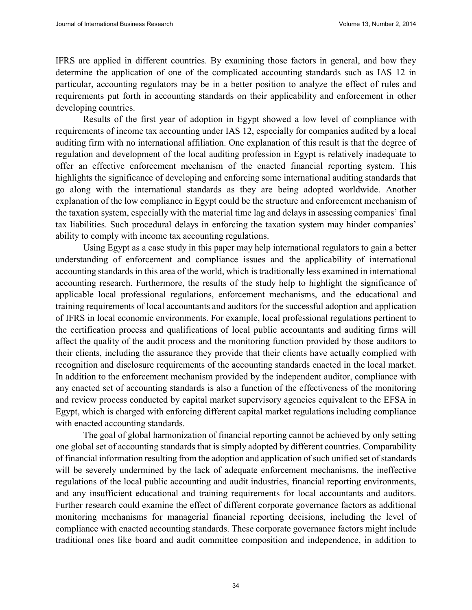IFRS are applied in different countries. By examining those factors in general, and how they determine the application of one of the complicated accounting standards such as IAS 12 in particular, accounting regulators may be in a better position to analyze the effect of rules and requirements put forth in accounting standards on their applicability and enforcement in other developing countries.

Results of the first year of adoption in Egypt showed a low level of compliance with requirements of income tax accounting under IAS 12, especially for companies audited by a local auditing firm with no international affiliation. One explanation of this result is that the degree of regulation and development of the local auditing profession in Egypt is relatively inadequate to offer an effective enforcement mechanism of the enacted financial reporting system. This highlights the significance of developing and enforcing some international auditing standards that go along with the international standards as they are being adopted worldwide. Another explanation of the low compliance in Egypt could be the structure and enforcement mechanism of the taxation system, especially with the material time lag and delays in assessing companies' final tax liabilities. Such procedural delays in enforcing the taxation system may hinder companies' ability to comply with income tax accounting regulations.

Using Egypt as a case study in this paper may help international regulators to gain a better understanding of enforcement and compliance issues and the applicability of international accounting standards in this area of the world, which is traditionally less examined in international accounting research. Furthermore, the results of the study help to highlight the significance of applicable local professional regulations, enforcement mechanisms, and the educational and training requirements of local accountants and auditors for the successful adoption and application of IFRS in local economic environments. For example, local professional regulations pertinent to the certification process and qualifications of local public accountants and auditing firms will affect the quality of the audit process and the monitoring function provided by those auditors to their clients, including the assurance they provide that their clients have actually complied with recognition and disclosure requirements of the accounting standards enacted in the local market. In addition to the enforcement mechanism provided by the independent auditor, compliance with any enacted set of accounting standards is also a function of the effectiveness of the monitoring and review process conducted by capital market supervisory agencies equivalent to the EFSA in Egypt, which is charged with enforcing different capital market regulations including compliance with enacted accounting standards.

The goal of global harmonization of financial reporting cannot be achieved by only setting one global set of accounting standards that is simply adopted by different countries. Comparability of financial information resulting from the adoption and application of such unified set of standards will be severely undermined by the lack of adequate enforcement mechanisms, the ineffective regulations of the local public accounting and audit industries, financial reporting environments, and any insufficient educational and training requirements for local accountants and auditors. Further research could examine the effect of different corporate governance factors as additional monitoring mechanisms for managerial financial reporting decisions, including the level of compliance with enacted accounting standards. These corporate governance factors might include traditional ones like board and audit committee composition and independence, in addition to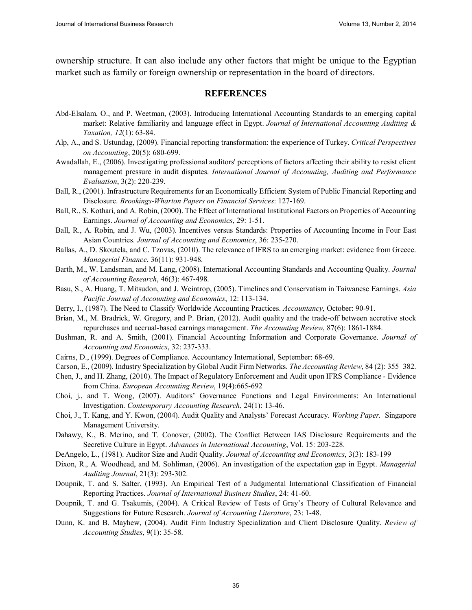ownership structure. It can also include any other factors that might be unique to the Egyptian market such as family or foreign ownership or representation in the board of directors.

#### **REFERENCES**

- Abd-Elsalam, O., and P. Weetman, (2003). Introducing International Accounting Standards to an emerging capital market: Relative familiarity and language effect in Egypt. *Journal of International Accounting Auditing & Taxation, 12*(1): 63-84.
- Alp, A., and S. Ustundag, (2009). Financial reporting transformation: the experience of Turkey. *Critical Perspectives on Accounting*, 20(5): 680-699.
- Awadallah, E., (2006). Investigating professional auditors' perceptions of factors affecting their ability to resist client management pressure in audit disputes. *International Journal of Accounting, Auditing and Performance Evaluation*, 3(2): 220-239.
- Ball, R., (2001). Infrastructure Requirements for an Economically Efficient System of Public Financial Reporting and Disclosure. *Brookings-Wharton Papers on Financial Services*: 127-169.
- Ball, R., S. Kothari, and A. Robin, (2000). The Effect of International Institutional Factors on Properties of Accounting Earnings. *Journal of Accounting and Economics*, 29: 1-51.
- Ball, R., A. Robin, and J. Wu, (2003). Incentives versus Standards: Properties of Accounting Income in Four East Asian Countries. *Journal of Accounting and Economics*, 36: 235-270.
- Ballas, A., D. Skoutela, and C. Tzovas, (2010). The relevance of IFRS to an emerging market: evidence from Greece. *Managerial Finance*, 36(11): 931-948.
- Barth, M., W. Landsman, and M. Lang, (2008). International Accounting Standards and Accounting Quality. *Journal of Accounting Research*, 46(3): 467-498.
- Basu, S., A. Huang, T. Mitsudon, and J. Weintrop, (2005). Timelines and Conservatism in Taiwanese Earnings. *Asia Pacific Journal of Accounting and Economics*, 12: 113-134.
- Berry, I., (1987). The Need to Classify Worldwide Accounting Practices. *Accountancy*, October: 90-91.
- Brian, M., M. Bradrick, W. Gregory, and P. Brian, (2012). Audit quality and the trade-off between accretive stock repurchases and accrual-based earnings management. *The Accounting Review*, 87(6): 1861-1884.
- Bushman, R. and A. Smith, (2001). Financial Accounting Information and Corporate Governance. *Journal of Accounting and Economics*, 32: 237-333.
- Cairns, D., (1999). Degrees of Compliance. Accountancy International, September: 68-69.
- Carson, E., (2009). Industry Specialization by Global Audit Firm Networks. *The Accounting Review*, 84 (2): 355–382.
- Chen, J., and H. Zhang, (2010). The Impact of Regulatory Enforcement and Audit upon IFRS Compliance Evidence from China. *European Accounting Review*, 19(4):665-692
- Choi, j., and T. Wong, (2007). Auditors' Governance Functions and Legal Environments: An International Investigation. *Contemporary Accounting Research*, 24(1): 13-46.
- Choi, J., T. Kang, and Y. Kwon, (2004). Audit Quality and Analysts' Forecast Accuracy. *Working Paper.* Singapore Management University.
- Dahawy, K., B. Merino, and T. Conover, (2002). The Conflict Between IAS Disclosure Requirements and the Secretive Culture in Egypt. *Advances in International Accounting*, Vol. 15: 203-228.
- DeAngelo, L., (1981). Auditor Size and Audit Quality. *Journal of Accounting and Economics*, 3(3): 183-199
- Dixon, R., A. Woodhead, and M. Sohliman, (2006). An investigation of the expectation gap in Egypt. *Managerial Auditing Journal*, 21(3): 293-302.
- Doupnik, T. and S. Salter, (1993). An Empirical Test of a Judgmental International Classification of Financial Reporting Practices. *Journal of International Business Studies*, 24: 41-60.
- Doupnik, T. and G. Tsakumis, (2004). A Critical Review of Tests of Gray's Theory of Cultural Relevance and Suggestions for Future Research. *Journal of Accounting Literature*, 23: 1-48.
- Dunn, K. and B. Mayhew, (2004). Audit Firm Industry Specialization and Client Disclosure Quality. *Review of Accounting Studies*, 9(1): 35-58.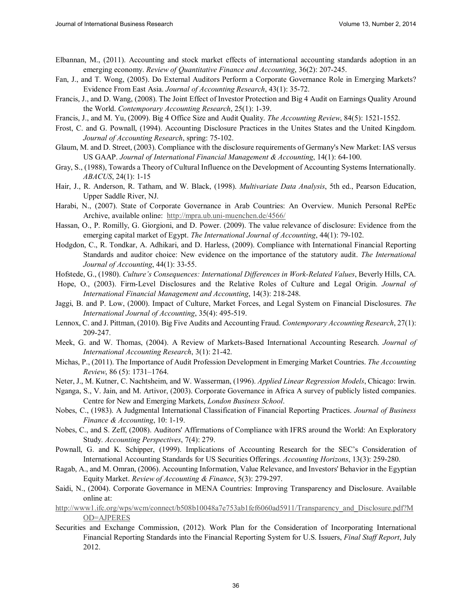- Elbannan, M., (2011). Accounting and stock market effects of international accounting standards adoption in an emerging economy. *Review of Quantitative Finance and Accounting*, 36(2): 207-245.
- Fan, J., and T. Wong, (2005). Do External Auditors Perform a Corporate Governance Role in Emerging Markets? Evidence From East Asia. *Journal of Accounting Research*, 43(1): 35-72.
- Francis, J., and D. Wang, (2008). The Joint Effect of Investor Protection and Big 4 Audit on Earnings Quality Around the World. *Contemporary Accounting Research*, 25(1): 1-39.
- Francis, J., and M. Yu, (2009). Big 4 Office Size and Audit Quality. *The Accounting Review*, 84(5): 1521-1552.
- Frost, C. and G. Pownall, (1994). Accounting Disclosure Practices in the Unites States and the United Kingdom. *Journal of Accounting Research*, spring: 75-102.
- Glaum, M. and D. Street, (2003). Compliance with the disclosure requirements of Germany's New Market: IAS versus US GAAP. *Journal of International Financial Management & Accounting*, 14(1): 64-100.
- Gray, S., (1988), Towards a Theory of Cultural Influence on the Development of Accounting Systems Internationally. *ABACUS*, 24(1): 1-15
- Hair, J., R. Anderson, R. Tatham, and W. Black, (1998). *Multivariate Data Analysis*, 5th ed., Pearson Education, Upper Saddle River, NJ.
- Harabi, N., (2007). State of Corporate Governance in Arab Countries: An Overview. Munich Personal RePEc Archive, available online: http://mpra.ub.uni-muenchen.de/4566/
- Hassan, O., P. Romilly, G. Giorgioni, and D. Power. (2009). The value relevance of disclosure: Evidence from the emerging capital market of Egypt. *The International Journal of Accounting*, 44(1): 79-102.
- Hodgdon, C., R. Tondkar, A. Adhikari, and D. Harless, (2009). Compliance with International Financial Reporting Standards and auditor choice: New evidence on the importance of the statutory audit. *The International Journal of Accounting*, 44(1): 33-55.
- Hofstede, G., (1980). *Culture's Consequences: International Differences in Work-Related Values*, Beverly Hills, CA.
- Hope, O., (2003). Firm-Level Disclosures and the Relative Roles of Culture and Legal Origin. *Journal of International Financial Management and Accounting*, 14(3): 218-248.
- Jaggi, B. and P. Low, (2000). Impact of Culture, Market Forces, and Legal System on Financial Disclosures. *The International Journal of Accounting*, 35(4): 495-519.
- Lennox, C. and J. Pittman, (2010). Big Five Audits and Accounting Fraud. *Contemporary Accounting Research*, 27(1): 209-247.
- Meek, G. and W. Thomas, (2004). A Review of Markets-Based International Accounting Research. *Journal of International Accounting Research*, 3(1): 21-42.
- Michas, P., (2011). The Importance of Audit Profession Development in Emerging Market Countries. *The Accounting Review*, 86 (5): 1731–1764.
- Neter, J., M. Kutner, C. Nachtsheim, and W. Wasserman, (1996). *Applied Linear Regression Models*, Chicago: Irwin.

Nganga, S., V. Jain, and M. Artivor, (2003). Corporate Governance in Africa A survey of publicly listed companies. Centre for New and Emerging Markets, *London Business School*.

- Nobes, C., (1983). A Judgmental International Classification of Financial Reporting Practices. *Journal of Business Finance & Accounting*, 10: 1-19.
- Nobes, C., and S. Zeff, (2008). Auditors' Affirmations of Compliance with IFRS around the World: An Exploratory Study. *Accounting Perspectives*, 7(4): 279.
- Pownall, G. and K. Schipper, (1999). Implications of Accounting Research for the SEC's Consideration of International Accounting Standards for US Securities Offerings. *Accounting Horizons*, 13(3): 259-280.
- Ragab, A., and M. Omran, (2006). Accounting Information, Value Relevance, and Investors' Behavior in the Egyptian Equity Market. *Review of Accounting & Finance*, 5(3): 279-297.
- Saidi, N., (2004). Corporate Governance in MENA Countries: Improving Transparency and Disclosure. Available online at:
- http://www1.ifc.org/wps/wcm/connect/b508b10048a7e753ab1fef6060ad5911/Transparency\_and\_Disclosure.pdf?M OD=AJPERES
- Securities and Exchange Commission, (2012). Work Plan for the Consideration of Incorporating International Financial Reporting Standards into the Financial Reporting System for U.S. Issuers, *Final Staff Report*, July 2012.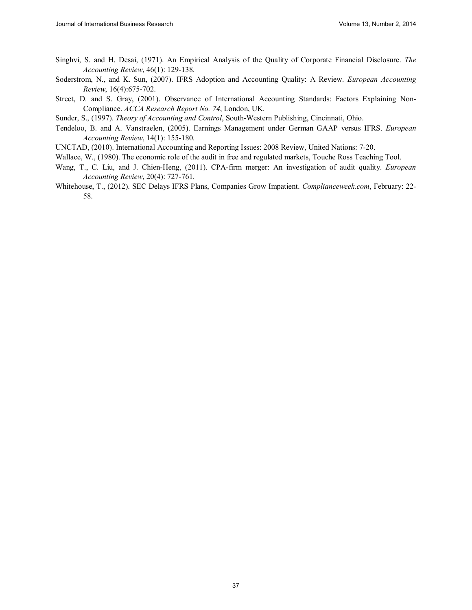- Singhvi, S. and H. Desai, (1971). An Empirical Analysis of the Quality of Corporate Financial Disclosure. *The Accounting Review*, 46(1): 129-138.
- Soderstrom, N., and K. Sun, (2007). IFRS Adoption and Accounting Quality: A Review. *European Accounting Review*, 16(4):675-702.
- Street, D. and S. Gray, (2001). Observance of International Accounting Standards: Factors Explaining Non-Compliance. *ACCA Research Report No. 74*, London, UK.
- Sunder, S., (1997). *Theory of Accounting and Control*, South-Western Publishing, Cincinnati, Ohio.
- Tendeloo, B. and A. Vanstraelen, (2005). Earnings Management under German GAAP versus IFRS. *European Accounting Review*, 14(1): 155-180.
- UNCTAD, (2010). International Accounting and Reporting Issues: 2008 Review, United Nations: 7-20.
- Wallace, W., (1980). The economic role of the audit in free and regulated markets, Touche Ross Teaching Tool.
- Wang, T., C. Liu, and J. Chien-Heng, (2011). CPA-firm merger: An investigation of audit quality. *European Accounting Review*, 20(4): 727-761.
- Whitehouse, T., (2012). SEC Delays IFRS Plans, Companies Grow Impatient. *Complianceweek.com*, February: 22- 58.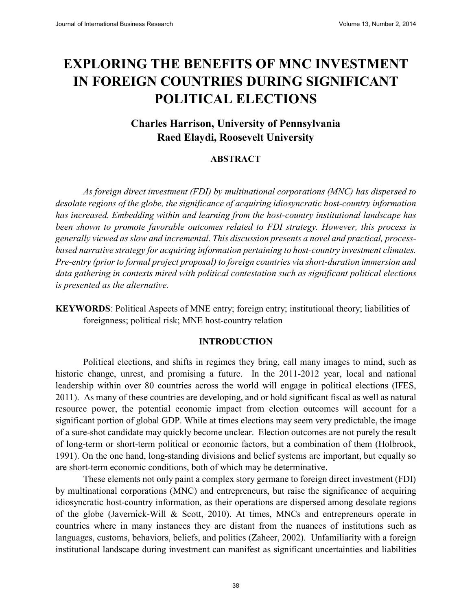# **EXPLORING THE BENEFITS OF MNC INVESTMENT IN FOREIGN COUNTRIES DURING SIGNIFICANT POLITICAL ELECTIONS**

## **Charles Harrison, University of Pennsylvania Raed Elaydi, Roosevelt University**

#### **ABSTRACT**

*As foreign direct investment (FDI) by multinational corporations (MNC) has dispersed to desolate regions of the globe, the significance of acquiring idiosyncratic host-country information has increased. Embedding within and learning from the host-country institutional landscape has been shown to promote favorable outcomes related to FDI strategy. However, this process is generally viewed as slow and incremental. This discussion presents a novel and practical, processbased narrative strategy for acquiring information pertaining to host-country investment climates. Pre-entry (prior to formal project proposal) to foreign countries via short-duration immersion and data gathering in contexts mired with political contestation such as significant political elections is presented as the alternative.*

**KEYWORDS**: Political Aspects of MNE entry; foreign entry; institutional theory; liabilities of foreignness; political risk; MNE host-country relation

#### **INTRODUCTION**

Political elections, and shifts in regimes they bring, call many images to mind, such as historic change, unrest, and promising a future. In the 2011-2012 year, local and national leadership within over 80 countries across the world will engage in political elections (IFES, 2011). As many of these countries are developing, and or hold significant fiscal as well as natural resource power, the potential economic impact from election outcomes will account for a significant portion of global GDP. While at times elections may seem very predictable, the image of a sure-shot candidate may quickly become unclear. Election outcomes are not purely the result of long-term or short-term political or economic factors, but a combination of them (Holbrook, 1991). On the one hand, long-standing divisions and belief systems are important, but equally so are short-term economic conditions, both of which may be determinative.

These elements not only paint a complex story germane to foreign direct investment (FDI) by multinational corporations (MNC) and entrepreneurs, but raise the significance of acquiring idiosyncratic host-country information, as their operations are dispersed among desolate regions of the globe (Javernick-Will & Scott, 2010). At times, MNCs and entrepreneurs operate in countries where in many instances they are distant from the nuances of institutions such as languages, customs, behaviors, beliefs, and politics (Zaheer, 2002). Unfamiliarity with a foreign institutional landscape during investment can manifest as significant uncertainties and liabilities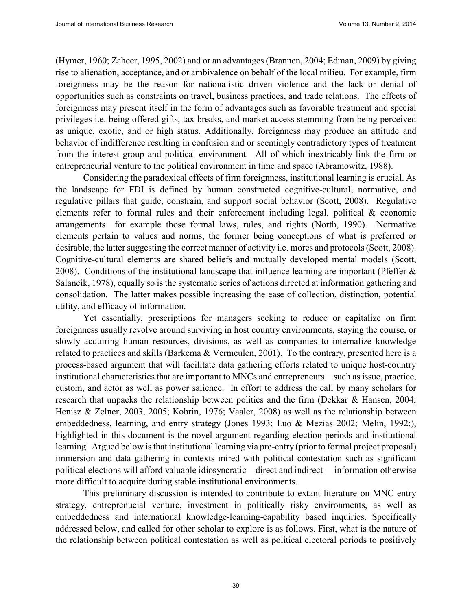(Hymer, 1960; Zaheer, 1995, 2002) and or an advantages (Brannen, 2004; Edman, 2009) by giving rise to alienation, acceptance, and or ambivalence on behalf of the local milieu. For example, firm foreignness may be the reason for nationalistic driven violence and the lack or denial of opportunities such as constraints on travel, business practices, and trade relations. The effects of foreignness may present itself in the form of advantages such as favorable treatment and special privileges i.e. being offered gifts, tax breaks, and market access stemming from being perceived as unique, exotic, and or high status. Additionally, foreignness may produce an attitude and behavior of indifference resulting in confusion and or seemingly contradictory types of treatment from the interest group and political environment. All of which inextricably link the firm or entrepreneurial venture to the political environment in time and space (Abramowitz, 1988).

Considering the paradoxical effects of firm foreignness, institutional learning is crucial. As the landscape for FDI is defined by human constructed cognitive-cultural, normative, and regulative pillars that guide, constrain, and support social behavior (Scott, 2008). Regulative elements refer to formal rules and their enforcement including legal, political & economic arrangements—for example those formal laws, rules, and rights (North, 1990). Normative elements pertain to values and norms, the former being conceptions of what is preferred or desirable, the latter suggesting the correct manner of activity i.e. mores and protocols (Scott, 2008). Cognitive-cultural elements are shared beliefs and mutually developed mental models (Scott, 2008). Conditions of the institutional landscape that influence learning are important (Pfeffer & Salancik, 1978), equally so is the systematic series of actions directed at information gathering and consolidation. The latter makes possible increasing the ease of collection, distinction, potential utility, and efficacy of information.

Yet essentially, prescriptions for managers seeking to reduce or capitalize on firm foreignness usually revolve around surviving in host country environments, staying the course, or slowly acquiring human resources, divisions, as well as companies to internalize knowledge related to practices and skills (Barkema & Vermeulen, 2001). To the contrary, presented here is a process-based argument that will facilitate data gathering efforts related to unique host-country institutional characteristics that are important to MNCs and entrepreneurs—such as issue, practice, custom, and actor as well as power salience. In effort to address the call by many scholars for research that unpacks the relationship between politics and the firm (Dekkar & Hansen, 2004; Henisz & Zelner, 2003, 2005; Kobrin, 1976; Vaaler, 2008) as well as the relationship between embeddedness, learning, and entry strategy (Jones 1993; Luo & Mezias 2002; Melin, 1992;), highlighted in this document is the novel argument regarding election periods and institutional learning. Argued below is that institutional learning via pre-entry (prior to formal project proposal) immersion and data gathering in contexts mired with political contestation such as significant political elections will afford valuable idiosyncratic—direct and indirect— information otherwise more difficult to acquire during stable institutional environments.

This preliminary discussion is intended to contribute to extant literature on MNC entry strategy, entreprenueial venture, investment in politically risky environments, as well as embeddedness and international knowledge-learning-capability based inquiries. Specifically addressed below, and called for other scholar to explore is as follows. First, what is the nature of the relationship between political contestation as well as political electoral periods to positively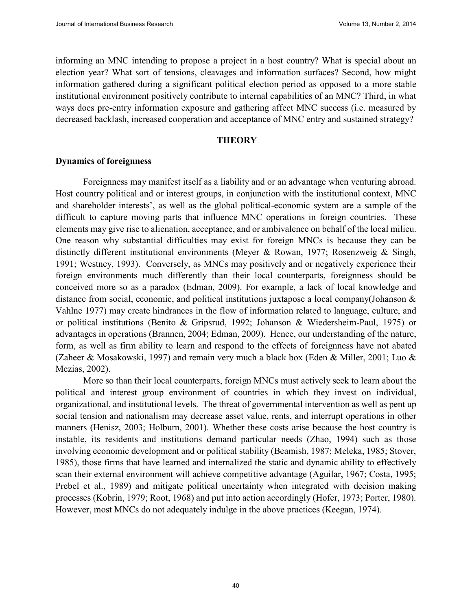informing an MNC intending to propose a project in a host country? What is special about an election year? What sort of tensions, cleavages and information surfaces? Second, how might information gathered during a significant political election period as opposed to a more stable institutional environment positively contribute to internal capabilities of an MNC? Third, in what ways does pre-entry information exposure and gathering affect MNC success (i.e. measured by decreased backlash, increased cooperation and acceptance of MNC entry and sustained strategy?

#### **THEORY**

#### **Dynamics of foreignness**

Foreignness may manifest itself as a liability and or an advantage when venturing abroad. Host country political and or interest groups, in conjunction with the institutional context, MNC and shareholder interests', as well as the global political-economic system are a sample of the difficult to capture moving parts that influence MNC operations in foreign countries. These elements may give rise to alienation, acceptance, and or ambivalence on behalf of the local milieu. One reason why substantial difficulties may exist for foreign MNCs is because they can be distinctly different institutional environments (Meyer & Rowan, 1977; Rosenzweig & Singh, 1991; Westney, 1993). Conversely, as MNCs may positively and or negatively experience their foreign environments much differently than their local counterparts, foreignness should be conceived more so as a paradox (Edman, 2009). For example, a lack of local knowledge and distance from social, economic, and political institutions juxtapose a local company(Johanson & Vahlne 1977) may create hindrances in the flow of information related to language, culture, and or political institutions (Benito & Gripsrud, 1992; Johanson & Wiedersheim-Paul, 1975) or advantages in operations (Brannen, 2004; Edman, 2009). Hence, our understanding of the nature, form, as well as firm ability to learn and respond to the effects of foreignness have not abated (Zaheer & Mosakowski, 1997) and remain very much a black box (Eden & Miller, 2001; Luo & Mezias, 2002).

More so than their local counterparts, foreign MNCs must actively seek to learn about the political and interest group environment of countries in which they invest on individual, organizational, and institutional levels. The threat of governmental intervention as well as pent up social tension and nationalism may decrease asset value, rents, and interrupt operations in other manners (Henisz, 2003; Holburn, 2001). Whether these costs arise because the host country is instable, its residents and institutions demand particular needs (Zhao, 1994) such as those involving economic development and or political stability (Beamish, 1987; Meleka, 1985; Stover, 1985), those firms that have learned and internalized the static and dynamic ability to effectively scan their external environment will achieve competitive advantage (Aguilar, 1967; Costa, 1995; Prebel et al., 1989) and mitigate political uncertainty when integrated with decision making processes (Kobrin, 1979; Root, 1968) and put into action accordingly (Hofer, 1973; Porter, 1980). However, most MNCs do not adequately indulge in the above practices (Keegan, 1974).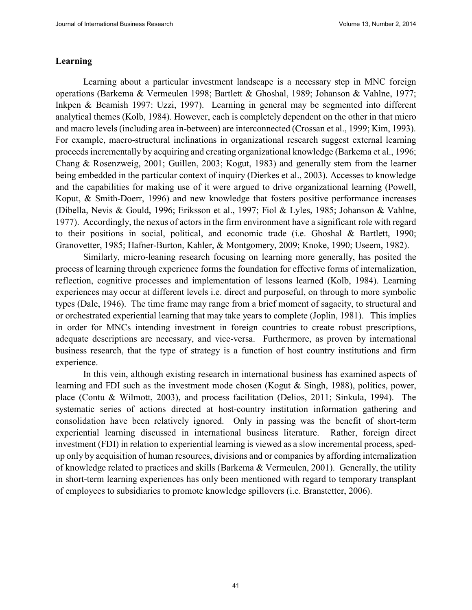#### **Learning**

Learning about a particular investment landscape is a necessary step in MNC foreign operations (Barkema & Vermeulen 1998; Bartlett & Ghoshal, 1989; Johanson & Vahlne, 1977; Inkpen & Beamish 1997: Uzzi, 1997). Learning in general may be segmented into different analytical themes (Kolb, 1984). However, each is completely dependent on the other in that micro and macro levels (including area in-between) are interconnected (Crossan et al., 1999; Kim, 1993). For example, macro-structural inclinations in organizational research suggest external learning proceeds incrementally by acquiring and creating organizational knowledge (Barkema et al., 1996; Chang & Rosenzweig, 2001; Guillen, 2003; Kogut, 1983) and generally stem from the learner being embedded in the particular context of inquiry (Dierkes et al., 2003). Accesses to knowledge and the capabilities for making use of it were argued to drive organizational learning (Powell, Koput, & Smith-Doerr, 1996) and new knowledge that fosters positive performance increases (Dibella, Nevis & Gould, 1996; Eriksson et al., 1997; Fiol & Lyles, 1985; Johanson & Vahlne, 1977). Accordingly, the nexus of actors in the firm environment have a significant role with regard to their positions in social, political, and economic trade (i.e. Ghoshal & Bartlett, 1990; Granovetter, 1985; Hafner-Burton, Kahler, & Montgomery, 2009; Knoke, 1990; Useem, 1982).

Similarly, micro-leaning research focusing on learning more generally, has posited the process of learning through experience forms the foundation for effective forms of internalization, reflection, cognitive processes and implementation of lessons learned (Kolb, 1984). Learning experiences may occur at different levels i.e. direct and purposeful, on through to more symbolic types (Dale, 1946). The time frame may range from a brief moment of sagacity, to structural and or orchestrated experiential learning that may take years to complete (Joplin, 1981). This implies in order for MNCs intending investment in foreign countries to create robust prescriptions, adequate descriptions are necessary, and vice-versa. Furthermore, as proven by international business research, that the type of strategy is a function of host country institutions and firm experience.

In this vein, although existing research in international business has examined aspects of learning and FDI such as the investment mode chosen (Kogut & Singh, 1988), politics, power, place (Contu & Wilmott, 2003), and process facilitation (Delios, 2011; Sinkula, 1994). The systematic series of actions directed at host-country institution information gathering and consolidation have been relatively ignored. Only in passing was the benefit of short-term experiential learning discussed in international business literature. Rather, foreign direct investment (FDI) in relation to experiential learning is viewed as a slow incremental process, spedup only by acquisition of human resources, divisions and or companies by affording internalization of knowledge related to practices and skills (Barkema & Vermeulen, 2001). Generally, the utility in short-term learning experiences has only been mentioned with regard to temporary transplant of employees to subsidiaries to promote knowledge spillovers (i.e. Branstetter, 2006).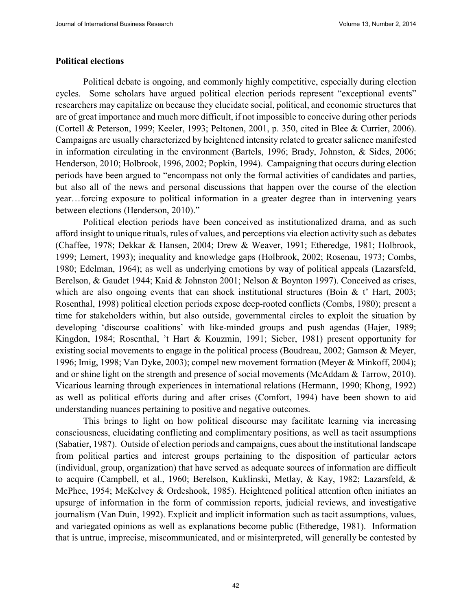#### **Political elections**

Political debate is ongoing, and commonly highly competitive, especially during election cycles. Some scholars have argued political election periods represent "exceptional events" researchers may capitalize on because they elucidate social, political, and economic structures that are of great importance and much more difficult, if not impossible to conceive during other periods (Cortell & Peterson, 1999; Keeler, 1993; Peltonen, 2001, p. 350, cited in Blee & Currier, 2006). Campaigns are usually characterized by heightened intensity related to greater salience manifested in information circulating in the environment (Bartels, 1996; Brady, Johnston, & Sides, 2006; Henderson, 2010; Holbrook, 1996, 2002; Popkin, 1994). Campaigning that occurs during election periods have been argued to "encompass not only the formal activities of candidates and parties, but also all of the news and personal discussions that happen over the course of the election year…forcing exposure to political information in a greater degree than in intervening years between elections (Henderson, 2010)."

Political election periods have been conceived as institutionalized drama, and as such afford insight to unique rituals, rules of values, and perceptions via election activity such as debates (Chaffee, 1978; Dekkar & Hansen, 2004; Drew & Weaver, 1991; Etheredge, 1981; Holbrook, 1999; Lemert, 1993); inequality and knowledge gaps (Holbrook, 2002; Rosenau, 1973; Combs, 1980; Edelman, 1964); as well as underlying emotions by way of political appeals (Lazarsfeld, Berelson, & Gaudet 1944; Kaid & Johnston 2001; Nelson & Boynton 1997). Conceived as crises, which are also ongoing events that can shock institutional structures (Boin & t' Hart, 2003; Rosenthal, 1998) political election periods expose deep-rooted conflicts (Combs, 1980); present a time for stakeholders within, but also outside, governmental circles to exploit the situation by developing 'discourse coalitions' with like-minded groups and push agendas (Hajer, 1989; Kingdon, 1984; Rosenthal, 't Hart & Kouzmin, 1991; Sieber, 1981) present opportunity for existing social movements to engage in the political process (Boudreau, 2002; Gamson & Meyer, 1996; Imig, 1998; Van Dyke, 2003); compel new movement formation (Meyer & Minkoff, 2004); and or shine light on the strength and presence of social movements (McAddam & Tarrow, 2010). Vicarious learning through experiences in international relations (Hermann, 1990; Khong, 1992) as well as political efforts during and after crises (Comfort, 1994) have been shown to aid understanding nuances pertaining to positive and negative outcomes.

This brings to light on how political discourse may facilitate learning via increasing consciousness, elucidating conflicting and complimentary positions, as well as tacit assumptions (Sabatier, 1987). Outside of election periods and campaigns, cues about the institutional landscape from political parties and interest groups pertaining to the disposition of particular actors (individual, group, organization) that have served as adequate sources of information are difficult to acquire (Campbell, et al., 1960; Berelson, Kuklinski, Metlay, & Kay, 1982; Lazarsfeld, & McPhee, 1954; McKelvey & Ordeshook, 1985). Heightened political attention often initiates an upsurge of information in the form of commission reports, judicial reviews, and investigative journalism (Van Duin, 1992). Explicit and implicit information such as tacit assumptions, values, and variegated opinions as well as explanations become public (Etheredge, 1981). Information that is untrue, imprecise, miscommunicated, and or misinterpreted, will generally be contested by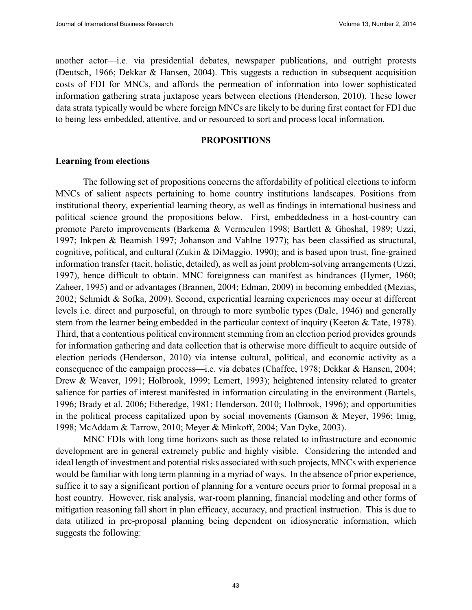another actor—i.e. via presidential debates, newspaper publications, and outright protests (Deutsch, 1966; Dekkar & Hansen, 2004). This suggests a reduction in subsequent acquisition costs of FDI for MNCs, and affords the permeation of information into lower sophisticated information gathering strata juxtapose years between elections (Henderson, 2010). These lower data strata typically would be where foreign MNCs are likely to be during first contact for FDI due to being less embedded, attentive, and or resourced to sort and process local information.

#### **PROPOSITIONS**

#### **Learning from elections**

The following set of propositions concerns the affordability of political elections to inform MNCs of salient aspects pertaining to home country institutions landscapes. Positions from institutional theory, experiential learning theory, as well as findings in international business and political science ground the propositions below. First, embeddedness in a host-country can promote Pareto improvements (Barkema & Vermeulen 1998; Bartlett & Ghoshal, 1989; Uzzi, 1997; Inkpen & Beamish 1997; Johanson and Vahlne 1977); has been classified as structural, cognitive, political, and cultural (Zukin & DiMaggio, 1990); and is based upon trust, fine-grained information transfer (tacit, holistic, detailed), as well as joint problem-solving arrangements (Uzzi, 1997), hence difficult to obtain. MNC foreignness can manifest as hindrances (Hymer, 1960; Zaheer, 1995) and or advantages (Brannen, 2004; Edman, 2009) in becoming embedded (Mezias, 2002; Schmidt & Sofka, 2009). Second, experiential learning experiences may occur at different levels i.e. direct and purposeful, on through to more symbolic types (Dale, 1946) and generally stem from the learner being embedded in the particular context of inquiry (Keeton & Tate, 1978). Third, that a contentious political environment stemming from an election period provides grounds for information gathering and data collection that is otherwise more difficult to acquire outside of election periods (Henderson, 2010) via intense cultural, political, and economic activity as a consequence of the campaign process—i.e. via debates (Chaffee, 1978; Dekkar & Hansen, 2004; Drew & Weaver, 1991; Holbrook, 1999; Lemert, 1993); heightened intensity related to greater salience for parties of interest manifested in information circulating in the environment (Bartels, 1996; Brady et al. 2006; Etheredge, 1981; Henderson, 2010; Holbrook, 1996); and opportunities in the political process capitalized upon by social movements (Gamson & Meyer, 1996; Imig, 1998; McAddam & Tarrow, 2010; Meyer & Minkoff, 2004; Van Dyke, 2003).

MNC FDIs with long time horizons such as those related to infrastructure and economic development are in general extremely public and highly visible. Considering the intended and ideal length of investment and potential risks associated with such projects, MNCs with experience would be familiar with long term planning in a myriad of ways. In the absence of prior experience, suffice it to say a significant portion of planning for a venture occurs prior to formal proposal in a host country. However, risk analysis, war-room planning, financial modeling and other forms of mitigation reasoning fall short in plan efficacy, accuracy, and practical instruction. This is due to data utilized in pre-proposal planning being dependent on idiosyncratic information, which suggests the following: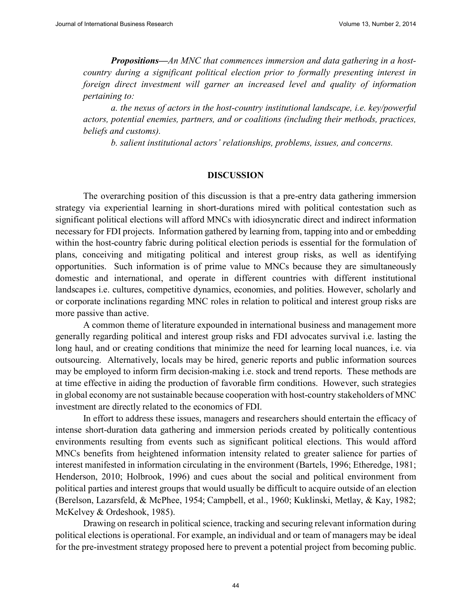*Propositions—An MNC that commences immersion and data gathering in a hostcountry during a significant political election prior to formally presenting interest in foreign direct investment will garner an increased level and quality of information pertaining to:* 

*a. the nexus of actors in the host-country institutional landscape, i.e. key/powerful actors, potential enemies, partners, and or coalitions (including their methods, practices, beliefs and customs).* 

*b. salient institutional actors' relationships, problems, issues, and concerns.*

#### **DISCUSSION**

The overarching position of this discussion is that a pre-entry data gathering immersion strategy via experiential learning in short-durations mired with political contestation such as significant political elections will afford MNCs with idiosyncratic direct and indirect information necessary for FDI projects. Information gathered by learning from, tapping into and or embedding within the host-country fabric during political election periods is essential for the formulation of plans, conceiving and mitigating political and interest group risks, as well as identifying opportunities. Such information is of prime value to MNCs because they are simultaneously domestic and international, and operate in different countries with different institutional landscapes i.e. cultures, competitive dynamics, economies, and polities. However, scholarly and or corporate inclinations regarding MNC roles in relation to political and interest group risks are more passive than active.

A common theme of literature expounded in international business and management more generally regarding political and interest group risks and FDI advocates survival i.e. lasting the long haul, and or creating conditions that minimize the need for learning local nuances, i.e. via outsourcing. Alternatively, locals may be hired, generic reports and public information sources may be employed to inform firm decision-making i.e. stock and trend reports. These methods are at time effective in aiding the production of favorable firm conditions. However, such strategies in global economy are not sustainable because cooperation with host-country stakeholders of MNC investment are directly related to the economics of FDI.

In effort to address these issues, managers and researchers should entertain the efficacy of intense short-duration data gathering and immersion periods created by politically contentious environments resulting from events such as significant political elections. This would afford MNCs benefits from heightened information intensity related to greater salience for parties of interest manifested in information circulating in the environment (Bartels, 1996; Etheredge, 1981; Henderson, 2010; Holbrook, 1996) and cues about the social and political environment from political parties and interest groups that would usually be difficult to acquire outside of an election (Berelson, Lazarsfeld, & McPhee, 1954; Campbell, et al., 1960; Kuklinski, Metlay, & Kay, 1982; McKelvey & Ordeshook, 1985).

Drawing on research in political science, tracking and securing relevant information during political elections is operational. For example, an individual and or team of managers may be ideal for the pre-investment strategy proposed here to prevent a potential project from becoming public.

44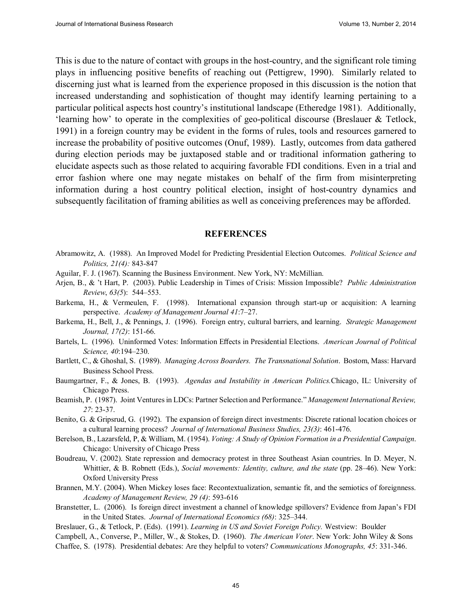This is due to the nature of contact with groups in the host-country, and the significant role timing plays in influencing positive benefits of reaching out (Pettigrew, 1990). Similarly related to discerning just what is learned from the experience proposed in this discussion is the notion that increased understanding and sophistication of thought may identify learning pertaining to a particular political aspects host country's institutional landscape (Etheredge 1981). Additionally, 'learning how' to operate in the complexities of geo-political discourse (Breslauer & Tetlock, 1991) in a foreign country may be evident in the forms of rules, tools and resources garnered to increase the probability of positive outcomes (Onuf, 1989). Lastly, outcomes from data gathered during election periods may be juxtaposed stable and or traditional information gathering to elucidate aspects such as those related to acquiring favorable FDI conditions. Even in a trial and error fashion where one may negate mistakes on behalf of the firm from misinterpreting information during a host country political election, insight of host-country dynamics and subsequently facilitation of framing abilities as well as conceiving preferences may be afforded.

#### **REFERENCES**

- Abramowitz, A. (1988). An Improved Model for Predicting Presidential Election Outcomes. *Political Science and Politics, 21(4):* 843-847
- Aguilar, F. J. (1967). Scanning the Business Environment. New York, NY: McMillian.
- Arjen, B., & 't Hart, P. (2003). Public Leadership in Times of Crisis: Mission Impossible? *Public Administration Review*, *63(5*): 544–553.
- Barkema, H., & Vermeulen, F. (1998). International expansion through start-up or acquisition: A learning perspective. *Academy of Management Journal 41*:7–27.
- Barkema, H., Bell, J., & Pennings, J. (1996). Foreign entry, cultural barriers, and learning. *Strategic Management Journal, 17(2)*: 151-66.
- Bartels, L. (1996). Uninformed Votes: Information Effects in Presidential Elections. *American Journal of Political Science, 40*:194–230.
- Bartlett, C., & Ghoshal, S. (1989). *Managing Across Boarders. The Transnational Solution*. Bostom, Mass: Harvard Business School Press.
- Baumgartner, F., & Jones, B. (1993). *Agendas and Instability in American Politics.*Chicago, IL: University of Chicago Press.
- Beamish, P. (1987). Joint Ventures in LDCs: Partner Selection and Performance." *Management International Review, 27*: 23-37.
- Benito, G. & Gripsrud, G. (1992). The expansion of foreign direct investments: Discrete rational location choices or a cultural learning process? *Journal of International Business Studies, 23(3)*: 461-476.
- Berelson, B., Lazarsfeld, P, & William, M. (1954). *Voting: A Study of Opinion Formation in a Presidential Campaign*. Chicago: University of Chicago Press
- Boudreau, V. (2002). State repression and democracy protest in three Southeast Asian countries. In D. Meyer, N. Whittier, & B. Robnett (Eds.), *Social movements: Identity, culture, and the state* (pp. 28–46). New York: Oxford University Press
- Brannen, M.Y. (2004). When Mickey loses face: Recontextualization, semantic fit, and the semiotics of foreignness. *Academy of Management Review, 29 (4)*: 593-616
- Branstetter, L. (2006). Is foreign direct investment a channel of knowledge spillovers? Evidence from Japan's FDI in the United States. *Journal of International Economics (68)*: 325–344.
- Breslauer, G., & Tetlock, P. (Eds). (1991). *Learning in US and Soviet Foreign Policy.* Westview: Boulder
- Campbell, A., Converse, P., Miller, W., & Stokes, D. (1960). *The American Voter*. New York: John Wiley & Sons
- Chaffee, S. (1978). Presidential debates: Are they helpful to voters? *Communications Monographs, 45*: 331-346.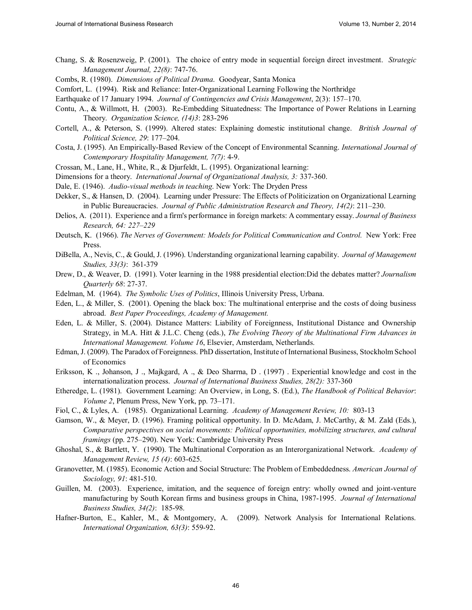- Chang, S. & Rosenzweig, P. (2001). The choice of entry mode in sequential foreign direct investment. *Strategic Management Journal, 22(8)*: 747-76.
- Combs, R. (1980). *Dimensions of Political Drama*. Goodyear, Santa Monica
- Comfort, L. (1994). Risk and Reliance: Inter-Organizational Learning Following the Northridge
- Earthquake of 17 January 1994. *Journal of Contingencies and Crisis Management*, 2(3): 157–170.
- Contu, A., & Willmott, H. (2003). Re-Embedding Situatedness: The Importance of Power Relations in Learning Theory. *Organization Science, (14)3*: 283-296
- Cortell, A., & Peterson, S. (1999). Altered states: Explaining domestic institutional change. *British Journal of Political Science, 29*: 177–204.
- Costa, J. (1995). An Empirically-Based Review of the Concept of Environmental Scanning. *International Journal of Contemporary Hospitality Management, 7(7)*: 4-9.
- Crossan, M., Lane, H., White, R., & Djurfeldt, L. (1995). Organizational learning:
- Dimensions for a theory. *International Journal of Organizational Analysis, 3:* 337-360.
- Dale, E. (1946). *Audio-visual methods in teaching*. New York: The Dryden Press
- Dekker, S., & Hansen, D. (2004). Learning under Pressure: The Effects of Politicization on Organizational Learning in Public Bureaucracies. *Journal of Public Administration Research and Theory, 14(2)*: 211–230.
- Delios, A. (2011). Experience and a firm's performance in foreign markets: A commentary essay. *Journal of Business Research, 64: 227–229*
- Deutsch, K. (1966). *The Nerves of Government: Models for Political Communication and Control.* New York: Free Press.
- DiBella, A., Nevis, C., & Gould, J. (1996). Understanding organizational learning capability. *Journal of Management Studies, 33(3)*: 361-379
- Drew, D., & Weaver, D. (1991). Voter learning in the 1988 presidential election:Did the debates matter? *Journalism Quarterly 68*: 27-37.
- Edelman, M. (1964). *The Symbolic Uses of Politics*, Illinois University Press, Urbana.
- Eden, L., & Miller, S. (2001). Opening the black box: The multinational enterprise and the costs of doing business abroad. *Best Paper Proceedings, Academy of Management.*
- Eden, L. & Miller, S. (2004). Distance Matters: Liability of Foreignness, Institutional Distance and Ownership Strategy, in M.A. Hitt & J.L.C. Cheng (eds.), *The Evolving Theory of the Multinational Firm Advances in International Management. Volume 16*, Elsevier, Amsterdam, Netherlands.
- Edman, J. (2009). The Paradox of Foreignness. PhD dissertation, Institute of International Business, Stockholm School of Economics
- Eriksson, K ., Johanson, J ., Majkgard, A ., & Deo Sharrna, D . (1997) . Experiential knowledge and cost in the internationalization process. *Journal of International Business Studies, 28(2):* 337-360
- Etheredge, L. (1981). Government Learning: An Overview, in Long, S. (Ed.), *The Handbook of Political Behavior*: *Volume 2*, Plenum Press, New York, pp. 73–171.
- Fiol, C., & Lyles, A. (1985). Organizational Learning. *Academy of Management Review, 10:* 803-13
- Gamson, W., & Meyer, D. (1996). Framing political opportunity. In D. McAdam, J. McCarthy, & M. Zald (Eds.), *Comparative perspectives on social movements: Political opportunities, mobilizing structures, and cultural framings* (pp. 275–290). New York: Cambridge University Press
- Ghoshal, S., & Bartlett, Y. (1990). The Multinational Corporation as an Interorganizational Network. *Academy of Management Review, 15 (4)*: 603-625.
- Granovetter, M. (1985). Economic Action and Social Structure: The Problem of Embeddedness. *American Journal of Sociology, 91*: 481-510.
- Guillen, M. (2003). Experience, imitation, and the sequence of foreign entry: wholly owned and joint-venture manufacturing by South Korean firms and business groups in China, 1987-1995. *Journal of International Business Studies, 34(2)*: 185-98.
- Hafner-Burton, E., Kahler, M., & Montgomery, A. (2009). Network Analysis for International Relations. *International Organization, 63(3)*: 559-92.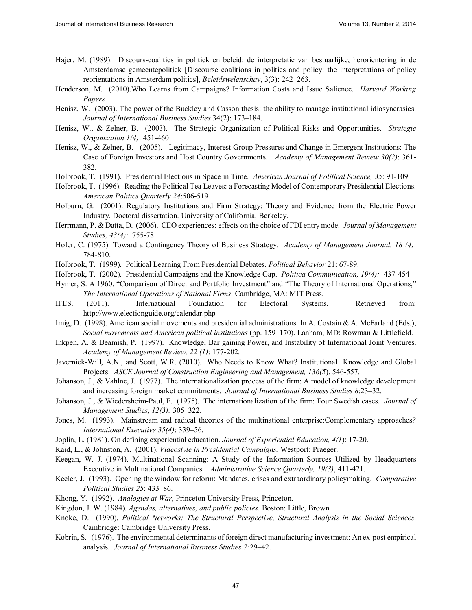- Hajer, M. (1989). Discours-coalities in politiek en beleid: de interpretatie van bestuarlijke, herorientering in de Amsterdamse gemeentepolitiek [Discourse coalitions in politics and policy: the interpretations of policy reorientations in Amsterdam politics], *Beleidswelenschav*, 3(3): 242–263.
- Henderson, M. (2010).Who Learns from Campaigns? Information Costs and Issue Salience. *Harvard Working Papers*
- Henisz, W. (2003). The power of the Buckley and Casson thesis: the ability to manage institutional idiosyncrasies. *Journal of International Business Studies* 34(2): 173–184.
- Henisz, W., & Zelner, B. (2003). The Strategic Organization of Political Risks and Opportunities. *Strategic Organization 1(4)*: 451-460
- Henisz, W., & Zelner, B. (2005). Legitimacy, Interest Group Pressures and Change in Emergent Institutions: The Case of Foreign Investors and Host Country Governments. *Academy of Management Review 30(2)*: 361- 382.
- Holbrook, T. (1991). Presidential Elections in Space in Time. *American Journal of Political Science, 35*: 91-109
- Holbrook, T. (1996). Reading the Political Tea Leaves: a Forecasting Model of Contemporary Presidential Elections. *American Politics Quarterly 24*:506-519
- Holburn, G. (2001). Regulatory Institutions and Firm Strategy: Theory and Evidence from the Electric Power Industry. Doctoral dissertation. University of California, Berkeley.
- Herrmann, P. & Datta, D. (2006). CEO experiences: effects on the choice of FDI entry mode. *Journal of Management Studies, 43(4)*: 755-78.
- Hofer, C. (1975). Toward a Contingency Theory of Business Strategy. *Academy of Management Journal, 18 (4)*: 784-810.
- Holbrook, T. (1999). Political Learning From Presidential Debates. *Political Behavior* 21: 67-89.
- Holbrook, T. (2002). Presidential Campaigns and the Knowledge Gap. *Politica Communication, 19(4):* 437-454
- Hymer, S. A 1960. "Comparison of Direct and Portfolio Investment" and "The Theory of International Operations," *The International Operations of National Firms*. Cambridge, MA: MIT Press.
- IFES. (2011). International Foundation for Electoral Systems. Retrieved from: http://www.electionguide.org/calendar.php
- Imig, D. (1998). American social movements and presidential administrations. In A. Costain & A. McFarland (Eds.), *Social movements and American political institutions* (pp. 159–170). Lanham, MD: Rowman & Littlefield.
- Inkpen, A. & Beamish, P. (1997). Knowledge, Bar gaining Power, and Instability of International Joint Ventures. *Academy of Management Review, 22 (1)*: 177-202.
- Javernick-Will, A.N., and Scott, W.R. (2010). Who Needs to Know What? Institutional Knowledge and Global Projects. *ASCE Journal of Construction Engineering and Management, 136(5*), 546-557.
- Johanson, J., & Vahlne, J. (1977). The internationalization process of the firm: A model of knowledge development and increasing foreign market commitments. *Journal of International Business Studies 8*:23–32.
- Johanson, J., & Wiedersheim-Paul, F. (1975). The internationalization of the firm: Four Swedish cases. *Journal of Management Studies, 12(3):* 305–322.
- Jones, M. (1993). Mainstream and radical theories of the multinational enterprise:Complementary approaches*? International Executive 35(4)*: 339–56.
- Joplin, L. (1981). On defining experiential education. *Journal of Experiential Education, 4(1*): 17-20.
- Kaid, L., & Johnston, A. (2001). *Videostyle in Presidential Campaigns.* Westport: Praeger.
- Keegan, W. J. (1974). Multinational Scanning: A Study of the Information Sources Utilized by Headquarters Executive in Multinational Companies. *Administrative Science Quarterly, 19(3)*, 411-421.
- Keeler, J. (1993). Opening the window for reform: Mandates, crises and extraordinary policymaking. *Comparative Political Studies 25*: 433–86.
- Khong, Y. (1992). *Analogies at War*, Princeton University Press, Princeton.
- Kingdon, J. W. (1984). *Agendas, alternatives, and public policies*. Boston: Little, Brown.
- Knoke, D. (1990). *Political Networks: The Structural Perspective, Structural Analysis in the Social Sciences*. Cambridge: Cambridge University Press.
- Kobrin, S. (1976). The environmental determinants of foreign direct manufacturing investment: An ex-post empirical analysis. *Journal of International Business Studies 7:*29–42.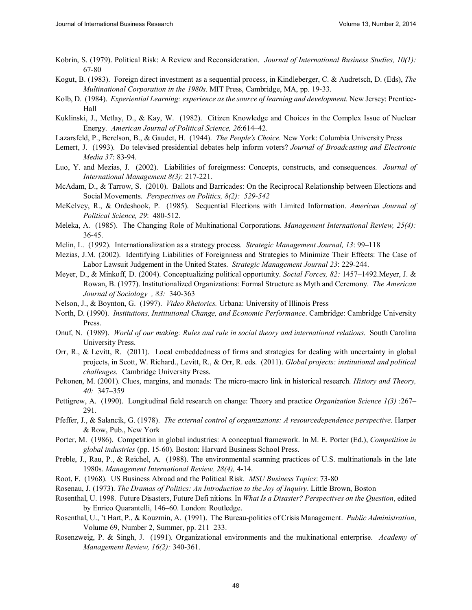- Kobrin, S. (1979). Political Risk: A Review and Reconsideration. *Journal of International Business Studies, 10(1):* 67-80
- Kogut, B. (1983). Foreign direct investment as a sequential process, in Kindleberger, C. & Audretsch, D. (Eds), *The Multinational Corporation in the 1980s*. MIT Press, Cambridge, MA, pp. 19-33.
- Kolb, D. (1984). *Experiential Learning: experience as the source of learning and development.* New Jersey: Prentice-Hall
- Kuklinski, J., Metlay, D., & Kay, W. (1982). Citizen Knowledge and Choices in the Complex Issue of Nuclear Energy. *American Journal of Political Science, 26*:614–42.
- Lazarsfeld, P., Berelson, B., & Gaudet, H. (1944). *The People's Choice.* New York: Columbia University Press
- Lemert, J. (1993). Do televised presidential debates help inform voters? *Journal of Broadcasting and Electronic Media 37*: 83-94.
- Luo, Y. and Mezias, J. (2002). Liabilities of foreignness: Concepts, constructs, and consequences. *Journal of International Management 8(3)*: 217-221.
- McAdam, D., & Tarrow, S. (2010). Ballots and Barricades: On the Reciprocal Relationship between Elections and Social Movements. *Perspectives on Politics, 8(2): 529-542*
- McKelvey, R., & Ordeshook, P. (1985). Sequential Elections with Limited Information. *American Journal of Political Science, 29*: 480-512.
- Meleka, A. (1985). The Changing Role of Multinational Corporations. *Management International Review, 25(4):* 36-45.
- Melin, L. (1992). Internationalization as a strategy process. *Strategic Management Journal, 13*: 99–118
- Mezias, J.M. (2002). Identifying Liabilities of Foreignness and Strategies to Minimize Their Effects: The Case of Labor Lawsuit Judgement in the United States. *Strategic Management Journal 23*: 229-244.
- Meyer, D., & Minkoff, D. (2004). Conceptualizing political opportunity. *Social Forces, 82:* 1457–1492.Meyer, J. & Rowan, B. (1977). Institutionalized Organizations: Formal Structure as Myth and Ceremony. *The American Journal of Sociology , 83:* 340-363
- Nelson, J., & Boynton, G. (1997). *Video Rhetorics.* Urbana: University of Illinois Press
- North, D. (1990). *Institutions, Institutional Change, and Economic Performance*. Cambridge: Cambridge University Press.
- Onuf, N. (1989). *World of our making: Rules and rule in social theory and international relations.* South Carolina University Press.
- Orr, R., & Levitt, R. (2011). Local embeddedness of firms and strategies for dealing with uncertainty in global projects, in Scott, W. Richard., Levitt, R., & Orr, R. eds. (2011). *Global projects: institutional and political challenges.* Cambridge University Press.
- Peltonen, M. (2001). Clues, margins, and monads: The micro-macro link in historical research. *History and Theory, 40:* 347–359
- Pettigrew, A. (1990). Longitudinal field research on change: Theory and practice *Organization Science 1(3)* :267– 291.
- Pfeffer, J., & Salancik, G. (1978). *The external control of organizations: A resourcedependence perspective*. Harper & Row, Pub., New York
- Porter, M. (1986). Competition in global industries: A conceptual framework. In M. E. Porter (Ed.), *Competition in global industries* (pp. 15-60). Boston: Harvard Business School Press.
- Preble, J., Rau, P., & Reichel, A. (1988). The environmental scanning practices of U.S. multinationals in the late 1980s. *Management International Review, 28(4),* 4-14.
- Root, F. (1968). US Business Abroad and the Political Risk. *MSU Business Topics*: 73-80
- Rosenau, J. (1973). *The Dramas of Politics: An Introduction to the Joy of Inquiry*. Little Brown, Boston
- Rosenthal, U. 1998. Future Disasters, Future Defi nitions. In *What Is a Disaster? Perspectives on the Question*, edited by Enrico Quarantelli, 146–60. London: Routledge.
- Rosenthal, U., 't Hart, P., & Kouzmin, A. (1991). The Bureau-politics of Crisis Management. *Public Administration*, Volume 69, Number 2, Summer, pp. 211–233.
- Rosenzweig, P. & Singh, J. (1991). Organizational environments and the multinational enterprise. *Academy of Management Review, 16(2):* 340-361.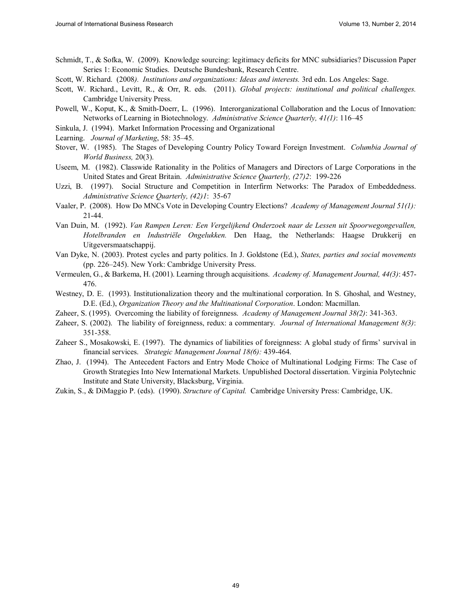- Schmidt, T., & Sofka, W. (2009). Knowledge sourcing: legitimacy deficits for MNC subsidiaries? Discussion Paper Series 1: Economic Studies. Deutsche Bundesbank, Research Centre.
- Scott, W. Richard. (2008*). Institutions and organizations: Ideas and interests.* 3rd edn. Los Angeles: Sage.
- Scott, W. Richard., Levitt, R., & Orr, R. eds. (2011). *Global projects: institutional and political challenges.* Cambridge University Press.
- Powell, W., Koput, K., & Smith-Doerr, L. (1996). Interorganizational Collaboration and the Locus of Innovation: Networks of Learning in Biotechnology. *Administrative Science Quarterly, 41(1)*: 116–45
- Sinkula, J. (1994). Market Information Processing and Organizational
- Learning. *Journal of Marketing*, 58: 35–45.
- Stover, W. (1985). The Stages of Developing Country Policy Toward Foreign Investment. *Columbia Journal of World Business,* 20(3).
- Useem, M. (1982). Classwide Rationality in the Politics of Managers and Directors of Large Corporations in the United States and Great Britain. *Administrative Science Quarterly, (27)2*: 199-226
- Uzzi, B. (1997). Social Structure and Competition in Interfirm Networks: The Paradox of Embeddedness. *Administrative Science Quarterly, (42)1*: 35-67
- Vaaler, P. (2008). How Do MNCs Vote in Developing Country Elections? *Academy of Management Journal 51(1):*  21-44.
- Van Duin, M. (1992). *Van Rampen Leren: Een Vergelijkend Onderzoek naar de Lessen uit Spoorwegongevallen, Hotelbranden en Industriële Ongelukken.* Den Haag, the Netherlands: Haagse Drukkerij en Uitgeversmaatschappij.
- Van Dyke, N. (2003). Protest cycles and party politics. In J. Goldstone (Ed.), *States, parties and social movements* (pp. 226–245). New York: Cambridge University Press.
- Vermeulen, G., & Barkema, H. (2001). Learning through acquisitions. *Academy of. Management Journal, 44(3)*: 457- 476.
- Westney, D. E. (1993). Institutionalization theory and the multinational corporation. In S. Ghoshal, and Westney, D.E. (Ed.), *Organization Theory and the Multinational Corporation*. London: Macmillan.
- Zaheer, S. (1995). Overcoming the liability of foreignness. *Academy of Management Journal 38(2)*: 341-363.
- Zaheer, S. (2002). The liability of foreignness, redux: a commentary. *Journal of International Management 8(3)*: 351-358.
- Zaheer S., Mosakowski, E. (1997). The dynamics of liabilities of foreignness: A global study of firms' survival in financial services. *Strategic Management Journal 18(6):* 439-464.
- Zhao, J. (1994). The Antecedent Factors and Entry Mode Choice of Multinational Lodging Firms: The Case of Growth Strategies Into New International Markets. Unpublished Doctoral dissertation. Virginia Polytechnic Institute and State University, Blacksburg, Virginia.
- Zukin, S., & DiMaggio P. (eds). (1990). *Structure of Capital.* Cambridge University Press: Cambridge, UK.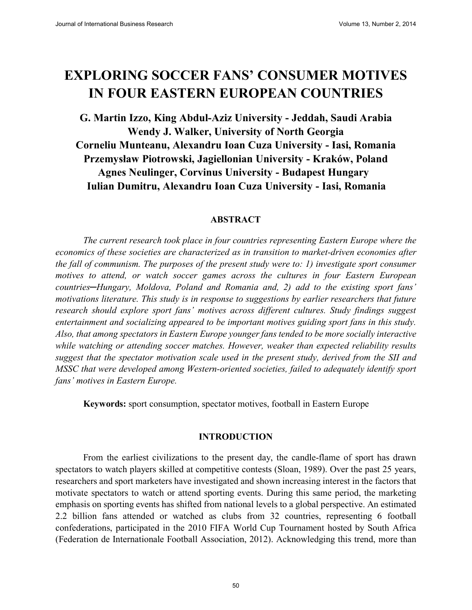# **EXPLORING SOCCER FANS' CONSUMER MOTIVES IN FOUR EASTERN EUROPEAN COUNTRIES**

**G. Martin Izzo, King Abdul-Aziz University - Jeddah, Saudi Arabia Wendy J. Walker, University of North Georgia Corneliu Munteanu, Alexandru Ioan Cuza University - Iasi, Romania** Przemysław Piotrowski, Jagiellonian University - Kraków, Poland **Agnes Neulinger, Corvinus University - Budapest Hungary Iulian Dumitru, Alexandru Ioan Cuza University - Iasi, Romania**

#### **ABSTRACT**

*The current research took place in four countries representing Eastern Europe where the economics of these societies are characterized as in transition to market-driven economies after the fall of communism. The purposes of the present study were to: 1) investigate sport consumer motives to attend, or watch soccer games across the cultures in four Eastern European Countries—Hungary, Moldova, Poland and Romania and, 2) add to the existing sport fans motivations literature. This study is in response to suggestions by earlier researchers that future research should explore sport fans' motives across different cultures. Study findings suggest entertainment and socializing appeared to be important motives guiding sport fans in this study. Also, that among spectators in Eastern Europe younger fans tended to be more socially interactive while watching or attending soccer matches. However, weaker than expected reliability results suggest that the spectator motivation scale used in the present study, derived from the SII and MSSC that were developed among Western-oriented societies, failed to adequately identify sport fans' motives in Eastern Europe.* 

**Keywords:** sport consumption, spectator motives, football in Eastern Europe

#### **INTRODUCTION**

From the earliest civilizations to the present day, the candle-flame of sport has drawn spectators to watch players skilled at competitive contests (Sloan, 1989). Over the past 25 years, researchers and sport marketers have investigated and shown increasing interest in the factors that motivate spectators to watch or attend sporting events. During this same period, the marketing emphasis on sporting events has shifted from national levels to a global perspective. An estimated 2.2 billion fans attended or watched as clubs from 32 countries, representing 6 football confederations, participated in the 2010 FIFA World Cup Tournament hosted by South Africa (Federation de Internationale Football Association, 2012). Acknowledging this trend, more than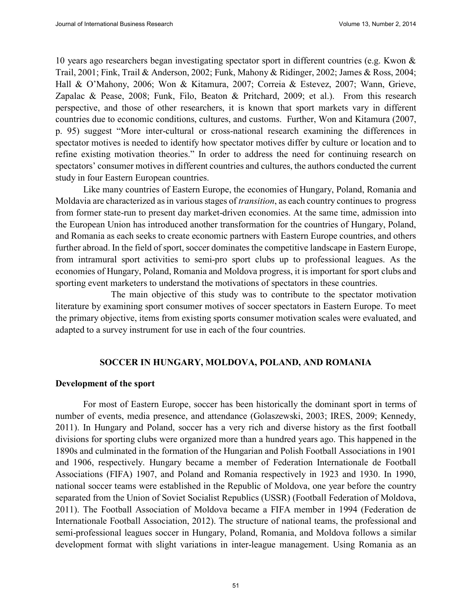10 years ago researchers began investigating spectator sport in different countries (e.g. Kwon & Trail, 2001; Fink, Trail & Anderson, 2002; Funk, Mahony & Ridinger, 2002; James & Ross, 2004; Hall & O'Mahony, 2006; Won & Kitamura, 2007; Correia & Estevez, 2007; Wann, Grieve, Zapalac & Pease, 2008; Funk, Filo, Beaton & Pritchard, 2009; et al.). From this research perspective, and those of other researchers, it is known that sport markets vary in different countries due to economic conditions, cultures, and customs. Further, Won and Kitamura (2007, p. 95) suggest "More inter-cultural or cross-national research examining the differences in spectator motives is needed to identify how spectator motives differ by culture or location and to refine existing motivation theories." In order to address the need for continuing research on spectators' consumer motives in different countries and cultures, the authors conducted the current study in four Eastern European countries.

Like many countries of Eastern Europe, the economies of Hungary, Poland, Romania and Moldavia are characterized as in various stages of *transition*, as each country continues to progress from former state-run to present day market-driven economies. At the same time, admission into the European Union has introduced another transformation for the countries of Hungary, Poland, and Romania as each seeks to create economic partners with Eastern Europe countries, and others further abroad. In the field of sport, soccer dominates the competitive landscape in Eastern Europe, from intramural sport activities to semi-pro sport clubs up to professional leagues. As the economies of Hungary, Poland, Romania and Moldova progress, it is important for sport clubs and sporting event marketers to understand the motivations of spectators in these countries.

The main objective of this study was to contribute to the spectator motivation literature by examining sport consumer motives of soccer spectators in Eastern Europe. To meet the primary objective, items from existing sports consumer motivation scales were evaluated, and adapted to a survey instrument for use in each of the four countries.

#### **SOCCER IN HUNGARY, MOLDOVA, POLAND, AND ROMANIA**

#### **Development of the sport**

For most of Eastern Europe, soccer has been historically the dominant sport in terms of number of events, media presence, and attendance (Golaszewski, 2003; IRES, 2009; Kennedy, 2011). In Hungary and Poland, soccer has a very rich and diverse history as the first football divisions for sporting clubs were organized more than a hundred years ago. This happened in the 1890s and culminated in the formation of the Hungarian and Polish Football Associations in 1901 and 1906, respectively. Hungary became a member of Federation Internationale de Football Associations (FIFA) 1907, and Poland and Romania respectively in 1923 and 1930. In 1990, national soccer teams were established in the Republic of Moldova, one year before the country separated from the Union of Soviet Socialist Republics (USSR) (Football Federation of Moldova, 2011). The Football Association of Moldova became a FIFA member in 1994 (Federation de Internationale Football Association, 2012). The structure of national teams, the professional and semi-professional leagues soccer in Hungary, Poland, Romania, and Moldova follows a similar development format with slight variations in inter-league management. Using Romania as an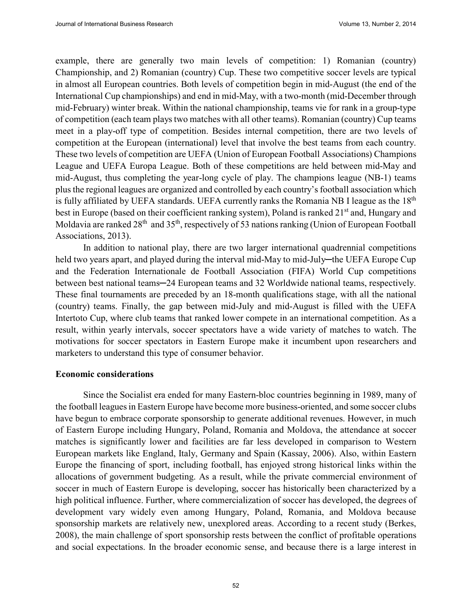example, there are generally two main levels of competition: 1) Romanian (country) Championship, and 2) Romanian (country) Cup. These two competitive soccer levels are typical in almost all European countries. Both levels of competition begin in mid-August (the end of the International Cup championships) and end in mid-May, with a two-month (mid-December through mid-February) winter break. Within the national championship, teams vie for rank in a group-type of competition (each team plays two matches with all other teams). Romanian (country) Cup teams meet in a play-off type of competition. Besides internal competition, there are two levels of competition at the European (international) level that involve the best teams from each country. These two levels of competition are UEFA (Union of European Football Associations) Champions League and UEFA Europa League. Both of these competitions are held between mid-May and mid-August, thus completing the year-long cycle of play. The champions league (NB-1) teams plus the regional leagues are organized and controlled by each country's football association which is fully affiliated by UEFA standards. UEFA currently ranks the Romania NB I league as the 18<sup>th</sup> best in Europe (based on their coefficient ranking system), Poland is ranked 21<sup>st</sup> and, Hungary and Moldavia are ranked 28<sup>th</sup> and 35<sup>th</sup>, respectively of 53 nations ranking (Union of European Football Associations, 2013).

In addition to national play, there are two larger international quadrennial competitions held two years apart, and played during the interval mid-May to mid-July—the UEFA Europe Cup and the Federation Internationale de Football Association (FIFA) World Cup competitions between best national teams—24 European teams and 32 Worldwide national teams, respectively. These final tournaments are preceded by an 18-month qualifications stage, with all the national (country) teams. Finally, the gap between mid-July and mid-August is filled with the UEFA Intertoto Cup, where club teams that ranked lower compete in an international competition. As a result, within yearly intervals, soccer spectators have a wide variety of matches to watch. The motivations for soccer spectators in Eastern Europe make it incumbent upon researchers and marketers to understand this type of consumer behavior.

#### **Economic considerations**

Since the Socialist era ended for many Eastern-bloc countries beginning in 1989, many of the football leagues in Eastern Europe have become more business-oriented, and some soccer clubs have begun to embrace corporate sponsorship to generate additional revenues. However, in much of Eastern Europe including Hungary, Poland, Romania and Moldova, the attendance at soccer matches is significantly lower and facilities are far less developed in comparison to Western European markets like England, Italy, Germany and Spain (Kassay, 2006). Also, within Eastern Europe the financing of sport, including football, has enjoyed strong historical links within the allocations of government budgeting. As a result, while the private commercial environment of soccer in much of Eastern Europe is developing, soccer has historically been characterized by a high political influence. Further, where commercialization of soccer has developed, the degrees of development vary widely even among Hungary, Poland, Romania, and Moldova because sponsorship markets are relatively new, unexplored areas. According to a recent study (Berkes, 2008), the main challenge of sport sponsorship rests between the conflict of profitable operations and social expectations. In the broader economic sense, and because there is a large interest in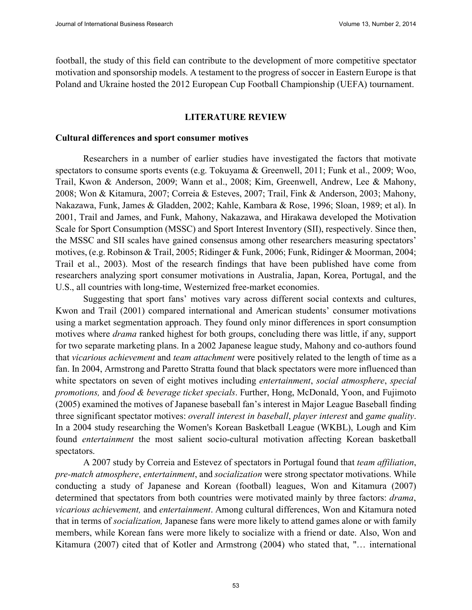football, the study of this field can contribute to the development of more competitive spectator motivation and sponsorship models. A testament to the progress of soccer in Eastern Europe is that Poland and Ukraine hosted the 2012 European Cup Football Championship (UEFA) tournament.

#### **LITERATURE REVIEW**

#### **Cultural differences and sport consumer motives**

Researchers in a number of earlier studies have investigated the factors that motivate spectators to consume sports events (e.g. Tokuyama & Greenwell, 2011; Funk et al., 2009; Woo, Trail, Kwon & Anderson, 2009; Wann et al., 2008; Kim, Greenwell, Andrew, Lee & Mahony, 2008; Won & Kitamura, 2007; Correia & Esteves, 2007; Trail, Fink & Anderson, 2003; Mahony, Nakazawa, Funk, James & Gladden, 2002; Kahle, Kambara & Rose, 1996; Sloan, 1989; et al). In 2001, Trail and James, and Funk, Mahony, Nakazawa, and Hirakawa developed the Motivation Scale for Sport Consumption (MSSC) and Sport Interest Inventory (SII), respectively. Since then, the MSSC and SII scales have gained consensus among other researchers measuring spectators' motives, (e.g. Robinson & Trail, 2005; Ridinger & Funk, 2006; Funk, Ridinger & Moorman, 2004; Trail et al., 2003). Most of the research findings that have been published have come from researchers analyzing sport consumer motivations in Australia, Japan, Korea, Portugal, and the U.S., all countries with long-time, Westernized free-market economies.

Suggesting that sport fans' motives vary across different social contexts and cultures, Kwon and Trail (2001) compared international and American students' consumer motivations using a market segmentation approach. They found only minor differences in sport consumption motives where *drama* ranked highest for both groups, concluding there was little, if any, support for two separate marketing plans. In a 2002 Japanese league study, Mahony and co-authors found that *vicarious achievement* and *team attachment* were positively related to the length of time as a fan. In 2004, Armstrong and Paretto Stratta found that black spectators were more influenced than white spectators on seven of eight motives including *entertainment*, *social atmosphere*, *special promotions,* and *food & beverage ticket specials*. Further, Hong, McDonald, Yoon, and Fujimoto (2005) examined the motives of Japanese baseball fan's interest in Major League Baseball finding three significant spectator motives: *overall interest in baseball*, *player interest* and *game quality*. In a 2004 study researching the Women's Korean Basketball League (WKBL), Lough and Kim found *entertainment* the most salient socio-cultural motivation affecting Korean basketball spectators.

A 2007 study by Correia and Estevez of spectators in Portugal found that *team affiliation*, *pre-match atmosphere*, *entertainment*, and *socialization* were strong spectator motivations. While conducting a study of Japanese and Korean (football) leagues, Won and Kitamura (2007) determined that spectators from both countries were motivated mainly by three factors: *drama*, *vicarious achievement,* and *entertainment*. Among cultural differences, Won and Kitamura noted that in terms of *socialization,* Japanese fans were more likely to attend games alone or with family members, while Korean fans were more likely to socialize with a friend or date. Also, Won and Kitamura (2007) cited that of Kotler and Armstrong (2004) who stated that, "… international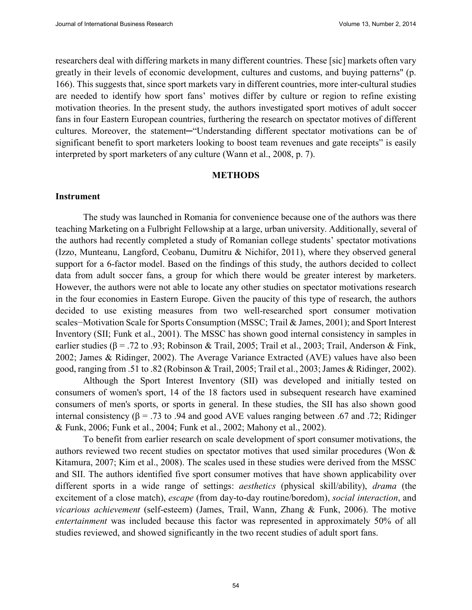researchers deal with differing markets in many different countries. These [sic] markets often vary greatly in their levels of economic development, cultures and customs, and buying patterns" (p. 166). This suggests that, since sport markets vary in different countries, more inter-cultural studies are needed to identify how sport fans' motives differ by culture or region to refine existing motivation theories. In the present study, the authors investigated sport motives of adult soccer fans in four Eastern European countries, furthering the research on spectator motives of different cultures. Moreover, the statement-"Understanding different spectator motivations can be of significant benefit to sport marketers looking to boost team revenues and gate receipts" is easily interpreted by sport marketers of any culture (Wann et al., 2008, p. 7).

#### **METHODS**

#### **Instrument**

The study was launched in Romania for convenience because one of the authors was there teaching Marketing on a Fulbright Fellowship at a large, urban university. Additionally, several of the authors had recently completed a study of Romanian college students' spectator motivations (Izzo, Munteanu, Langford, Ceobanu, Dumitru & Nichifor, 2011), where they observed general support for a 6-factor model. Based on the findings of this study, the authors decided to collect data from adult soccer fans, a group for which there would be greater interest by marketers. However, the authors were not able to locate any other studies on spectator motivations research in the four economies in Eastern Europe. Given the paucity of this type of research, the authors decided to use existing measures from two well-researched sport consumer motivation scales–Motivation Scale for Sports Consumption (MSSC; Trail & James, 2001); and Sport Interest Inventory (SII; Funk et al., 2001). The MSSC has shown good internal consistency in samples in earlier studies ( $\beta$  = .72 to .93; Robinson & Trail, 2005; Trail et al., 2003; Trail, Anderson & Fink, 2002; James & Ridinger, 2002). The Average Variance Extracted (AVE) values have also been good, ranging from .51 to .82 (Robinson & Trail, 2005; Trail et al., 2003; James & Ridinger, 2002).

Although the Sport Interest Inventory (SII) was developed and initially tested on consumers of women's sport, 14 of the 18 factors used in subsequent research have examined consumers of men's sports, or sports in general. In these studies, the SII has also shown good internal consistency ( $\beta$  = .73 to .94 and good AVE values ranging between .67 and .72; Ridinger & Funk, 2006; Funk et al., 2004; Funk et al., 2002; Mahony et al., 2002).

To benefit from earlier research on scale development of sport consumer motivations, the authors reviewed two recent studies on spectator motives that used similar procedures (Won & Kitamura, 2007; Kim et al., 2008). The scales used in these studies were derived from the MSSC and SII. The authors identified five sport consumer motives that have shown applicability over different sports in a wide range of settings: *aesthetics* (physical skill/ability), *drama* (the excitement of a close match), *escape* (from day-to-day routine/boredom), *social interaction*, and *vicarious achievement* (self-esteem) (James, Trail, Wann, Zhang & Funk, 2006). The motive *entertainment* was included because this factor was represented in approximately 50% of all studies reviewed, and showed significantly in the two recent studies of adult sport fans.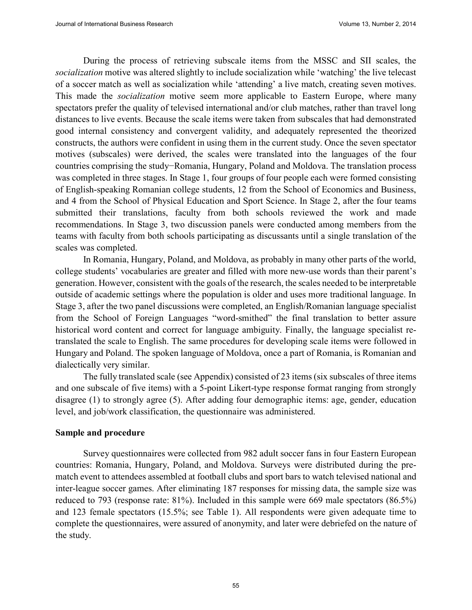During the process of retrieving subscale items from the MSSC and SII scales, the *socialization* motive was altered slightly to include socialization while 'watching' the live telecast of a soccer match as well as socialization while 'attending' a live match, creating seven motives. This made the *socialization* motive seem more applicable to Eastern Europe, where many spectators prefer the quality of televised international and/or club matches, rather than travel long distances to live events. Because the scale items were taken from subscales that had demonstrated good internal consistency and convergent validity, and adequately represented the theorized constructs, the authors were confident in using them in the current study. Once the seven spectator motives (subscales) were derived, the scales were translated into the languages of the four countries comprising the study-Romania, Hungary, Poland and Moldova. The translation process was completed in three stages. In Stage 1, four groups of four people each were formed consisting of English-speaking Romanian college students, 12 from the School of Economics and Business, and 4 from the School of Physical Education and Sport Science. In Stage 2, after the four teams submitted their translations, faculty from both schools reviewed the work and made recommendations. In Stage 3, two discussion panels were conducted among members from the teams with faculty from both schools participating as discussants until a single translation of the scales was completed.

In Romania, Hungary, Poland, and Moldova, as probably in many other parts of the world, college students' vocabularies are greater and filled with more new-use words than their parent's generation. However, consistent with the goals of the research, the scales needed to be interpretable outside of academic settings where the population is older and uses more traditional language. In Stage 3, after the two panel discussions were completed, an English/Romanian language specialist from the School of Foreign Languages "word-smithed" the final translation to better assure historical word content and correct for language ambiguity. Finally, the language specialist retranslated the scale to English. The same procedures for developing scale items were followed in Hungary and Poland. The spoken language of Moldova, once a part of Romania, is Romanian and dialectically very similar.

The fully translated scale (see Appendix) consisted of 23 items (six subscales of three items and one subscale of five items) with a 5-point Likert-type response format ranging from strongly disagree (1) to strongly agree (5). After adding four demographic items: age, gender, education level, and job/work classification, the questionnaire was administered.

#### **Sample and procedure**

Survey questionnaires were collected from 982 adult soccer fans in four Eastern European countries: Romania, Hungary, Poland, and Moldova. Surveys were distributed during the prematch event to attendees assembled at football clubs and sport bars to watch televised national and inter-league soccer games. After eliminating 187 responses for missing data, the sample size was reduced to 793 (response rate: 81%). Included in this sample were 669 male spectators (86.5%) and 123 female spectators (15.5%; see Table 1). All respondents were given adequate time to complete the questionnaires, were assured of anonymity, and later were debriefed on the nature of the study.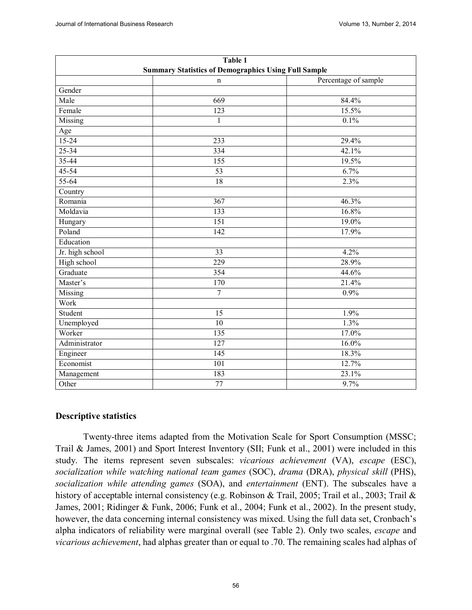|                 | Table 1                                                     |                      |
|-----------------|-------------------------------------------------------------|----------------------|
|                 | <b>Summary Statistics of Demographics Using Full Sample</b> |                      |
|                 | n                                                           | Percentage of sample |
| Gender          |                                                             |                      |
| Male            | 669                                                         | 84.4%                |
| Female          | 123                                                         | 15.5%                |
| Missing         | $\mathbf{1}$                                                | 0.1%                 |
| Age             |                                                             |                      |
| $15 - 24$       | 233                                                         | 29.4%                |
| $25 - 34$       | 334                                                         | 42.1%                |
| $35 - 44$       | 155                                                         | 19.5%                |
| $45 - 54$       | $\overline{53}$                                             | 6.7%                 |
| 55-64           | 18                                                          | 2.3%                 |
| Country         |                                                             |                      |
| Romania         | $\overline{367}$                                            | 46.3%                |
| Moldavia        | 133                                                         | 16.8%                |
| Hungary         | $\overline{151}$                                            | 19.0%                |
| Poland          | 142                                                         | 17.9%                |
| Education       |                                                             |                      |
| Jr. high school | $\overline{33}$                                             | 4.2%                 |
| High school     | $\overline{229}$                                            | 28.9%                |
| Graduate        | 354                                                         | 44.6%                |
| Master's        | 170                                                         | 21.4%                |
| <b>Missing</b>  | $\tau$                                                      | 0.9%                 |
| Work            |                                                             |                      |
| Student         | $\overline{15}$                                             | 1.9%                 |
| Unemployed      | 10                                                          | 1.3%                 |
| Worker          | $\overline{135}$                                            | 17.0%                |
| Administrator   | 127                                                         | 16.0%                |
| Engineer        | $\overline{145}$                                            | 18.3%                |
| Economist       | 101                                                         | 12.7%                |
| Management      | 183                                                         | 23.1%                |
| Other           | 77                                                          | 9.7%                 |

#### **Descriptive statistics**

Twenty-three items adapted from the Motivation Scale for Sport Consumption (MSSC; Trail & James, 2001) and Sport Interest Inventory (SII; Funk et al., 2001) were included in this study. The items represent seven subscales: *vicarious achievement* (VA), *escape* (ESC), *socialization while watching national team games* (SOC), *drama* (DRA), *physical skill* (PHS), *socialization while attending games* (SOA), and *entertainment* (ENT). The subscales have a history of acceptable internal consistency (e.g. Robinson & Trail, 2005; Trail et al., 2003; Trail & James, 2001; Ridinger & Funk, 2006; Funk et al., 2004; Funk et al., 2002). In the present study, however, the data concerning internal consistency was mixed. Using the full data set, Cronbach's alpha indicators of reliability were marginal overall (see Table 2). Only two scales, *escape* and *vicarious achievement*, had alphas greater than or equal to .70. The remaining scales had alphas of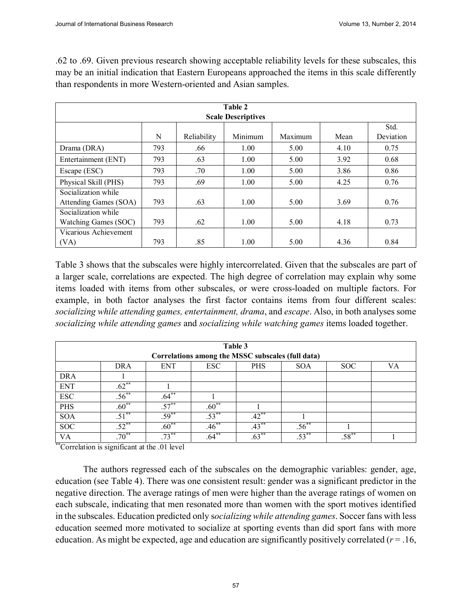.62 to .69. Given previous research showing acceptable reliability levels for these subscales, this may be an initial indication that Eastern Europeans approached the items in this scale differently than respondents in more Western-oriented and Asian samples.

|                       | Table 2<br><b>Scale Descriptives</b> |             |         |         |      |           |  |
|-----------------------|--------------------------------------|-------------|---------|---------|------|-----------|--|
| Std.                  |                                      |             |         |         |      |           |  |
|                       | N                                    | Reliability | Minimum | Maximum | Mean | Deviation |  |
| Drama (DRA)           | 793                                  | .66         | 1.00    | 5.00    | 4.10 | 0.75      |  |
| Entertainment (ENT)   | 793                                  | .63         | 1.00    | 5.00    | 3.92 | 0.68      |  |
| Escape (ESC)          | 793                                  | .70         | 1.00    | 5.00    | 3.86 | 0.86      |  |
| Physical Skill (PHS)  | 793                                  | .69         | 1.00    | 5.00    | 4.25 | 0.76      |  |
| Socialization while   |                                      |             |         |         |      |           |  |
| Attending Games (SOA) | 793                                  | .63         | 1.00    | 5.00    | 3.69 | 0.76      |  |
| Socialization while   |                                      |             |         |         |      |           |  |
| Watching Games (SOC)  | 793                                  | .62         | 1.00    | 5.00    | 4.18 | 0.73      |  |
| Vicarious Achievement |                                      |             |         |         |      |           |  |
| (VA)                  | 793                                  | .85         | 1.00    | 5.00    | 4.36 | 0.84      |  |

Table 3 shows that the subscales were highly intercorrelated. Given that the subscales are part of a larger scale, correlations are expected. The high degree of correlation may explain why some items loaded with items from other subscales, or were cross-loaded on multiple factors. For example, in both factor analyses the first factor contains items from four different scales: *socializing while attending games, entertainment, drama*, and *escape*. Also, in both analyses some *socializing while attending games* and *socializing while watching games* items loaded together.

|            |            |            | Table 3    |                                                   |            |            |    |
|------------|------------|------------|------------|---------------------------------------------------|------------|------------|----|
|            |            |            |            | Correlations among the MSSC subscales (full data) |            |            |    |
|            | DRA        | <b>ENT</b> | <b>ESC</b> | <b>PHS</b>                                        | <b>SOA</b> | SOC        | VA |
| <b>DRA</b> |            |            |            |                                                   |            |            |    |
| <b>ENT</b> | $.62***$   |            |            |                                                   |            |            |    |
| <b>ESC</b> | $.56***$   | $.64**$    |            |                                                   |            |            |    |
| <b>PHS</b> | $.60**$    | $.57***$   | $.60**$    |                                                   |            |            |    |
| <b>SOA</b> | $.51***$   | $.59***$   | $.53***$   | $.42***$                                          |            |            |    |
| <b>SOC</b> | $.52***$   | $.60**$    | $.46***$   | $.43***$                                          | $.56^{**}$ |            |    |
| <b>VA</b>  | $.70^{**}$ | $.73***$   | $.64***$   | $.63***$                                          | $.53***$   | $.58^{**}$ |    |

\*\*Correlation is significant at the .01 level

The authors regressed each of the subscales on the demographic variables: gender, age, education (see Table 4). There was one consistent result: gender was a significant predictor in the negative direction. The average ratings of men were higher than the average ratings of women on each subscale, indicating that men resonated more than women with the sport motives identified in the subscales. Education predicted only s*ocializing while attending games*. Soccer fans with less education seemed more motivated to socialize at sporting events than did sport fans with more education. As might be expected, age and education are significantly positively correlated  $(r = .16, )$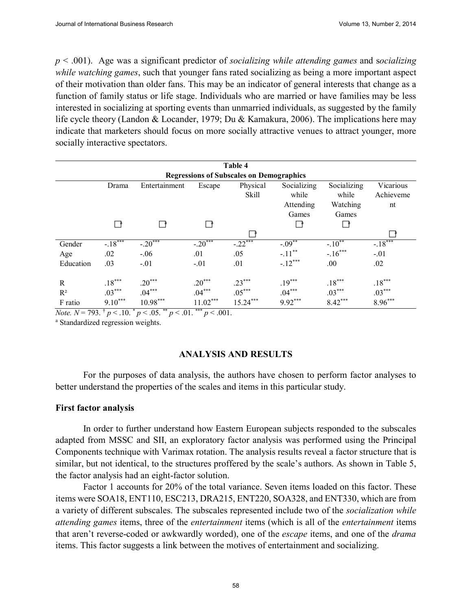*p* < .001). Age was a significant predictor of *socializing while attending games* and s*ocializing while watching games*, such that younger fans rated socializing as being a more important aspect of their motivation than older fans. This may be an indicator of general interests that change as a function of family status or life stage. Individuals who are married or have families may be less interested in socializing at sporting events than unmarried individuals, as suggested by the family life cycle theory (Landon & Locander, 1979; Du & Kamakura, 2006). The implications here may indicate that marketers should focus on more socially attractive venues to attract younger, more socially interactive spectators.

|                                       | Table 4           |                                       |                                           |                                                 |                                   |                                  |                              |
|---------------------------------------|-------------------|---------------------------------------|-------------------------------------------|-------------------------------------------------|-----------------------------------|----------------------------------|------------------------------|
|                                       |                   |                                       |                                           | <b>Regressions of Subscales on Demographics</b> |                                   |                                  |                              |
|                                       | Drama             | Entertainment                         | Escape                                    | Physical<br>Skill                               | Socializing<br>while<br>Attending | Socializing<br>while<br>Watching | Vicarious<br>Achieveme<br>nt |
|                                       |                   |                                       |                                           |                                                 | Games                             | Games                            |                              |
|                                       |                   |                                       |                                           |                                                 |                                   |                                  |                              |
|                                       |                   |                                       |                                           |                                                 |                                   |                                  |                              |
| Gender                                | $-.18***$         | $-.20***$                             | $-.20***$                                 | $-22^{***}$                                     | $-0.09**$                         | $-.10**$                         | $-.18***$                    |
| Age                                   | .02               | $-.06$                                | .01                                       | .05                                             | $-.11***$                         | $-.16***$                        | $-.01$                       |
| Education                             | .03               | $-.01$                                | $-.01$                                    | .01                                             | $-.12***$                         | .00.                             | .02                          |
| R                                     | $.18***$          | $.20***$                              | $.20***$                                  | $.23***$                                        | $.19***$                          | $.18***$                         | $.18***$                     |
| $R^2$                                 | $.03***$          | $.04***$                              | $.04***$                                  | $.05***$                                        | $.04***$                          | $.03***$                         | $.03***$                     |
| F ratio<br>$-\lambda$ $+$<br>$\cdots$ | $9.10***$<br>$-2$ | $10.98***$<br>$-$ **<br>$\sim$ $\sim$ | $11.02***$<br>***<br>$\sim$ $\sim$ $\sim$ | $15.24***$                                      | $9.92***$                         | $8.42***$                        | $8.96***$                    |

*Note.*  $N = 793.$  <sup>†</sup>  $p < .10.$  <sup>\*</sup>  $p < .05.$  <sup>\*\*</sup>  $p < .01.$  <sup>\*\*\*</sup>  $p < .001.$ <sup>a</sup> Standardized regression weights.

#### **ANALYSIS AND RESULTS**

For the purposes of data analysis, the authors have chosen to perform factor analyses to better understand the properties of the scales and items in this particular study.

#### **First factor analysis**

In order to further understand how Eastern European subjects responded to the subscales adapted from MSSC and SII, an exploratory factor analysis was performed using the Principal Components technique with Varimax rotation. The analysis results reveal a factor structure that is similar, but not identical, to the structures proffered by the scale's authors. As shown in Table 5, the factor analysis had an eight-factor solution.

Factor 1 accounts for 20% of the total variance. Seven items loaded on this factor. These items were SOA18, ENT110, ESC213, DRA215, ENT220, SOA328, and ENT330, which are from a variety of different subscales. The subscales represented include two of the *socialization while attending games* items, three of the *entertainment* items (which is all of the *entertainment* items that aren't reverse-coded or awkwardly worded), one of the *escape* items, and one of the *drama* items. This factor suggests a link between the motives of entertainment and socializing.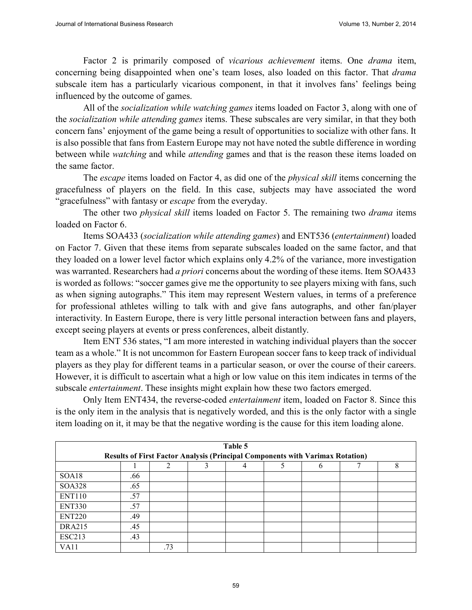Factor 2 is primarily composed of *vicarious achievement* items. One *drama* item, concerning being disappointed when one's team loses, also loaded on this factor. That *drama*  subscale item has a particularly vicarious component, in that it involves fans' feelings being influenced by the outcome of games.

All of the *socialization while watching games* items loaded on Factor 3, along with one of the *socialization while attending games* items. These subscales are very similar, in that they both concern fans' enjoyment of the game being a result of opportunities to socialize with other fans. It is also possible that fans from Eastern Europe may not have noted the subtle difference in wording between while *watching* and while *attending* games and that is the reason these items loaded on the same factor.

The *escape* items loaded on Factor 4, as did one of the *physical skill* items concerning the gracefulness of players on the field. In this case, subjects may have associated the word "gracefulness" with fantasy or *escape* from the everyday.

The other two *physical skill* items loaded on Factor 5. The remaining two *drama* items loaded on Factor 6.

Items SOA433 (*socialization while attending games*) and ENT536 (*entertainment*) loaded on Factor 7. Given that these items from separate subscales loaded on the same factor, and that they loaded on a lower level factor which explains only 4.2% of the variance, more investigation was warranted. Researchers had *a priori* concerns about the wording of these items. Item SOA433 is worded as follows: "soccer games give me the opportunity to see players mixing with fans, such as when signing autographs." This item may represent Western values, in terms of a preference for professional athletes willing to talk with and give fans autographs, and other fan/player interactivity. In Eastern Europe, there is very little personal interaction between fans and players, except seeing players at events or press conferences, albeit distantly.

Item ENT 536 states, "I am more interested in watching individual players than the soccer team as a whole." It is not uncommon for Eastern European soccer fans to keep track of individual players as they play for different teams in a particular season, or over the course of their careers. However, it is difficult to ascertain what a high or low value on this item indicates in terms of the subscale *entertainment*. These insights might explain how these two factors emerged.

Only Item ENT434, the reverse-coded *entertainment* item, loaded on Factor 8. Since this is the only item in the analysis that is negatively worded, and this is the only factor with a single item loading on it, it may be that the negative wording is the cause for this item loading alone.

|                    | <b>Results of First Factor Analysis (Principal Components with Varimax Rotation)</b> |     | Table 5 |   |   |
|--------------------|--------------------------------------------------------------------------------------|-----|---------|---|---|
|                    |                                                                                      |     | 4       | n | 8 |
| SOA18              | .66                                                                                  |     |         |   |   |
| <b>SOA328</b>      | .65                                                                                  |     |         |   |   |
| <b>ENT110</b>      | .57                                                                                  |     |         |   |   |
| <b>ENT330</b>      | .57                                                                                  |     |         |   |   |
| ENT <sub>220</sub> | .49                                                                                  |     |         |   |   |
| <b>DRA215</b>      | .45                                                                                  |     |         |   |   |
| <b>ESC213</b>      | .43                                                                                  |     |         |   |   |
| VA11               |                                                                                      | .73 |         |   |   |

59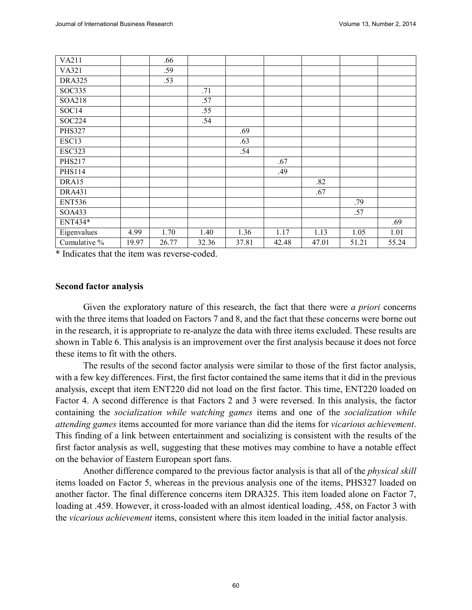| VA211         |       | .66   |       |       |       |       |       |       |
|---------------|-------|-------|-------|-------|-------|-------|-------|-------|
| VA321         |       | .59   |       |       |       |       |       |       |
| <b>DRA325</b> |       | .53   |       |       |       |       |       |       |
| <b>SOC335</b> |       |       | .71   |       |       |       |       |       |
| SOA218        |       |       | .57   |       |       |       |       |       |
| SOC14         |       |       | .55   |       |       |       |       |       |
| <b>SOC224</b> |       |       | .54   |       |       |       |       |       |
| <b>PHS327</b> |       |       |       | .69   |       |       |       |       |
| ESC13         |       |       |       | .63   |       |       |       |       |
| <b>ESC323</b> |       |       |       | .54   |       |       |       |       |
| <b>PHS217</b> |       |       |       |       | .67   |       |       |       |
| <b>PHS114</b> |       |       |       |       | .49   |       |       |       |
| DRA15         |       |       |       |       |       | .82   |       |       |
| <b>DRA431</b> |       |       |       |       |       | .67   |       |       |
| <b>ENT536</b> |       |       |       |       |       |       | .79   |       |
| SOA433        |       |       |       |       |       |       | .57   |       |
| ENT434*       |       |       |       |       |       |       |       | .69   |
| Eigenvalues   | 4.99  | 1.70  | 1.40  | 1.36  | 1.17  | 1.13  | 1.05  | 1.01  |
| Cumulative %  | 19.97 | 26.77 | 32.36 | 37.81 | 42.48 | 47.01 | 51.21 | 55.24 |

\* Indicates that the item was reverse-coded.

#### **Second factor analysis**

Given the exploratory nature of this research, the fact that there were *a priori* concerns with the three items that loaded on Factors 7 and 8, and the fact that these concerns were borne out in the research, it is appropriate to re-analyze the data with three items excluded. These results are shown in Table 6. This analysis is an improvement over the first analysis because it does not force these items to fit with the others.

The results of the second factor analysis were similar to those of the first factor analysis, with a few key differences. First, the first factor contained the same items that it did in the previous analysis, except that item ENT220 did not load on the first factor. This time, ENT220 loaded on Factor 4. A second difference is that Factors 2 and 3 were reversed. In this analysis, the factor containing the *socialization while watching games* items and one of the *socialization while attending games* items accounted for more variance than did the items for *vicarious achievement*. This finding of a link between entertainment and socializing is consistent with the results of the first factor analysis as well, suggesting that these motives may combine to have a notable effect on the behavior of Eastern European sport fans.

Another difference compared to the previous factor analysis is that all of the *physical skill* items loaded on Factor 5, whereas in the previous analysis one of the items, PHS327 loaded on another factor. The final difference concerns item DRA325. This item loaded alone on Factor 7, loading at .459. However, it cross-loaded with an almost identical loading, .458, on Factor 3 with the *vicarious achievement* items, consistent where this item loaded in the initial factor analysis.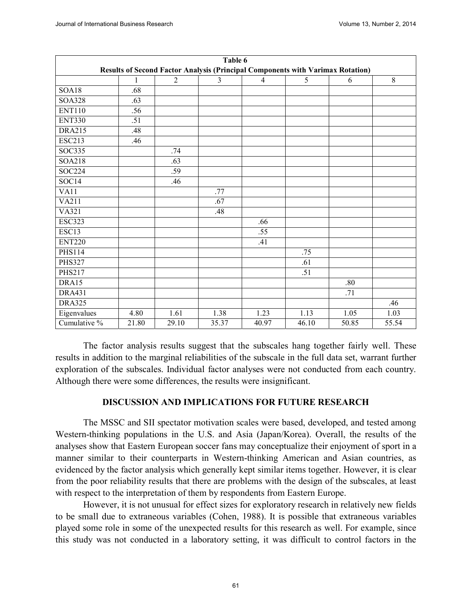|               |       |                | Table 6 |                |                                                                                |                  |       |
|---------------|-------|----------------|---------|----------------|--------------------------------------------------------------------------------|------------------|-------|
|               |       |                |         |                | Results of Second Factor Analysis (Principal Components with Varimax Rotation) |                  |       |
|               | 1     | $\overline{2}$ | 3       | $\overline{4}$ | 5                                                                              | 6                | 8     |
| SOA18         | .68   |                |         |                |                                                                                |                  |       |
| <b>SOA328</b> | .63   |                |         |                |                                                                                |                  |       |
| <b>ENT110</b> | .56   |                |         |                |                                                                                |                  |       |
| <b>ENT330</b> | .51   |                |         |                |                                                                                |                  |       |
| <b>DRA215</b> | .48   |                |         |                |                                                                                |                  |       |
| <b>ESC213</b> | .46   |                |         |                |                                                                                |                  |       |
| <b>SOC335</b> |       | .74            |         |                |                                                                                |                  |       |
| <b>SOA218</b> |       | .63            |         |                |                                                                                |                  |       |
| <b>SOC224</b> |       | .59            |         |                |                                                                                |                  |       |
| SOC14         |       | .46            |         |                |                                                                                |                  |       |
| VA11          |       |                | .77     |                |                                                                                |                  |       |
| VA211         |       |                | .67     |                |                                                                                |                  |       |
| VA321         |       |                | .48     |                |                                                                                |                  |       |
| <b>ESC323</b> |       |                |         | .66            |                                                                                |                  |       |
| ESC13         |       |                |         | .55            |                                                                                |                  |       |
| <b>ENT220</b> |       |                |         | .41            |                                                                                |                  |       |
| <b>PHS114</b> |       |                |         |                | .75                                                                            |                  |       |
| <b>PHS327</b> |       |                |         |                | .61                                                                            |                  |       |
| <b>PHS217</b> |       |                |         |                | .51                                                                            |                  |       |
| DRA15         |       |                |         |                |                                                                                | .80              |       |
| <b>DRA431</b> |       |                |         |                |                                                                                | $\overline{.71}$ |       |
| <b>DRA325</b> |       |                |         |                |                                                                                |                  | .46   |
| Eigenvalues   | 4.80  | 1.61           | 1.38    | 1.23           | 1.13                                                                           | 1.05             | 1.03  |
| Cumulative %  | 21.80 | 29.10          | 35.37   | 40.97          | 46.10                                                                          | 50.85            | 55.54 |

The factor analysis results suggest that the subscales hang together fairly well. These results in addition to the marginal reliabilities of the subscale in the full data set, warrant further exploration of the subscales. Individual factor analyses were not conducted from each country. Although there were some differences, the results were insignificant.

#### **DISCUSSION AND IMPLICATIONS FOR FUTURE RESEARCH**

The MSSC and SII spectator motivation scales were based, developed, and tested among Western-thinking populations in the U.S. and Asia (Japan/Korea). Overall, the results of the analyses show that Eastern European soccer fans may conceptualize their enjoyment of sport in a manner similar to their counterparts in Western-thinking American and Asian countries, as evidenced by the factor analysis which generally kept similar items together. However, it is clear from the poor reliability results that there are problems with the design of the subscales, at least with respect to the interpretation of them by respondents from Eastern Europe.

However, it is not unusual for effect sizes for exploratory research in relatively new fields to be small due to extraneous variables (Cohen, 1988). It is possible that extraneous variables played some role in some of the unexpected results for this research as well. For example, since this study was not conducted in a laboratory setting, it was difficult to control factors in the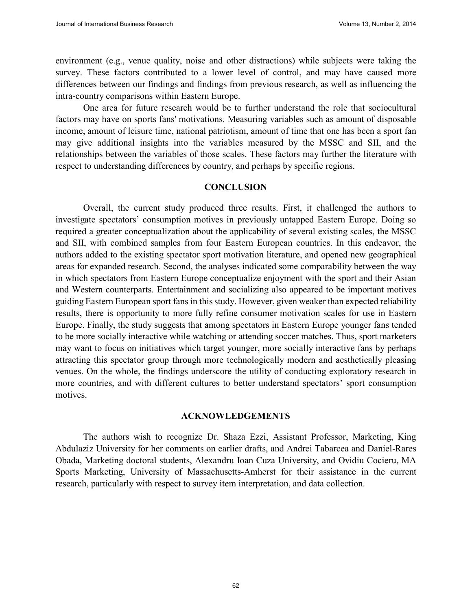environment (e.g., venue quality, noise and other distractions) while subjects were taking the survey. These factors contributed to a lower level of control, and may have caused more differences between our findings and findings from previous research, as well as influencing the intra-country comparisons within Eastern Europe.

One area for future research would be to further understand the role that sociocultural factors may have on sports fans' motivations. Measuring variables such as amount of disposable income, amount of leisure time, national patriotism, amount of time that one has been a sport fan may give additional insights into the variables measured by the MSSC and SII, and the relationships between the variables of those scales. These factors may further the literature with respect to understanding differences by country, and perhaps by specific regions.

#### **CONCLUSION**

Overall, the current study produced three results. First, it challenged the authors to investigate spectators' consumption motives in previously untapped Eastern Europe. Doing so required a greater conceptualization about the applicability of several existing scales, the MSSC and SII, with combined samples from four Eastern European countries. In this endeavor, the authors added to the existing spectator sport motivation literature, and opened new geographical areas for expanded research. Second, the analyses indicated some comparability between the way in which spectators from Eastern Europe conceptualize enjoyment with the sport and their Asian and Western counterparts. Entertainment and socializing also appeared to be important motives guiding Eastern European sport fans in this study. However, given weaker than expected reliability results, there is opportunity to more fully refine consumer motivation scales for use in Eastern Europe. Finally, the study suggests that among spectators in Eastern Europe younger fans tended to be more socially interactive while watching or attending soccer matches. Thus, sport marketers may want to focus on initiatives which target younger, more socially interactive fans by perhaps attracting this spectator group through more technologically modern and aesthetically pleasing venues. On the whole, the findings underscore the utility of conducting exploratory research in more countries, and with different cultures to better understand spectators' sport consumption motives.

#### **ACKNOWLEDGEMENTS**

The authors wish to recognize Dr. Shaza Ezzi, Assistant Professor, Marketing, King Abdulaziz University for her comments on earlier drafts, and Andrei Tabarcea and Daniel-Rares Obada, Marketing doctoral students, Alexandru Ioan Cuza University, and Ovidiu Cocieru, MA Sports Marketing, University of Massachusetts-Amherst for their assistance in the current research, particularly with respect to survey item interpretation, and data collection.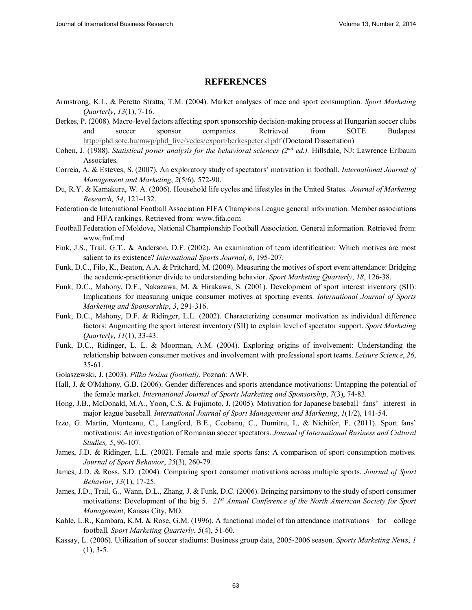#### **REFERENCES**

- Armstrong, K.L. & Peretto Stratta, T.M. (2004). Market analyses of race and sport consumption. *Sport Marketing Quarterly*, *13*(1), 7-16.
- Berkes, P. (2008). Macro-level factors affecting sport sponsorship decision-making process at Hungarian soccer clubs and soccer sponsor companies. Retrieved from SOTE Budapest http://phd.sote.hu/mwp/phd\_live/vedes/export/berkespeter.d.pdf (Doctoral Dissertation)
- Cohen, J. (1988). *Statistical power analysis for the behavioral sciences (2nd ed.).* Hillsdale, NJ: Lawrence Erlbaum Associates.
- Correia, A. & Esteves, S. (2007). An exploratory study of spectators' motivation in football. *International Journal of Management and Marketing*, *2*(5/6), 572-90.
- Du, R.Y. & Kamakura, W. A. (2006). Household life cycles and lifestyles in the United States. *Journal of Marketing Research, 54*, 121–132.
- Federation de International Football Association FIFA Champions League general information. Member associations and FIFA rankings. Retrieved from: www.fifa.com
- Football Federation of Moldova, National Championship Football Association. General information. Retrieved from: www.fmf.md
- Fink, J.S., Trail, G.T., & Anderson, D.F. (2002). An examination of team identification: Which motives are most salient to its existence? *International Sports Journal*, *6*, 195-207.
- Funk, D.C., Filo, K., Beaton, A.A. & Pritchard, M. (2009). Measuring the motives of sport event attendance: Bridging the academic-practitioner divide to understanding behavior. *Sport Marketing Quarterly*, *18*, 126-38.
- Funk, D.C., Mahony, D.F., Nakazawa, M. & Hirakawa, S. (2001). Development of sport interest inventory (SII): Implications for measuring unique consumer motives at sporting events. *International Journal of Sports Marketing and Sponsorship*, *3*, 291-316.
- Funk, D.C., Mahony, D.F. & Ridinger, L.L. (2002). Characterizing consumer motivation as individual difference factors: Augmenting the sport interest inventory (SII) to explain level of spectator support. *Sport Marketing Quarterly*, *11*(1), 33-43.
- Funk, D.C., Ridinger, L. L. & Moorman, A.M. (2004). Exploring origins of involvement: Understanding the relationship between consumer motives and involvement with professional sport teams. *Leisure Science*, *26*, 35-61.
- Gołaszewski, J. (2003). Piłka Nożna (football). Poznań: AWF.
- Hall, J. & O'Mahony, G.B. (2006). Gender differences and sports attendance motivations: Untapping the potential of the female market*. International Journal of Sports Marketing and Sponsorship*, *7*(3), 74-83.
- Hong, J.B., McDonald, M.A., Yoon, C.S. & Fujimoto, J. (2005). Motivation for Japanese baseball fans' interest in major league baseball. *International Journal of Sport Management and Marketing*, *1*(1/2), 141-54.
- Izzo, G. Martin, Munteanu, C., Langford, B.E., Ceobanu, C., Dumitru, I., & Nichifor, F. (2011). Sport fans' motivations: An investigation of Romanian soccer spectators. *Journal of International Business and Cultural Studies, 5*, 96-107.
- James, J.D. & Ridinger, L.L. (2002). Female and male sports fans: A comparison of sport consumption motives. *Journal of Sport Behavior*, *25*(3), 260-79.
- James, J.D. & Ross, S.D. (2004). Comparing sport consumer motivations across multiple sports. *Journal of Sport Behavior*, *13*(1), 17-25.
- James, J.D., Trail, G., Wann, D.L., Zhang, J. & Funk, D.C. (2006). Bringing parsimony to the study of sport consumer motivations: Development of the big 5. *21st Annual Conference of the North American Society for Sport Management*, Kansas City, MO.
- Kahle, L.R., Kambara, K.M. & Rose, G.M. (1996). A functional model of fan attendance motivations for college football. *Sport Marketing Quarterly*, *5*(4), 51-60.
- Kassay, L. (2006). Utilization of soccer stadiums: Business group data, 2005-2006 season. *Sports Marketing News*, *1*  $(1), 3-5.$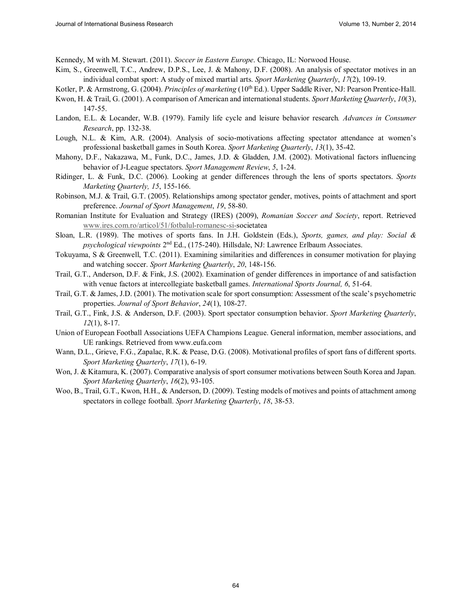Kennedy, M with M. Stewart. (2011). *Soccer in Eastern Europe*. Chicago, IL: Norwood House.

- Kim, S., Greenwell, T.C., Andrew, D.P.S., Lee, J. & Mahony, D.F. (2008). An analysis of spectator motives in an individual combat sport: A study of mixed martial arts. *Sport Marketing Quarterly*, *17*(2), 109-19.
- Kotler, P. & Armstrong, G. (2004). *Principles of marketing* (10<sup>th</sup> Ed.). Upper Saddle River, NJ: Pearson Prentice-Hall.
- Kwon, H. & Trail, G. (2001). A comparison of American and international students. *Sport Marketing Quarterly*, *10*(3), 147-55.
- Landon, E.L. & Locander, W.B. (1979). Family life cycle and leisure behavior research*. Advances in Consumer Research*, pp. 132-38.
- Lough, N.L. & Kim, A.R. (2004). Analysis of socio-motivations affecting spectator attendance at women's professional basketball games in South Korea. *Sport Marketing Quarterly*, *13*(1), 35-42.
- Mahony, D.F., Nakazawa, M., Funk, D.C., James, J.D. & Gladden, J.M. (2002). Motivational factors influencing behavior of J-League spectators. *Sport Management Review*, *5*, 1-24.
- Ridinger, L. & Funk, D.C. (2006). Looking at gender differences through the lens of sports spectators. *Sports Marketing Quarterly, 15*, 155-166.
- Robinson, M.J. & Trail, G.T. (2005). Relationships among spectator gender, motives, points of attachment and sport preference. *Journal of Sport Management*, *19*, 58-80.
- Romanian Institute for Evaluation and Strategy (IRES) (2009), *Romanian Soccer and Society*, report. Retrieved www.ires.com.ro/articol/51/fotbalul-romanesc-si-societatea
- Sloan, L.R. (1989). The motives of sports fans. In J.H. Goldstein (Eds.), *Sports, games, and play: Social & psychological viewpoints* 2nd Ed., (175-240). Hillsdale, NJ: Lawrence Erlbaum Associates.
- Tokuyama, S & Greenwell, T.C. (2011). Examining similarities and differences in consumer motivation for playing and watching soccer. *Sport Marketing Quarterly*, *20*, 148-156.
- Trail, G.T., Anderson, D.F. & Fink, J.S. (2002). Examination of gender differences in importance of and satisfaction with venue factors at intercollegiate basketball games. *International Sports Journal, 6*, 51-64.
- Trail, G.T. & James, J.D. (2001). The motivation scale for sport consumption: Assessment of the scale's psychometric properties. *Journal of Sport Behavior*, *24*(1), 108-27.
- Trail, G.T., Fink, J.S. & Anderson, D.F. (2003). Sport spectator consumption behavior. *Sport Marketing Quarterly*, *12*(1), 8-17.
- Union of European Football Associations UEFA Champions League. General information, member associations, and UE rankings. Retrieved from www.eufa.com
- Wann, D.L., Grieve, F.G., Zapalac, R.K. & Pease, D.G. (2008). Motivational profiles of sport fans of different sports. *Sport Marketing Quarterly*, *17*(1), 6-19.
- Won, J. & Kitamura, K. (2007). Comparative analysis of sport consumer motivations between South Korea and Japan. *Sport Marketing Quarterly*, *16*(2), 93-105.
- Woo, B., Trail, G.T., Kwon, H.H., & Anderson, D. (2009). Testing models of motives and points of attachment among spectators in college football. *Sport Marketing Quarterly*, *18*, 38-53.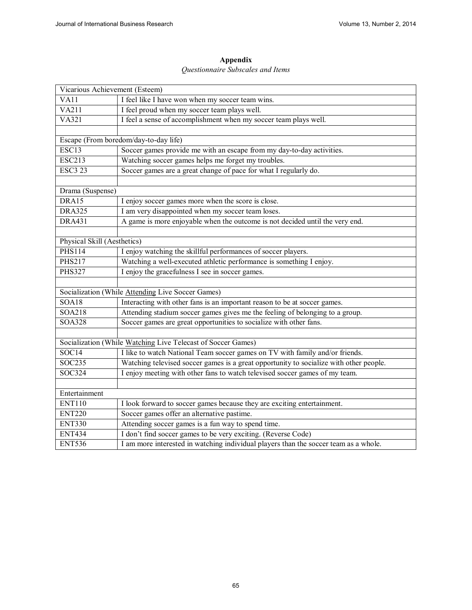### **Appendix**

#### *Questionnaire Subscales and Items*

| Vicarious Achievement (Esteem) |                                                                                        |
|--------------------------------|----------------------------------------------------------------------------------------|
| <b>VA11</b>                    | I feel like I have won when my soccer team wins.                                       |
| <b>VA211</b>                   | I feel proud when my soccer team plays well.                                           |
| V <sub>A321</sub>              | I feel a sense of accomplishment when my soccer team plays well.                       |
|                                |                                                                                        |
|                                | Escape (From boredom/day-to-day life)                                                  |
| ESC13                          | Soccer games provide me with an escape from my day-to-day activities.                  |
| <b>ESC213</b>                  | Watching soccer games helps me forget my troubles.                                     |
| <b>ESC3 23</b>                 | Soccer games are a great change of pace for what I regularly do.                       |
|                                |                                                                                        |
| Drama (Suspense)               |                                                                                        |
| DRA15                          | I enjoy soccer games more when the score is close.                                     |
| <b>DRA325</b>                  | I am very disappointed when my soccer team loses.                                      |
| <b>DRA431</b>                  | A game is more enjoyable when the outcome is not decided until the very end.           |
|                                |                                                                                        |
| Physical Skill (Aesthetics)    |                                                                                        |
| <b>PHS114</b>                  | I enjoy watching the skillful performances of soccer players.                          |
| <b>PHS217</b>                  | Watching a well-executed athletic performance is something I enjoy.                    |
| <b>PHS327</b>                  | I enjoy the gracefulness I see in soccer games.                                        |
|                                |                                                                                        |
|                                | Socialization (While Attending Live Soccer Games)                                      |
| SOA18                          | Interacting with other fans is an important reason to be at soccer games.              |
| <b>SOA218</b>                  | Attending stadium soccer games gives me the feeling of belonging to a group.           |
| <b>SOA328</b>                  | Soccer games are great opportunities to socialize with other fans.                     |
|                                |                                                                                        |
|                                | Socialization (While Watching Live Telecast of Soccer Games)                           |
| SOC14                          | I like to watch National Team soccer games on TV with family and/or friends.           |
| SOC235                         | Watching televised soccer games is a great opportunity to socialize with other people. |
| SOC324                         | I enjoy meeting with other fans to watch televised soccer games of my team.            |
|                                |                                                                                        |
| Entertainment                  |                                                                                        |
| <b>ENT110</b>                  | I look forward to soccer games because they are exciting entertainment.                |
| <b>ENT220</b>                  | Soccer games offer an alternative pastime.                                             |
| <b>ENT330</b>                  | Attending soccer games is a fun way to spend time.                                     |
| <b>ENT434</b>                  | I don't find soccer games to be very exciting. (Reverse Code)                          |
| <b>ENT536</b>                  | I am more interested in watching individual players than the soccer team as a whole.   |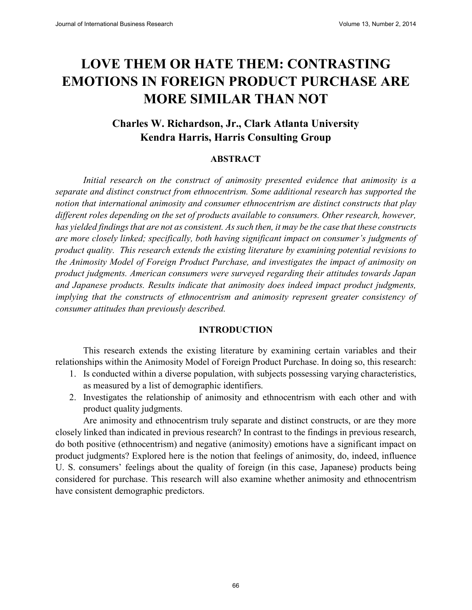# **LOVE THEM OR HATE THEM: CONTRASTING EMOTIONS IN FOREIGN PRODUCT PURCHASE ARE MORE SIMILAR THAN NOT**

## **Charles W. Richardson, Jr., Clark Atlanta University Kendra Harris, Harris Consulting Group**

#### **ABSTRACT**

*Initial research on the construct of animosity presented evidence that animosity is a separate and distinct construct from ethnocentrism. Some additional research has supported the notion that international animosity and consumer ethnocentrism are distinct constructs that play different roles depending on the set of products available to consumers. Other research, however, has yielded findings that are not as consistent. As such then, it may be the case that these constructs are more closely linked; specifically, both having significant impact on consumer's judgments of product quality. This research extends the existing literature by examining potential revisions to the Animosity Model of Foreign Product Purchase, and investigates the impact of animosity on product judgments. American consumers were surveyed regarding their attitudes towards Japan and Japanese products. Results indicate that animosity does indeed impact product judgments, implying that the constructs of ethnocentrism and animosity represent greater consistency of consumer attitudes than previously described.* 

#### **INTRODUCTION**

This research extends the existing literature by examining certain variables and their relationships within the Animosity Model of Foreign Product Purchase. In doing so, this research:

- 1. Is conducted within a diverse population, with subjects possessing varying characteristics, as measured by a list of demographic identifiers.
- 2. Investigates the relationship of animosity and ethnocentrism with each other and with product quality judgments.

Are animosity and ethnocentrism truly separate and distinct constructs, or are they more closely linked than indicated in previous research? In contrast to the findings in previous research, do both positive (ethnocentrism) and negative (animosity) emotions have a significant impact on product judgments? Explored here is the notion that feelings of animosity, do, indeed, influence U. S. consumers' feelings about the quality of foreign (in this case, Japanese) products being considered for purchase. This research will also examine whether animosity and ethnocentrism have consistent demographic predictors.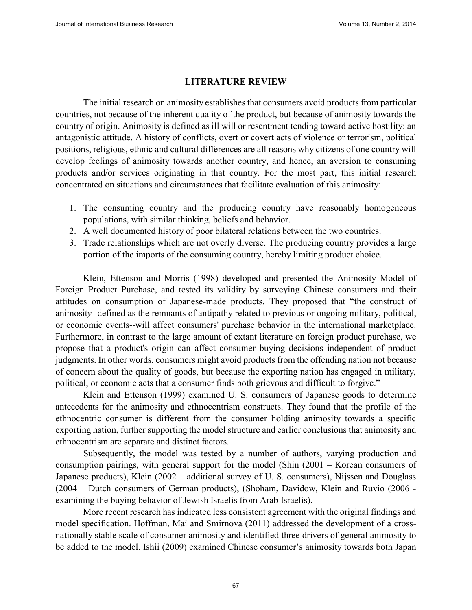#### **LITERATURE REVIEW**

The initial research on animosity establishes that consumers avoid products from particular countries, not because of the inherent quality of the product, but because of animosity towards the country of origin. Animosity is defined as ill will or resentment tending toward active hostility: an antagonistic attitude. A history of conflicts, overt or covert acts of violence or terrorism, political positions, religious, ethnic and cultural differences are all reasons why citizens of one country will develop feelings of animosity towards another country, and hence, an aversion to consuming products and/or services originating in that country. For the most part, this initial research concentrated on situations and circumstances that facilitate evaluation of this animosity:

- 1. The consuming country and the producing country have reasonably homogeneous populations, with similar thinking, beliefs and behavior.
- 2. A well documented history of poor bilateral relations between the two countries.
- 3. Trade relationships which are not overly diverse. The producing country provides a large portion of the imports of the consuming country, hereby limiting product choice.

Klein, Ettenson and Morris (1998) developed and presented the Animosity Model of Foreign Product Purchase, and tested its validity by surveying Chinese consumers and their attitudes on consumption of Japanese-made products. They proposed that "the construct of animosit*y*--defined as the remnants of antipathy related to previous or ongoing military, political, or economic events--will affect consumers' purchase behavior in the international marketplace. Furthermore, in contrast to the large amount of extant literature on foreign product purchase, we propose that a product's origin can affect consumer buying decisions independent of product judgments. In other words, consumers might avoid products from the offending nation not because of concern about the quality of goods, but because the exporting nation has engaged in military, political, or economic acts that a consumer finds both grievous and difficult to forgive."

Klein and Ettenson (1999) examined U. S. consumers of Japanese goods to determine antecedents for the animosity and ethnocentrism constructs. They found that the profile of the ethnocentric consumer is different from the consumer holding animosity towards a specific exporting nation, further supporting the model structure and earlier conclusions that animosity and ethnocentrism are separate and distinct factors.

Subsequently, the model was tested by a number of authors, varying production and consumption pairings, with general support for the model (Shin (2001 – Korean consumers of Japanese products), Klein (2002 – additional survey of U. S. consumers), Nijssen and Douglass (2004 – Dutch consumers of German products), (Shoham, Davidow, Klein and Ruvio (2006 examining the buying behavior of Jewish Israelis from Arab Israelis).

More recent research has indicated less consistent agreement with the original findings and model specification. Hoffman, Mai and Smirnova (2011) addressed the development of a crossnationally stable scale of consumer animosity and identified three drivers of general animosity to be added to the model. Ishii (2009) examined Chinese consumer's animosity towards both Japan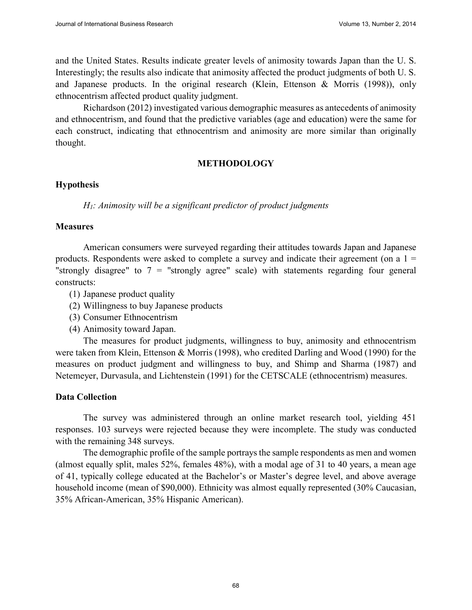and the United States. Results indicate greater levels of animosity towards Japan than the U. S. Interestingly; the results also indicate that animosity affected the product judgments of both U. S. and Japanese products. In the original research (Klein, Ettenson & Morris (1998)), only ethnocentrism affected product quality judgment.

Richardson (2012) investigated various demographic measures as antecedents of animosity and ethnocentrism, and found that the predictive variables (age and education) were the same for each construct, indicating that ethnocentrism and animosity are more similar than originally thought.

#### **METHODOLOGY**

#### **Hypothesis**

*H1: Animosity will be a significant predictor of product judgments* 

#### **Measures**

American consumers were surveyed regarding their attitudes towards Japan and Japanese products. Respondents were asked to complete a survey and indicate their agreement (on a  $1 =$ "strongly disagree" to  $7 =$  "strongly agree" scale) with statements regarding four general constructs:

- (1) Japanese product quality
- (2) Willingness to buy Japanese products
- (3) Consumer Ethnocentrism
- (4) Animosity toward Japan.

The measures for product judgments, willingness to buy, animosity and ethnocentrism were taken from Klein, Ettenson & Morris (1998), who credited Darling and Wood (1990) for the measures on product judgment and willingness to buy, and Shimp and Sharma (1987) and Netemeyer, Durvasula, and Lichtenstein (1991) for the CETSCALE (ethnocentrism) measures.

#### **Data Collection**

The survey was administered through an online market research tool, yielding 451 responses. 103 surveys were rejected because they were incomplete. The study was conducted with the remaining 348 surveys.

The demographic profile of the sample portrays the sample respondents as men and women (almost equally split, males 52%, females 48%), with a modal age of 31 to 40 years, a mean age of 41, typically college educated at the Bachelor's or Master's degree level, and above average household income (mean of \$90,000). Ethnicity was almost equally represented (30% Caucasian, 35% African-American, 35% Hispanic American).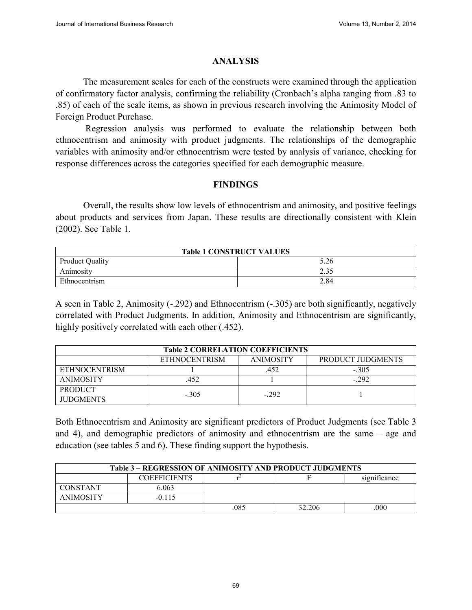# **ANALYSIS**

The measurement scales for each of the constructs were examined through the application of confirmatory factor analysis, confirming the reliability (Cronbach's alpha ranging from .83 to .85) of each of the scale items, as shown in previous research involving the Animosity Model of Foreign Product Purchase.

Regression analysis was performed to evaluate the relationship between both ethnocentrism and animosity with product judgments. The relationships of the demographic variables with animosity and/or ethnocentrism were tested by analysis of variance, checking for response differences across the categories specified for each demographic measure.

# **FINDINGS**

Overall, the results show low levels of ethnocentrism and animosity, and positive feelings about products and services from Japan. These results are directionally consistent with Klein (2002). See Table 1.

| <b>Table 1 CONSTRUCT VALUES</b> |      |  |  |  |  |
|---------------------------------|------|--|--|--|--|
| <b>Product Quality</b>          | 5.26 |  |  |  |  |
| Animosity                       | 2.35 |  |  |  |  |
| Ethnocentrism                   | 2.84 |  |  |  |  |

A seen in Table 2, Animosity (-.292) and Ethnocentrism (-.305) are both significantly, negatively correlated with Product Judgments. In addition, Animosity and Ethnocentrism are significantly, highly positively correlated with each other (.452).

| <b>Table 2 CORRELATION COEFFICIENTS</b>                       |         |        |         |  |  |  |  |  |
|---------------------------------------------------------------|---------|--------|---------|--|--|--|--|--|
| <b>ETHNOCENTRISM</b><br>PRODUCT JUDGMENTS<br><b>ANIMOSITY</b> |         |        |         |  |  |  |  |  |
| <b>ETHNOCENTRISM</b>                                          |         | 452    | $-.305$ |  |  |  |  |  |
| <b>ANIMOSITY</b>                                              | 452     |        | $-292$  |  |  |  |  |  |
| <b>PRODUCT</b>                                                | $-.305$ | $-292$ |         |  |  |  |  |  |
| <b>JUDGMENTS</b>                                              |         |        |         |  |  |  |  |  |

Both Ethnocentrism and Animosity are significant predictors of Product Judgments (see Table 3 and 4), and demographic predictors of animosity and ethnocentrism are the same – age and education (see tables 5 and 6). These finding support the hypothesis.

| Table 3 – REGRESSION OF ANIMOSITY AND PRODUCT JUDGMENTS |       |  |  |  |  |  |
|---------------------------------------------------------|-------|--|--|--|--|--|
| significance<br><b>COEFFICIENTS</b>                     |       |  |  |  |  |  |
| <b>CONSTANT</b>                                         | 6.063 |  |  |  |  |  |
| <b>ANIMOSITY</b><br>$-0.115$                            |       |  |  |  |  |  |
| .085<br>.000<br>32.206                                  |       |  |  |  |  |  |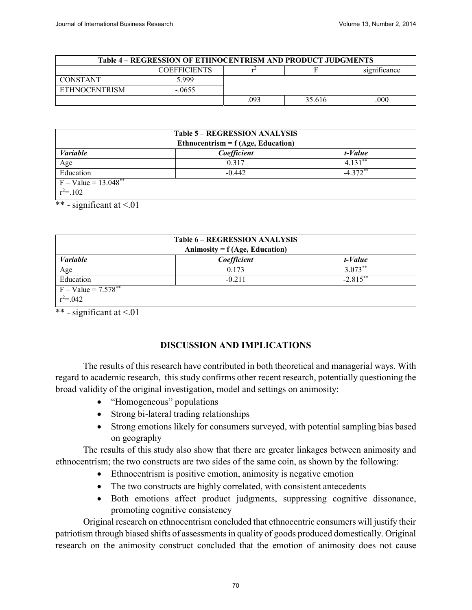| <b>Table 4 – REGRESSION OF ETHNOCENTRISM AND PRODUCT JUDGMENTS</b> |                     |              |        |     |  |  |  |
|--------------------------------------------------------------------|---------------------|--------------|--------|-----|--|--|--|
|                                                                    | <b>COEFFICIENTS</b> | significance |        |     |  |  |  |
| <b>CONSTANT</b>                                                    | 5 999               |              |        |     |  |  |  |
| <b>ETHNOCENTRISM</b>                                               | $-.0655$            |              |        |     |  |  |  |
|                                                                    |                     | 093          | 35.616 | 000 |  |  |  |

|                                    | <b>Table 5 – REGRESSION ANALYSIS</b> |            |  |  |  |  |
|------------------------------------|--------------------------------------|------------|--|--|--|--|
|                                    | Ethnocentrism = $f(Age, Education)$  |            |  |  |  |  |
| <i>Variable</i>                    | Coefficient                          | t-Value    |  |  |  |  |
| Age                                | 0.317                                | $4.131***$ |  |  |  |  |
| Education                          | $-0.442$                             | $-4.372**$ |  |  |  |  |
| $F - Value = 13.048$ <sup>**</sup> |                                      |            |  |  |  |  |
| $r^2 = 102$                        |                                      |            |  |  |  |  |

\*\* - significant at  $\leq 01$ 

| <b>Table 6 - REGRESSION ANALYSIS</b><br>Animosity = $f(Age, Education)$ |                         |           |  |  |  |  |  |
|-------------------------------------------------------------------------|-------------------------|-----------|--|--|--|--|--|
| <i>Variable</i><br>Coefficient<br>t-Value                               |                         |           |  |  |  |  |  |
| Age                                                                     | 0.173                   | $3.073**$ |  |  |  |  |  |
| Education                                                               | $-2.815***$<br>$-0.211$ |           |  |  |  |  |  |
| $F - Value = 7.578***$                                                  |                         |           |  |  |  |  |  |
| $r^2 = 0.042$                                                           |                         |           |  |  |  |  |  |

\*\* - significant at  $\leq 0.01$ 

# **DISCUSSION AND IMPLICATIONS**

The results of this research have contributed in both theoretical and managerial ways. With regard to academic research, this study confirms other recent research, potentially questioning the broad validity of the original investigation, model and settings on animosity:

- "Homogeneous" populations
- Strong bi-lateral trading relationships
- Strong emotions likely for consumers surveyed, with potential sampling bias based on geography

The results of this study also show that there are greater linkages between animosity and ethnocentrism; the two constructs are two sides of the same coin, as shown by the following:

- Ethnocentrism is positive emotion, animosity is negative emotion
- The two constructs are highly correlated, with consistent antecedents
- Both emotions affect product judgments, suppressing cognitive dissonance, promoting cognitive consistency

Original research on ethnocentrism concluded that ethnocentric consumers will justify their patriotism through biased shifts of assessments in quality of goods produced domestically. Original research on the animosity construct concluded that the emotion of animosity does not cause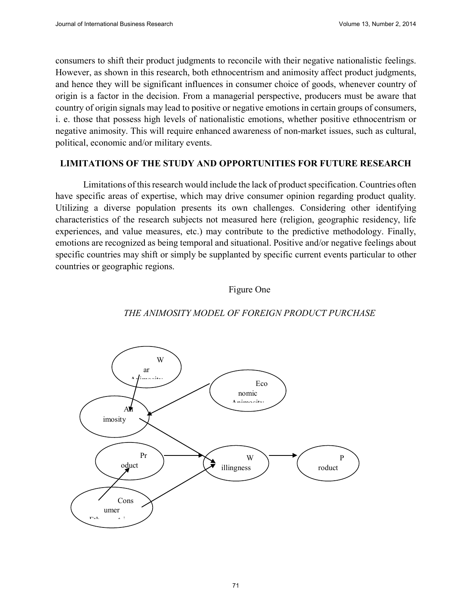consumers to shift their product judgments to reconcile with their negative nationalistic feelings. However, as shown in this research, both ethnocentrism and animosity affect product judgments, and hence they will be significant influences in consumer choice of goods, whenever country of origin is a factor in the decision. From a managerial perspective, producers must be aware that country of origin signals may lead to positive or negative emotions in certain groups of consumers, i. e. those that possess high levels of nationalistic emotions, whether positive ethnocentrism or negative animosity. This will require enhanced awareness of non-market issues, such as cultural, political, economic and/or military events.

#### **LIMITATIONS OF THE STUDY AND OPPORTUNITIES FOR FUTURE RESEARCH**

Limitations of this research would include the lack of product specification. Countries often have specific areas of expertise, which may drive consumer opinion regarding product quality. Utilizing a diverse population presents its own challenges. Considering other identifying characteristics of the research subjects not measured here (religion, geographic residency, life experiences, and value measures, etc.) may contribute to the predictive methodology. Finally, emotions are recognized as being temporal and situational. Positive and/or negative feelings about specific countries may shift or simply be supplanted by specific current events particular to other countries or geographic regions.

## Figure One



#### *THE ANIMOSITY MODEL OF FOREIGN PRODUCT PURCHASE*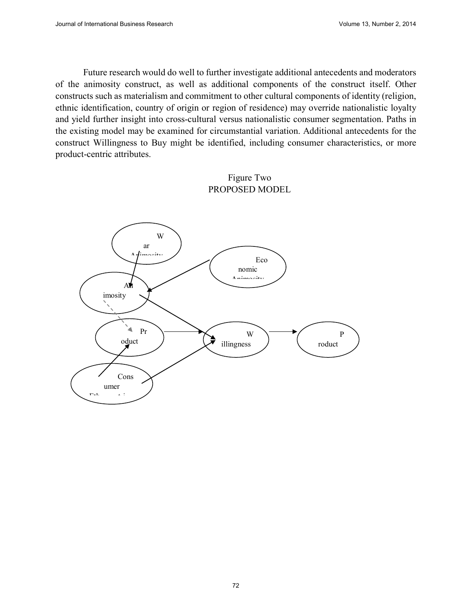Future research would do well to further investigate additional antecedents and moderators of the animosity construct, as well as additional components of the construct itself. Other constructs such as materialism and commitment to other cultural components of identity (religion, ethnic identification, country of origin or region of residence) may override nationalistic loyalty and yield further insight into cross-cultural versus nationalistic consumer segmentation. Paths in the existing model may be examined for circumstantial variation. Additional antecedents for the construct Willingness to Buy might be identified, including consumer characteristics, or more product-centric attributes.

# Figure Two PROPOSED MODEL

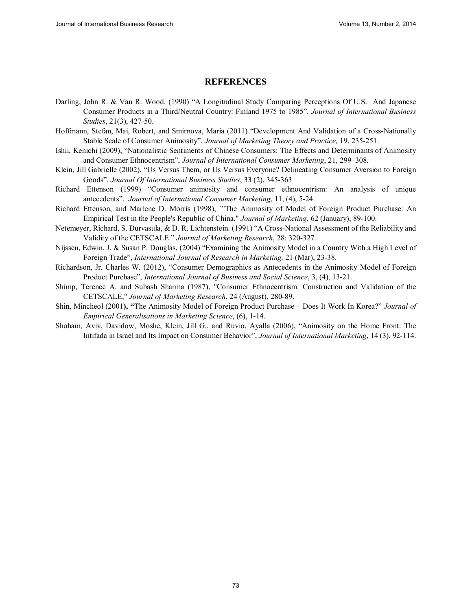#### **REFERENCES**

- Darling, John R. & Van R. Wood. (1990) "A Longitudinal Study Comparing Perceptions Of U.S. And Japanese Consumer Products in a Third/Neutral Country: Finland 1975 to 1985". *Journal of International Business Studies*, 21(3), 427-50.
- Hoffmann, Stefan, Mai, Robert, and Smirnova, Maria (2011) "Development And Validation of a Cross-Nationally Stable Scale of Consumer Animosity", *Journal of Marketing Theory and Practice,* 19, 235-251.
- Ishii, Kenichi (2009), "Nationalistic Sentiments of Chinese Consumers: The Effects and Determinants of Animosity and Consumer Ethnocentrism", *Journal of International Consumer Marketing*, 21, 299–308.
- Klein, Jill Gabrielle (2002), "Us Versus Them, or Us Versus Everyone? Delineating Consumer Aversion to Foreign Goods". *Journal Of International Business Studies*, 33 (2), 345-363
- Richard Ettenson (1999) "Consumer animosity and consumer ethnocentrism: An analysis of unique antecedents". *Journal of International Consumer Marketing*, 11, (4), 5-24.
- Richard Ettenson, and Marlene D. Morris (1998), `"The Animosity of Model of Foreign Product Purchase: An Empirical Test in the People's Republic of China," *Journal of Marketing*, 62 (January), 89-100.
- Netemeyer, Richard, S. Durvasula, & D. R. Lichtenstein. (1991) "A Cross-National Assessment of the Reliability and Validity of the CETSCALE." *Journal of Marketing Research*, 28: 320-327.
- Nijssen, Edwin. J. & Susan P. Douglas, (2004) "Examining the Animosity Model in a Country With a High Level of Foreign Trade", *International Journal of Research in Marketing,* 21 (Mar), 23-38.
- Richardson, Jr. Charles W. (2012), "Consumer Demographics as Antecedents in the Animosity Model of Foreign Product Purchase", *International Journal of Business and Social Science*, 3, (4), 13-21.
- Shimp, Terence A. and Subash Sharma (1987), "Consumer Ethnocentrism: Construction and Validation of the CETSCALE," *Journal of Marketing Research*, 24 (August), 280-89.
- Shin, Mincheol (2001**), "**The Animosity Model of Foreign Product Purchase Does It Work In Korea?" *Journal of Empirical Generalisations in Marketing Science*, (6), 1-14.
- Shoham, Aviv, Davidow, Moshe, Klein, Jill G., and Ruvio, Ayalla (2006), "Animosity on the Home Front: The Intifada in Israel and Its Impact on Consumer Behavior", *Journal of International Marketing*, 14 (3), 92-114.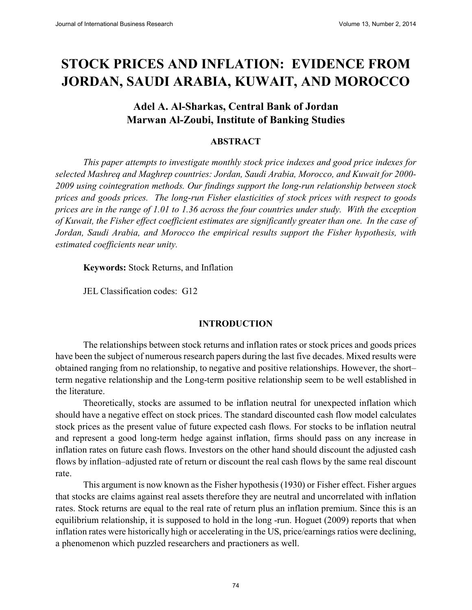# **STOCK PRICES AND INFLATION: EVIDENCE FROM JORDAN, SAUDI ARABIA, KUWAIT, AND MOROCCO**

# **Adel A. Al-Sharkas, Central Bank of Jordan Marwan Al-Zoubi, Institute of Banking Studies**

## **ABSTRACT**

*This paper attempts to investigate monthly stock price indexes and good price indexes for selected Mashreq and Maghrep countries: Jordan, Saudi Arabia, Morocco, and Kuwait for 2000- 2009 using cointegration methods. Our findings support the long-run relationship between stock prices and goods prices. The long-run Fisher elasticities of stock prices with respect to goods prices are in the range of 1.01 to 1.36 across the four countries under study. With the exception of Kuwait, the Fisher effect coefficient estimates are significantly greater than one. In the case of Jordan, Saudi Arabia, and Morocco the empirical results support the Fisher hypothesis, with estimated coefficients near unity.*

**Keywords:** Stock Returns, and Inflation

JEL Classification codes: G12

#### **INTRODUCTION**

The relationships between stock returns and inflation rates or stock prices and goods prices have been the subject of numerous research papers during the last five decades. Mixed results were obtained ranging from no relationship, to negative and positive relationships. However, the short– term negative relationship and the Long-term positive relationship seem to be well established in the literature.

Theoretically, stocks are assumed to be inflation neutral for unexpected inflation which should have a negative effect on stock prices. The standard discounted cash flow model calculates stock prices as the present value of future expected cash flows. For stocks to be inflation neutral and represent a good long-term hedge against inflation, firms should pass on any increase in inflation rates on future cash flows. Investors on the other hand should discount the adjusted cash flows by inflation–adjusted rate of return or discount the real cash flows by the same real discount rate.

This argument is now known as the Fisher hypothesis (1930) or Fisher effect. Fisher argues that stocks are claims against real assets therefore they are neutral and uncorrelated with inflation rates. Stock returns are equal to the real rate of return plus an inflation premium. Since this is an equilibrium relationship, it is supposed to hold in the long -run. Hoguet (2009) reports that when inflation rates were historically high or accelerating in the US, price/earnings ratios were declining, a phenomenon which puzzled researchers and practioners as well.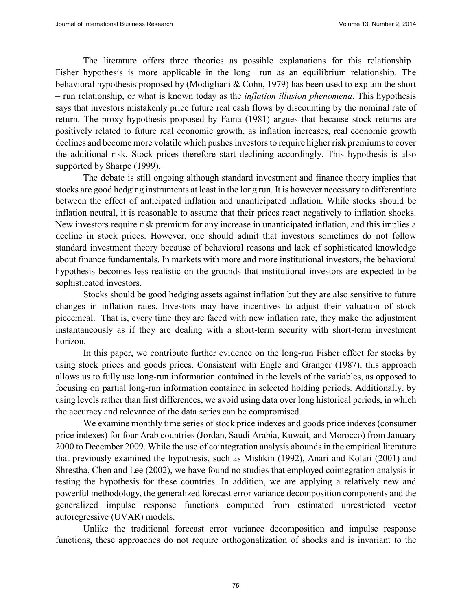The literature offers three theories as possible explanations for this relationship . Fisher hypothesis is more applicable in the long –run as an equilibrium relationship. The behavioral hypothesis proposed by (Modigliani & Cohn, 1979) has been used to explain the short – run relationship, or what is known today as the *inflation illusion phenomena*. This hypothesis says that investors mistakenly price future real cash flows by discounting by the nominal rate of return. The proxy hypothesis proposed by Fama (1981) argues that because stock returns are positively related to future real economic growth, as inflation increases, real economic growth declines and become more volatile which pushes investors to require higher risk premiums to cover the additional risk. Stock prices therefore start declining accordingly. This hypothesis is also supported by Sharpe (1999).

The debate is still ongoing although standard investment and finance theory implies that stocks are good hedging instruments at least in the long run. It is however necessary to differentiate between the effect of anticipated inflation and unanticipated inflation. While stocks should be inflation neutral, it is reasonable to assume that their prices react negatively to inflation shocks. New investors require risk premium for any increase in unanticipated inflation, and this implies a decline in stock prices. However, one should admit that investors sometimes do not follow standard investment theory because of behavioral reasons and lack of sophisticated knowledge about finance fundamentals. In markets with more and more institutional investors, the behavioral hypothesis becomes less realistic on the grounds that institutional investors are expected to be sophisticated investors.

Stocks should be good hedging assets against inflation but they are also sensitive to future changes in inflation rates. Investors may have incentives to adjust their valuation of stock piecemeal. That is, every time they are faced with new inflation rate, they make the adjustment instantaneously as if they are dealing with a short-term security with short-term investment horizon.

In this paper, we contribute further evidence on the long-run Fisher effect for stocks by using stock prices and goods prices. Consistent with Engle and Granger (1987), this approach allows us to fully use long-run information contained in the levels of the variables, as opposed to focusing on partial long-run information contained in selected holding periods. Additionally, by using levels rather than first differences, we avoid using data over long historical periods, in which the accuracy and relevance of the data series can be compromised.

We examine monthly time series of stock price indexes and goods price indexes (consumer price indexes) for four Arab countries (Jordan, Saudi Arabia, Kuwait, and Morocco) from January 2000 to December 2009. While the use of cointegration analysis abounds in the empirical literature that previously examined the hypothesis, such as Mishkin (1992), Anari and Kolari (2001) and Shrestha, Chen and Lee (2002), we have found no studies that employed cointegration analysis in testing the hypothesis for these countries. In addition, we are applying a relatively new and powerful methodology, the generalized forecast error variance decomposition components and the generalized impulse response functions computed from estimated unrestricted vector autoregressive (UVAR) models.

Unlike the traditional forecast error variance decomposition and impulse response functions, these approaches do not require orthogonalization of shocks and is invariant to the

75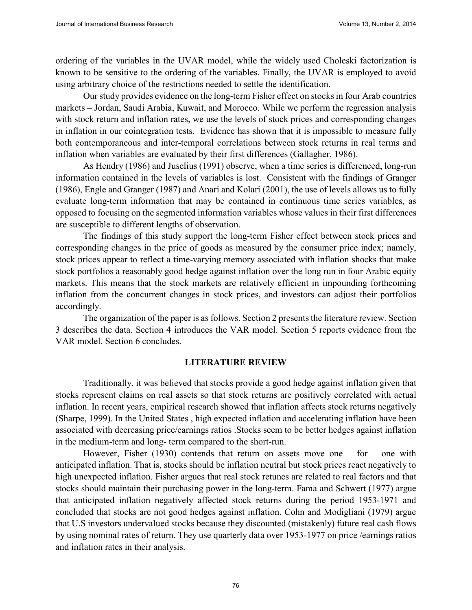ordering of the variables in the UVAR model, while the widely used Choleski factorization is known to be sensitive to the ordering of the variables. Finally, the UVAR is employed to avoid using arbitrary choice of the restrictions needed to settle the identification.

Our study provides evidence on the long-term Fisher effect on stocks in four Arab countries markets – Jordan, Saudi Arabia, Kuwait, and Morocco. While we perform the regression analysis with stock return and inflation rates, we use the levels of stock prices and corresponding changes in inflation in our cointegration tests. Evidence has shown that it is impossible to measure fully both contemporaneous and inter-temporal correlations between stock returns in real terms and inflation when variables are evaluated by their first differences (Gallagher, 1986).

As Hendry (1986) and Juselius (1991) observe, when a time series is differenced, long-run information contained in the levels of variables is lost. Consistent with the findings of Granger (1986), Engle and Granger (1987) and Anari and Kolari (2001), the use of levels allows us to fully evaluate long-term information that may be contained in continuous time series variables, as opposed to focusing on the segmented information variables whose values in their first differences are susceptible to different lengths of observation.

The findings of this study support the long-term Fisher effect between stock prices and corresponding changes in the price of goods as measured by the consumer price index; namely, stock prices appear to reflect a time-varying memory associated with inflation shocks that make stock portfolios a reasonably good hedge against inflation over the long run in four Arabic equity markets. This means that the stock markets are relatively efficient in impounding forthcoming inflation from the concurrent changes in stock prices, and investors can adjust their portfolios accordingly.

The organization of the paper is as follows. Section 2 presents the literature review. Section 3 describes the data. Section 4 introduces the VAR model. Section 5 reports evidence from the VAR model. Section 6 concludes.

#### **LITERATURE REVIEW**

Traditionally, it was believed that stocks provide a good hedge against inflation given that stocks represent claims on real assets so that stock returns are positively correlated with actual inflation. In recent years, empirical research showed that inflation affects stock returns negatively (Sharpe, 1999). In the United States , high expected inflation and accelerating inflation have been associated with decreasing price/earnings ratios .Stocks seem to be better hedges against inflation in the medium-term and long- term compared to the short-run.

However, Fisher (1930) contends that return on assets move one – for – one with anticipated inflation. That is, stocks should be inflation neutral but stock prices react negatively to high unexpected inflation. Fisher argues that real stock retunes are related to real factors and that stocks should maintain their purchasing power in the long-term. Fama and Schwert (1977) argue that anticipated inflation negatively affected stock returns during the period 1953-1971 and concluded that stocks are not good hedges against inflation. Cohn and Modigliani (1979) argue that U.S investors undervalued stocks because they discounted (mistakenly) future real cash flows by using nominal rates of return. They use quarterly data over 1953-1977 on price /earnings ratios and inflation rates in their analysis.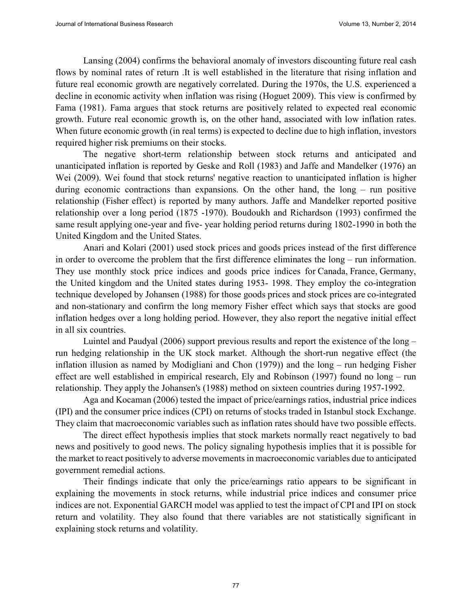Lansing (2004) confirms the behavioral anomaly of investors discounting future real cash flows by nominal rates of return .It is well established in the literature that rising inflation and future real economic growth are negatively correlated. During the 1970s, the U.S. experienced a decline in economic activity when inflation was rising (Hoguet 2009). This view is confirmed by Fama (1981). Fama argues that stock returns are positively related to expected real economic growth. Future real economic growth is, on the other hand, associated with low inflation rates. When future economic growth (in real terms) is expected to decline due to high inflation, investors required higher risk premiums on their stocks.

The negative short-term relationship between stock returns and anticipated and unanticipated inflation is reported by Geske and Roll (1983) and Jaffe and Mandelker (1976) an Wei (2009). Wei found that stock returns' negative reaction to unanticipated inflation is higher during economic contractions than expansions. On the other hand, the long – run positive relationship (Fisher effect) is reported by many authors. Jaffe and Mandelker reported positive relationship over a long period (1875 -1970). Boudoukh and Richardson (1993) confirmed the same result applying one-year and five- year holding period returns during 1802-1990 in both the United Kingdom and the United States.

Anari and Kolari (2001) used stock prices and goods prices instead of the first difference in order to overcome the problem that the first difference eliminates the long – run information. They use monthly stock price indices and goods price indices for Canada, France, Germany, the United kingdom and the United states during 1953- 1998. They employ the co-integration technique developed by Johansen (1988) for those goods prices and stock prices are co-integrated and non-stationary and confirm the long memory Fisher effect which says that stocks are good inflation hedges over a long holding period. However, they also report the negative initial effect in all six countries.

Luintel and Paudyal (2006) support previous results and report the existence of the long – run hedging relationship in the UK stock market. Although the short-run negative effect (the inflation illusion as named by Modigliani and Chon (1979)) and the long – run hedging Fisher effect are well established in empirical research, Ely and Robinson (1997) found no long – run relationship. They apply the Johansen's (1988) method on sixteen countries during 1957-1992.

Aga and Kocaman (2006) tested the impact of price/earnings ratios, industrial price indices (IPI) and the consumer price indices (CPI) on returns of stocks traded in Istanbul stock Exchange. They claim that macroeconomic variables such as inflation rates should have two possible effects.

The direct effect hypothesis implies that stock markets normally react negatively to bad news and positively to good news. The policy signaling hypothesis implies that it is possible for the market to react positively to adverse movements in macroeconomic variables due to anticipated government remedial actions.

Their findings indicate that only the price/earnings ratio appears to be significant in explaining the movements in stock returns, while industrial price indices and consumer price indices are not. Exponential GARCH model was applied to test the impact of CPI and IPI on stock return and volatility. They also found that there variables are not statistically significant in explaining stock returns and volatility.

 $77$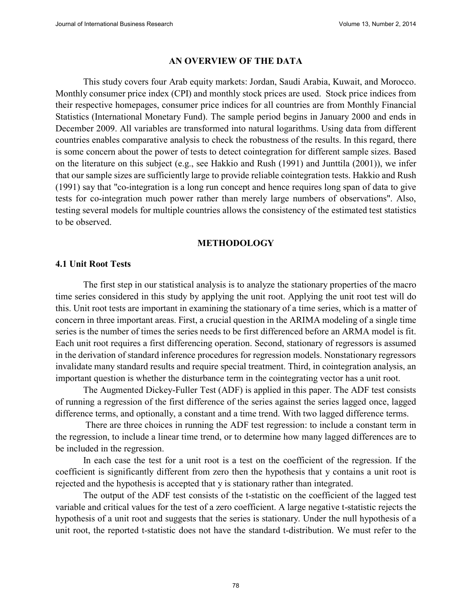#### **AN OVERVIEW OF THE DATA**

This study covers four Arab equity markets: Jordan, Saudi Arabia, Kuwait, and Morocco. Monthly consumer price index (CPI) and monthly stock prices are used. Stock price indices from their respective homepages, consumer price indices for all countries are from Monthly Financial Statistics (International Monetary Fund). The sample period begins in January 2000 and ends in December 2009. All variables are transformed into natural logarithms. Using data from different countries enables comparative analysis to check the robustness of the results. In this regard, there is some concern about the power of tests to detect cointegration for different sample sizes. Based on the literature on this subject (e.g., see Hakkio and Rush (1991) and Junttila (2001)), we infer that our sample sizes are sufficiently large to provide reliable cointegration tests. Hakkio and Rush (1991) say that "co-integration is a long run concept and hence requires long span of data to give tests for co-integration much power rather than merely large numbers of observations". Also, testing several models for multiple countries allows the consistency of the estimated test statistics to be observed.

#### **METHODOLOGY**

#### **4.1 Unit Root Tests**

The first step in our statistical analysis is to analyze the stationary properties of the macro time series considered in this study by applying the unit root. Applying the unit root test will do this. Unit root tests are important in examining the stationary of a time series, which is a matter of concern in three important areas. First, a crucial question in the ARIMA modeling of a single time series is the number of times the series needs to be first differenced before an ARMA model is fit. Each unit root requires a first differencing operation. Second, stationary of regressors is assumed in the derivation of standard inference procedures for regression models. Nonstationary regressors invalidate many standard results and require special treatment. Third, in cointegration analysis, an important question is whether the disturbance term in the cointegrating vector has a unit root.

The Augmented Dickey-Fuller Test (ADF) is applied in this paper. The ADF test consists of running a regression of the first difference of the series against the series lagged once, lagged difference terms, and optionally, a constant and a time trend. With two lagged difference terms.

There are three choices in running the ADF test regression: to include a constant term in the regression, to include a linear time trend, or to determine how many lagged differences are to be included in the regression.

In each case the test for a unit root is a test on the coefficient of the regression. If the coefficient is significantly different from zero then the hypothesis that y contains a unit root is rejected and the hypothesis is accepted that y is stationary rather than integrated.

The output of the ADF test consists of the t-statistic on the coefficient of the lagged test variable and critical values for the test of a zero coefficient. A large negative t-statistic rejects the hypothesis of a unit root and suggests that the series is stationary. Under the null hypothesis of a unit root, the reported t-statistic does not have the standard t-distribution. We must refer to the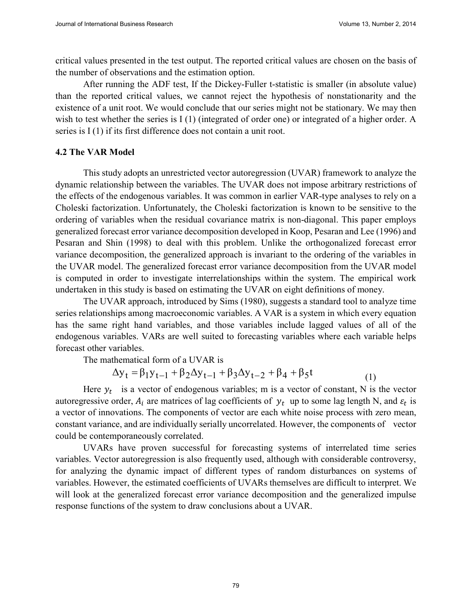critical values presented in the test output. The reported critical values are chosen on the basis of the number of observations and the estimation option.

After running the ADF test, If the Dickey-Fuller t-statistic is smaller (in absolute value) than the reported critical values, we cannot reject the hypothesis of nonstationarity and the existence of a unit root. We would conclude that our series might not be stationary. We may then wish to test whether the series is I (1) (integrated of order one) or integrated of a higher order. A series is I (1) if its first difference does not contain a unit root.

#### **4.2 The VAR Model**

This study adopts an unrestricted vector autoregression (UVAR) framework to analyze the dynamic relationship between the variables. The UVAR does not impose arbitrary restrictions of the effects of the endogenous variables. It was common in earlier VAR-type analyses to rely on a Choleski factorization. Unfortunately, the Choleski factorization is known to be sensitive to the ordering of variables when the residual covariance matrix is non-diagonal. This paper employs generalized forecast error variance decomposition developed in Koop, Pesaran and Lee (1996) and Pesaran and Shin (1998) to deal with this problem. Unlike the orthogonalized forecast error variance decomposition, the generalized approach is invariant to the ordering of the variables in the UVAR model. The generalized forecast error variance decomposition from the UVAR model is computed in order to investigate interrelationships within the system. The empirical work undertaken in this study is based on estimating the UVAR on eight definitions of money.

The UVAR approach, introduced by Sims (1980), suggests a standard tool to analyze time series relationships among macroeconomic variables. A VAR is a system in which every equation has the same right hand variables, and those variables include lagged values of all of the endogenous variables. VARs are well suited to forecasting variables where each variable helps forecast other variables.

The mathematical form of a UVAR is

$$
\Delta y_t = \beta_1 y_{t-1} + \beta_2 \Delta y_{t-1} + \beta_3 \Delta y_{t-2} + \beta_4 + \beta_5 t
$$
 (1)

Here  $y_t$  is a vector of endogenous variables; m is a vector of constant, N is the vector autoregressive order,  $A_i$  are matrices of lag coefficients of  $y_t$  up to some lag length N, and  $\varepsilon_t$  is a vector of innovations. The components of vector are each white noise process with zero mean, constant variance, and are individually serially uncorrelated. However, the components of vector could be contemporaneously correlated.

UVARs have proven successful for forecasting systems of interrelated time series variables. Vector autoregression is also frequently used, although with considerable controversy, for analyzing the dynamic impact of different types of random disturbances on systems of variables. However, the estimated coefficients of UVARs themselves are difficult to interpret. We will look at the generalized forecast error variance decomposition and the generalized impulse response functions of the system to draw conclusions about a UVAR.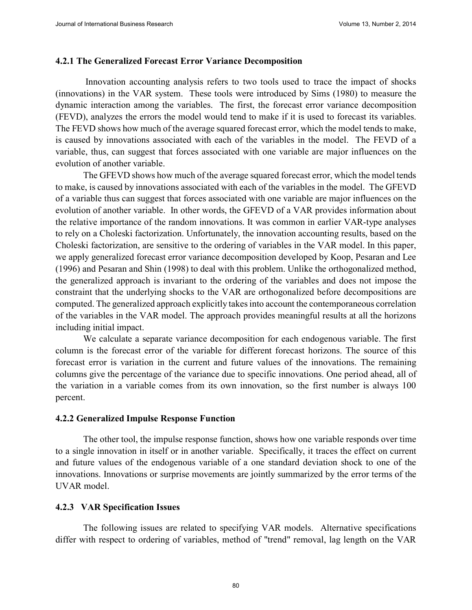#### **4.2.1 The Generalized Forecast Error Variance Decomposition**

Innovation accounting analysis refers to two tools used to trace the impact of shocks (innovations) in the VAR system. These tools were introduced by Sims (1980) to measure the dynamic interaction among the variables. The first, the forecast error variance decomposition (FEVD), analyzes the errors the model would tend to make if it is used to forecast its variables. The FEVD shows how much of the average squared forecast error, which the model tends to make, is caused by innovations associated with each of the variables in the model. The FEVD of a variable, thus, can suggest that forces associated with one variable are major influences on the evolution of another variable.

The GFEVD shows how much of the average squared forecast error, which the model tends to make, is caused by innovations associated with each of the variables in the model. The GFEVD of a variable thus can suggest that forces associated with one variable are major influences on the evolution of another variable. In other words, the GFEVD of a VAR provides information about the relative importance of the random innovations. It was common in earlier VAR-type analyses to rely on a Choleski factorization. Unfortunately, the innovation accounting results, based on the Choleski factorization, are sensitive to the ordering of variables in the VAR model. In this paper, we apply generalized forecast error variance decomposition developed by Koop, Pesaran and Lee (1996) and Pesaran and Shin (1998) to deal with this problem. Unlike the orthogonalized method, the generalized approach is invariant to the ordering of the variables and does not impose the constraint that the underlying shocks to the VAR are orthogonalized before decompositions are computed. The generalized approach explicitly takes into account the contemporaneous correlation of the variables in the VAR model. The approach provides meaningful results at all the horizons including initial impact.

We calculate a separate variance decomposition for each endogenous variable. The first column is the forecast error of the variable for different forecast horizons. The source of this forecast error is variation in the current and future values of the innovations. The remaining columns give the percentage of the variance due to specific innovations. One period ahead, all of the variation in a variable comes from its own innovation, so the first number is always 100 percent.

#### **4.2.2 Generalized Impulse Response Function**

The other tool, the impulse response function, shows how one variable responds over time to a single innovation in itself or in another variable. Specifically, it traces the effect on current and future values of the endogenous variable of a one standard deviation shock to one of the innovations. Innovations or surprise movements are jointly summarized by the error terms of the UVAR model.

#### **4.2.3 VAR Specification Issues**

The following issues are related to specifying VAR models. Alternative specifications differ with respect to ordering of variables, method of "trend" removal, lag length on the VAR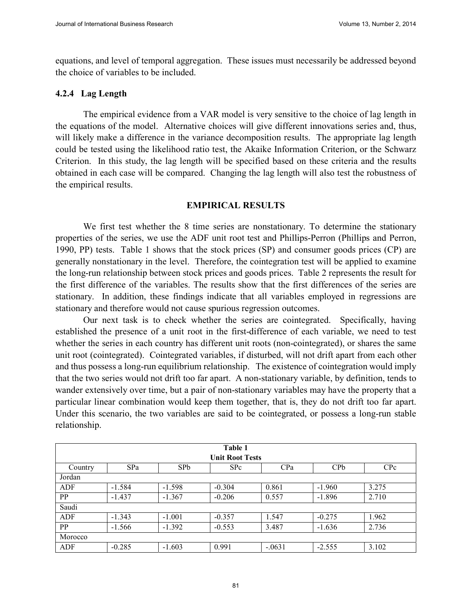equations, and level of temporal aggregation. These issues must necessarily be addressed beyond the choice of variables to be included.

#### **4.2.4 Lag Length**

The empirical evidence from a VAR model is very sensitive to the choice of lag length in the equations of the model. Alternative choices will give different innovations series and, thus, will likely make a difference in the variance decomposition results. The appropriate lag length could be tested using the likelihood ratio test, the Akaike Information Criterion, or the Schwarz Criterion. In this study, the lag length will be specified based on these criteria and the results obtained in each case will be compared. Changing the lag length will also test the robustness of the empirical results.

#### **EMPIRICAL RESULTS**

We first test whether the 8 time series are nonstationary. To determine the stationary properties of the series, we use the ADF unit root test and Phillips-Perron (Phillips and Perron, 1990, PP) tests. Table 1 shows that the stock prices (SP) and consumer goods prices (CP) are generally nonstationary in the level. Therefore, the cointegration test will be applied to examine the long-run relationship between stock prices and goods prices. Table 2 represents the result for the first difference of the variables. The results show that the first differences of the series are stationary. In addition, these findings indicate that all variables employed in regressions are stationary and therefore would not cause spurious regression outcomes.

Our next task is to check whether the series are cointegrated. Specifically, having established the presence of a unit root in the first-difference of each variable, we need to test whether the series in each country has different unit roots (non-cointegrated), or shares the same unit root (cointegrated). Cointegrated variables, if disturbed, will not drift apart from each other and thus possess a long-run equilibrium relationship. The existence of cointegration would imply that the two series would not drift too far apart. A non-stationary variable, by definition, tends to wander extensively over time, but a pair of non-stationary variables may have the property that a particular linear combination would keep them together, that is, they do not drift too far apart. Under this scenario, the two variables are said to be cointegrated, or possess a long-run stable relationship.

| Table 1   |            |          |                        |          |                 |                 |
|-----------|------------|----------|------------------------|----------|-----------------|-----------------|
|           |            |          | <b>Unit Root Tests</b> |          |                 |                 |
| Country   | <b>SPa</b> | SPb      | S <sub>Pc</sub>        | CPa      | CP <sub>b</sub> | C <sub>Pc</sub> |
| Jordan    |            |          |                        |          |                 |                 |
| ADF       | $-1.584$   | $-1.598$ | $-0.304$               | 0.861    | $-1.960$        | 3.275           |
| <b>PP</b> | $-1.437$   | $-1.367$ | $-0.206$               | 0.557    | $-1.896$        | 2.710           |
| Saudi     |            |          |                        |          |                 |                 |
| ADF       | $-1.343$   | $-1.001$ | $-0.357$               | 1.547    | $-0.275$        | 1.962           |
| <b>PP</b> | $-1.566$   | $-1.392$ | $-0.553$               | 3.487    | $-1.636$        | 2.736           |
| Morocco   |            |          |                        |          |                 |                 |
| ADF       | $-0.285$   | $-1.603$ | 0.991                  | $-.0631$ | $-2.555$        | 3.102           |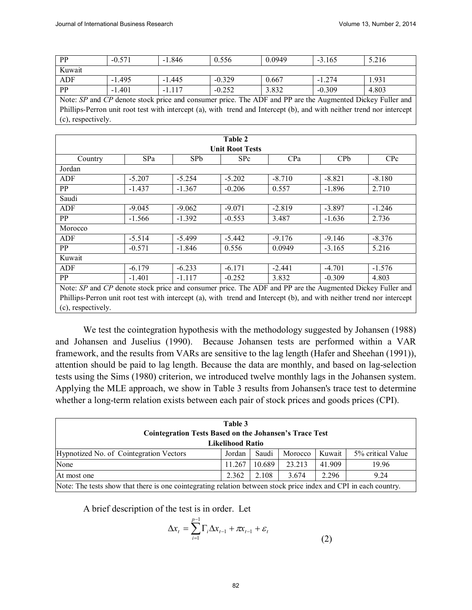| <b>PP</b>                                                                                                             | $-0.571$ | $-1.846$ | 0.556    | 0.0949 | $-3.165$ | 5.216 |  |
|-----------------------------------------------------------------------------------------------------------------------|----------|----------|----------|--------|----------|-------|--|
| Kuwait                                                                                                                |          |          |          |        |          |       |  |
| ADF                                                                                                                   | $-1495$  | $-1.445$ | $-0.329$ | 0.667  | $-1274$  | 1.931 |  |
| <b>PP</b>                                                                                                             | $-1.401$ | $-1117$  | $-0.252$ | 3.832  | $-0.309$ | 4.803 |  |
| Note: SP and CP denote stock price and consumer price. The ADF and PP are the Augmented Dickey Fuller and             |          |          |          |        |          |       |  |
| Phillips-Perron unit root test with intercept (a), with trend and Intercept (b), and with neither trend nor intercept |          |          |          |        |          |       |  |
| (c), respectively.                                                                                                    |          |          |          |        |          |       |  |

| Table 2                                                                                                               |          |                 |                 |          |            |            |
|-----------------------------------------------------------------------------------------------------------------------|----------|-----------------|-----------------|----------|------------|------------|
| <b>Unit Root Tests</b>                                                                                                |          |                 |                 |          |            |            |
| Country                                                                                                               | SPa      | SP <sub>b</sub> | S <sub>Pc</sub> | CPa      | <b>CPb</b> | <b>CPc</b> |
| Jordan                                                                                                                |          |                 |                 |          |            |            |
| ADF                                                                                                                   | $-5.207$ | $-5.254$        | $-5.202$        | $-8.710$ | $-8.821$   | $-8.180$   |
| PP                                                                                                                    | $-1.437$ | $-1.367$        | $-0.206$        | 0.557    | $-1.896$   | 2.710      |
| Saudi                                                                                                                 |          |                 |                 |          |            |            |
| ADF                                                                                                                   | $-9.045$ | $-9.062$        | $-9.071$        | $-2.819$ | $-3.897$   | $-1.246$   |
| PP                                                                                                                    | $-1.566$ | $-1.392$        | $-0.553$        | 3.487    | $-1.636$   | 2.736      |
| Morocco                                                                                                               |          |                 |                 |          |            |            |
| ADF                                                                                                                   | $-5.514$ | $-5.499$        | $-5.442$        | $-9.176$ | $-9.146$   | $-8.376$   |
| PP                                                                                                                    | $-0.571$ | $-1.846$        | 0.556           | 0.0949   | $-3.165$   | 5.216      |
| Kuwait                                                                                                                |          |                 |                 |          |            |            |
| ADF                                                                                                                   | $-6.179$ | $-6.233$        | $-6.171$        | $-2.441$ | $-4.701$   | $-1.576$   |
| PP                                                                                                                    | $-1.401$ | $-1.117$        | $-0.252$        | 3.832    | $-0.309$   | 4.803      |
| Note: SP and CP denote stock price and consumer price. The ADF and PP are the Augmented Dickey Fuller and             |          |                 |                 |          |            |            |
| Phillips-Perron unit root test with intercept (a), with trend and Intercept (b), and with neither trend nor intercept |          |                 |                 |          |            |            |
| (c), respectively.                                                                                                    |          |                 |                 |          |            |            |

We test the cointegration hypothesis with the methodology suggested by Johansen (1988) and Johansen and Juselius (1990). Because Johansen tests are performed within a VAR framework, and the results from VARs are sensitive to the lag length (Hafer and Sheehan (1991)), attention should be paid to lag length. Because the data are monthly, and based on lag-selection tests using the Sims (1980) criterion, we introduced twelve monthly lags in the Johansen system. Applying the MLE approach, we show in Table 3 results from Johansen's trace test to determine whether a long-term relation exists between each pair of stock prices and goods prices (CPI).

| Table 3<br><b>Cointegration Tests Based on the Johansen's Trace Test</b> |                                                                                                                  |        |         |        |                   |  |  |
|--------------------------------------------------------------------------|------------------------------------------------------------------------------------------------------------------|--------|---------|--------|-------------------|--|--|
| <b>Likelihood Ratio</b>                                                  |                                                                                                                  |        |         |        |                   |  |  |
| Hypnotized No. of Cointegration Vectors                                  | Jordan                                                                                                           | Saudi  | Morocco | Kuwait | 5% critical Value |  |  |
| None                                                                     | 11.267                                                                                                           | 10.689 | 23.213  | 41.909 | 19.96             |  |  |
| 2.296<br>2.362<br>2.108<br>3.674<br>9.24<br>At most one                  |                                                                                                                  |        |         |        |                   |  |  |
|                                                                          | Note: The tests show that there is one cointegrating relation between stock price index and CPI in each country. |        |         |        |                   |  |  |

A brief description of the test is in order. Let

$$
\Delta x_t = \sum_{i=1}^{p-1} \Gamma_i \Delta x_{t-1} + \pi x_{t-1} + \varepsilon_t
$$
\n(2)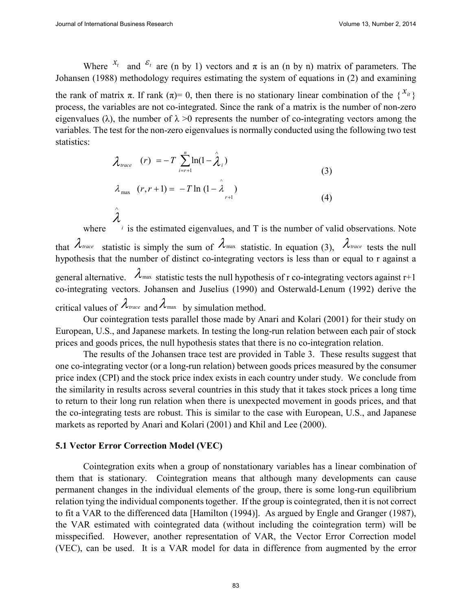Where  $x_i$  and  $\varepsilon_i$  are (n by 1) vectors and  $\pi$  is an (n by n) matrix of parameters. The Johansen (1988) methodology requires estimating the system of equations in (2) and examining the rank of matrix  $\pi$ . If rank  $(\pi) = 0$ , then there is no stationary linear combination of the  $\{x_i\}$ process, the variables are not co-integrated. Since the rank of a matrix is the number of non-zero eigenvalues ( $\lambda$ ), the number of  $\lambda > 0$  represents the number of co-integrating vectors among the variables. The test for the non-zero eigenvalues is normally conducted using the following two test statistics:

$$
\lambda_{trace} \quad (r) = -T \sum_{i=r+1}^{n} \ln(1-\hat{\lambda}_{i})
$$
\n
$$
\lambda_{max} \quad (r, r+1) = -T \ln(1-\hat{\lambda}_{r+1})
$$
\n
$$
(4)
$$

where  $\mu$  is the estimated eigenvalues, and T is the number of valid observations. Note  $\lambda$ that  $\lambda_{\text{trace}}$  statistic is simply the sum of  $\lambda_{\text{max}}$  statistic. In equation (3),  $\lambda_{\text{trace}}$  tests the null hypothesis that the number of distinct co-integrating vectors is less than or equal to r against a general alternative.  $\lambda_{\text{max}}$  statistic tests the null hypothesis of r co-integrating vectors against r+1 co-integrating vectors. Johansen and Juselius (1990) and Osterwald-Lenum (1992) derive the critical values of  $\lambda_{\text{trace}}$  and  $\lambda_{\text{max}}$  by simulation method.

Our cointegration tests parallel those made by Anari and Kolari (2001) for their study on European, U.S., and Japanese markets. In testing the long-run relation between each pair of stock prices and goods prices, the null hypothesis states that there is no co-integration relation.

The results of the Johansen trace test are provided in Table 3. These results suggest that one co-integrating vector (or a long-run relation) between goods prices measured by the consumer price index (CPI) and the stock price index exists in each country under study. We conclude from the similarity in results across several countries in this study that it takes stock prices a long time to return to their long run relation when there is unexpected movement in goods prices, and that the co-integrating tests are robust. This is similar to the case with European, U.S., and Japanese markets as reported by Anari and Kolari (2001) and Khil and Lee (2000).

## **5.1 Vector Error Correction Model (VEC)**

Cointegration exits when a group of nonstationary variables has a linear combination of them that is stationary. Cointegration means that although many developments can cause permanent changes in the individual elements of the group, there is some long-run equilibrium relation tying the individual components together. If the group is cointegrated, then it is not correct to fit a VAR to the differenced data [Hamilton (1994)]. As argued by Engle and Granger (1987), the VAR estimated with cointegrated data (without including the cointegration term) will be misspecified. However, another representation of VAR, the Vector Error Correction model (VEC), can be used. It is a VAR model for data in difference from augmented by the error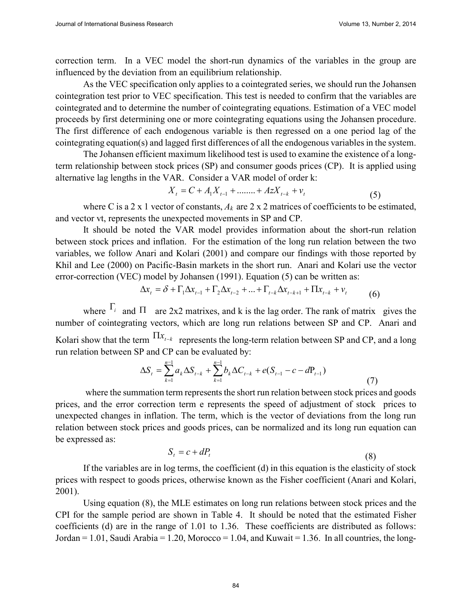correction term. In a VEC model the short-run dynamics of the variables in the group are influenced by the deviation from an equilibrium relationship.

As the VEC specification only applies to a cointegrated series, we should run the Johansen cointegration test prior to VEC specification. This test is needed to confirm that the variables are cointegrated and to determine the number of cointegrating equations. Estimation of a VEC model proceeds by first determining one or more cointegrating equations using the Johansen procedure. The first difference of each endogenous variable is then regressed on a one period lag of the cointegrating equation(s) and lagged first differences of all the endogenous variables in the system.

The Johansen efficient maximum likelihood test is used to examine the existence of a longterm relationship between stock prices (SP) and consumer goods prices (CP). It is applied using alternative lag lengths in the VAR. Consider a VAR model of order k:

$$
X_{t} = C + A_{1}X_{t-1} + \dots + A_{2}X_{t-k} + v_{t}
$$
\n<sup>(5)</sup>

where C is a 2 x 1 vector of constants,  $A_k$  are 2 x 2 matrices of coefficients to be estimated, and vector vt, represents the unexpected movements in SP and CP.

It should be noted the VAR model provides information about the short-run relation between stock prices and inflation. For the estimation of the long run relation between the two variables, we follow Anari and Kolari (2001) and compare our findings with those reported by Khil and Lee (2000) on Pacific-Basin markets in the short run. Anari and Kolari use the vector error-correction (VEC) model by Johansen (1991). Equation (5) can be written as:

$$
\Delta x_{t} = \delta + \Gamma_{1} \Delta x_{t-1} + \Gamma_{2} \Delta x_{t-2} + \dots + \Gamma_{t-k} \Delta x_{t-k+1} + \Pi x_{t-k} + v_{t}
$$
(6)

where  $\Gamma_i$  and  $\Pi$  are 2x2 matrixes, and k is the lag order. The rank of matrix gives the number of cointegrating vectors, which are long run relations between SP and CP. Anari and Kolari show that the term  $\prod x_{t-k}$  represents the long-term relation between SP and CP, and a long run relation between SP and CP can be evaluated by:

$$
\Delta S_t = \sum_{k=1}^{n-1} a_k \Delta S_{t-k} + \sum_{k=1}^{n-1} b_k \Delta C_{t-k} + e(S_{t-1} - c - dP_{t-1})
$$
\n(7)

where the summation term represents the short run relation between stock prices and goods prices, and the error correction term e represents the speed of adjustment of stock prices to unexpected changes in inflation. The term, which is the vector of deviations from the long run relation between stock prices and goods prices, can be normalized and its long run equation can be expressed as:

$$
S_t = c + dP_t \tag{8}
$$

If the variables are in log terms, the coefficient (d) in this equation is the elasticity of stock prices with respect to goods prices, otherwise known as the Fisher coefficient (Anari and Kolari, 2001).

Using equation (8), the MLE estimates on long run relations between stock prices and the CPI for the sample period are shown in Table 4. It should be noted that the estimated Fisher coefficients (d) are in the range of 1.01 to 1.36. These coefficients are distributed as follows: Jordan = 1.01, Saudi Arabia = 1.20, Morocco = 1.04, and Kuwait = 1.36. In all countries, the long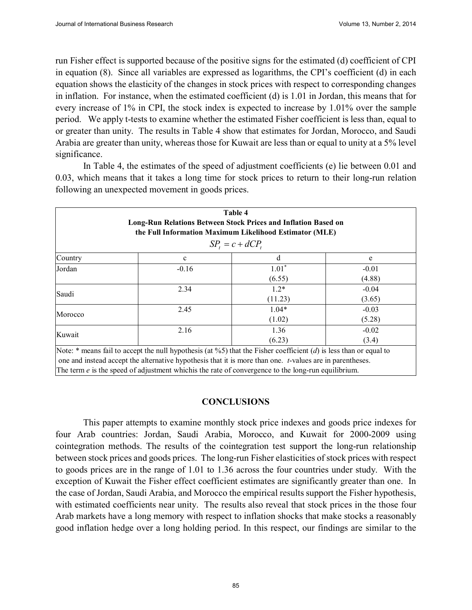run Fisher effect is supported because of the positive signs for the estimated (d) coefficient of CPI in equation (8). Since all variables are expressed as logarithms, the CPI's coefficient (d) in each equation shows the elasticity of the changes in stock prices with respect to corresponding changes in inflation. For instance, when the estimated coefficient (d) is 1.01 in Jordan, this means that for every increase of 1% in CPI, the stock index is expected to increase by 1.01% over the sample period. We apply t-tests to examine whether the estimated Fisher coefficient is less than, equal to or greater than unity. The results in Table 4 show that estimates for Jordan, Morocco, and Saudi Arabia are greater than unity, whereas those for Kuwait are less than or equal to unity at a 5% level significance.

In Table 4, the estimates of the speed of adjustment coefficients (e) lie between 0.01 and 0.03, which means that it takes a long time for stock prices to return to their long-run relation following an unexpected movement in goods prices.

| Table 4<br>Long-Run Relations Between Stock Prices and Inflation Based on<br>the Full Information Maximum Likelihood Estimator (MLE)<br>$SP_t = c + dCP_t$ |              |                                                                                                                                                                                                                                                                                                                                          |                   |  |  |  |  |
|------------------------------------------------------------------------------------------------------------------------------------------------------------|--------------|------------------------------------------------------------------------------------------------------------------------------------------------------------------------------------------------------------------------------------------------------------------------------------------------------------------------------------------|-------------------|--|--|--|--|
| Country                                                                                                                                                    | $\mathbf{c}$ | d                                                                                                                                                                                                                                                                                                                                        | e                 |  |  |  |  |
| Jordan                                                                                                                                                     | $-0.16$      | $1.01*$<br>(6.55)                                                                                                                                                                                                                                                                                                                        | $-0.01$<br>(4.88) |  |  |  |  |
| Saudi                                                                                                                                                      | 2.34         | $1.2*$<br>(11.23)                                                                                                                                                                                                                                                                                                                        | $-0.04$<br>(3.65) |  |  |  |  |
| Morocco                                                                                                                                                    | 2.45         | $1.04*$<br>(1.02)                                                                                                                                                                                                                                                                                                                        | $-0.03$<br>(5.28) |  |  |  |  |
| 2.16<br>1.36<br>$-0.02$<br>Kuwait<br>(6.23)<br>(3.4)                                                                                                       |              |                                                                                                                                                                                                                                                                                                                                          |                   |  |  |  |  |
|                                                                                                                                                            |              | Note: $*$ means fail to accept the null hypothesis (at %5) that the Fisher coefficient (d) is less than or equal to<br>one and instead accept the alternative hypothesis that it is more than one. t-values are in parentheses.<br>The term $e$ is the speed of adjustment which is the rate of convergence to the long-run equilibrium. |                   |  |  |  |  |

#### **CONCLUSIONS**

This paper attempts to examine monthly stock price indexes and goods price indexes for four Arab countries: Jordan, Saudi Arabia, Morocco, and Kuwait for 2000-2009 using cointegration methods. The results of the cointegration test support the long-run relationship between stock prices and goods prices. The long-run Fisher elasticities of stock prices with respect to goods prices are in the range of 1.01 to 1.36 across the four countries under study. With the exception of Kuwait the Fisher effect coefficient estimates are significantly greater than one. In the case of Jordan, Saudi Arabia, and Morocco the empirical results support the Fisher hypothesis, with estimated coefficients near unity. The results also reveal that stock prices in the those four Arab markets have a long memory with respect to inflation shocks that make stocks a reasonably good inflation hedge over a long holding period. In this respect, our findings are similar to the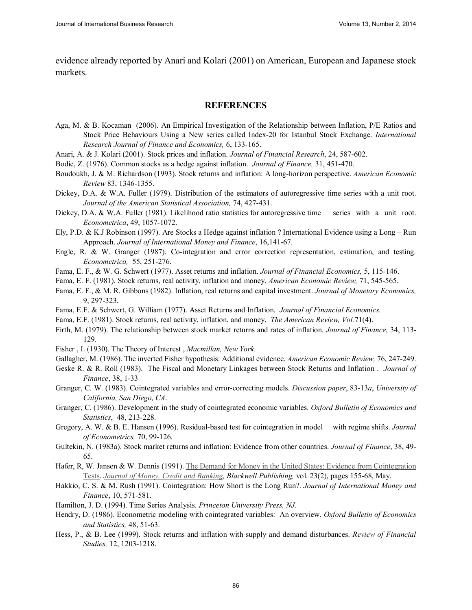evidence already reported by Anari and Kolari (2001) on American, European and Japanese stock markets.

#### **REFERENCES**

- Aga, M. & B. Kocaman (2006). An Empirical Investigation of the Relationship between Inflation, P/E Ratios and Stock Price Behaviours Using a New series called Index-20 for Istanbul Stock Exchange. *International Research Journal of Finance and Economics,* 6, 133-165.
- Anari, A. & J. Kolari (2001). Stock prices and inflation. *Journal of Financial Research*, 24, 587-602.
- Bodie, Z. (1976). Common stocks as a hedge against inflation. *Journal of Finance,* 31, 451-470.
- Boudoukh, J. & M. Richardson (1993). Stock returns and inflation: A long-horizon perspective. *American Economic Review* 83, 1346-1355.
- Dickey, D.A. & W.A. Fuller (1979). Distribution of the estimators of autoregressive time series with a unit root. *Journal of the American Statistical Association,* 74, 427-431.
- Dickey, D.A. & W.A. Fuller (1981). Likelihood ratio statistics for autoregressive time series with a unit root. *Econometrica*, 49, 1057-1072.
- Ely, P.D. & K.J Robinson (1997). Are Stocks a Hedge against inflation ? International Evidence using a Long Run Approach. *Journal of International Money and Finance*, 16,141-67.
- Engle, R. & W. Granger (1987). Co-integration and error correction representation, estimation, and testing. *Econometrica,* 55, 251-276.
- Fama, E. F., & W. G. Schwert (1977). Asset returns and inflation. *Journal of Financial Economics,* 5, 115-146.
- Fama, E. F. (1981). Stock returns, real activity, inflation and money. *American Economic Review,* 71, 545-565.
- Fama, E. F., & M. R. Gibbons (1982). Inflation, real returns and capital investment. *Journal of Monetary Economics,* 9, 297-323.
- Fama, E.F. & Schwert, G. William (1977). Asset Returns and Inflation. *Journal of Financial Economics.*
- Fama, E.F. (1981). Stock returns, real activity, inflation, and money. *The American Review, Vol.*71(4).
- Firth, M. (1979). The relationship between stock market returns and rates of inflation*. Journal of Finance*, 34, 113- 129.
- Fisher , I. (1930). The Theory of Interest , *Macmillan, New York*.
- Gallagher, M. (1986). The inverted Fisher hypothesis: Additional evidence. *American Economic Review,* 76, 247-249.
- Geske R. & R. Roll (1983). The Fiscal and Monetary Linkages between Stock Returns and Inflation . *Journal of Finance*, 38, 1-33
- Granger, C. W. (1983). Cointegrated variables and error-correcting models. *Discussion paper*, 83-13*a*, *University of California, San Diego, CA*.
- Granger, C. (1986). Development in the study of cointegrated economic variables. *Oxford Bulletin of Economics and Statistics*, 48, 213-228.
- Gregory, A. W. & B. E. Hansen (1996). Residual-based test for cointegration in model with regime shifts. *Journal of Econometrics,* 70, 99-126.
- Gultekin, N. (1983a). Stock market returns and inflation: Evidence from other countries. *Journal of Finance*, 38, 49- 65.
- Hafer, R, W. Jansen & W. Dennis (1991). The Demand for Money in the United States: Evidence from Cointegration Tests. *Journal of Money, Credit and Banking, Blackwell Publishing,* vol. 23(2), pages 155-68, May.
- Hakkio, C. S. & M. Rush (1991). Cointegration: How Short is the Long Run?. *Journal of International Money and Finance*, 10, 571-581.
- Hamilton, J. D. (1994). Time Series Analysis. *Princeton University Press, NJ.*
- Hendry, D. (1986). Econometric modeling with cointegrated variables: An overview. *Oxford Bulletin of Economics and Statistics,* 48, 51-63.
- Hess, P., & B. Lee (1999). Stock returns and inflation with supply and demand disturbances. *Review of Financial Studies,* 12, 1203-1218.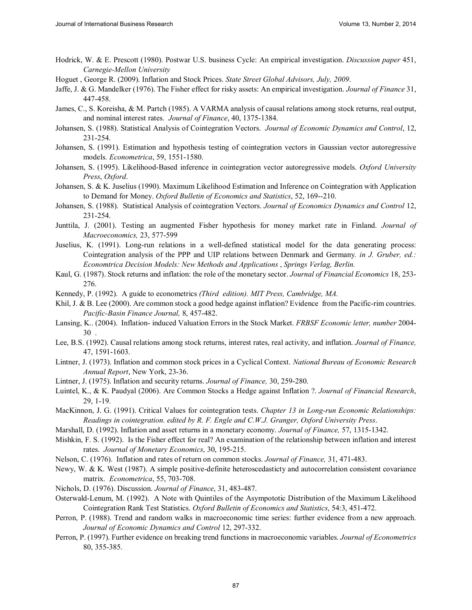- Hodrick, W. & E. Prescott (1980). Postwar U.S. business Cycle: An empirical investigation. *Discussion paper* 451, *Carnegie-Mellon University*
- Hoguet , George R. (2009). Inflation and Stock Prices. *State Street Global Advisors, July, 2009*.
- Jaffe, J. & G. Mandelker (1976). The Fisher effect for risky assets: An empirical investigation. *Journal of Finance* 31, 447-458.
- James, C., S. Koreisha, & M. Partch (1985). A VARMA analysis of causal relations among stock returns, real output, and nominal interest rates. *Journal of Finance*, 40, 1375-1384.
- Johansen, S. (1988). Statistical Analysis of Cointegration Vectors. *Journal of Economic Dynamics and Control*, 12, 231-254.
- Johansen, S. (1991). Estimation and hypothesis testing of cointegration vectors in Gaussian vector autoregressive models. *Econometrica*, 59, 1551-1580.
- Johansen, S. (1995). Likelihood-Based inference in cointegration vector autoregressive models. *Oxford University Press*, *Oxford*.
- Johansen, S. & K. Juselius (1990). Maximum Likelihood Estimation and Inference on Cointegration with Application to Demand for Money. *Oxford Bulletin of Economics and Statistics*, 52, 169--210.
- Johansen, S. (1988). Statistical Analysis of cointegration Vectors. *Journal of Economics Dynamics and Control* 12, 231-254.
- Junttila, J. (2001). Testing an augmented Fisher hypothesis for money market rate in Finland. *Journal of Macroeconomics,* 23, 577-599
- Juselius, K. (1991). Long-run relations in a well-defined statistical model for the data generating process: Cointegration analysis of the PPP and UIP relations between Denmark and Germany*. in J. Gruber, ed.: Economtrica Decision Models: New Methods and Applications* , *Springs Verlag, Berlin.*
- Kaul, G. (1987). Stock returns and inflation: the role of the monetary sector. *Journal of Financial Economics* 18, 253- 276.
- Kennedy, P. (1992). A guide to econometrics *(Third edition). MIT Press, Cambridge, MA.*
- Khil, J. & B. Lee (2000). Are common stock a good hedge against inflation? Evidence from the Pacific-rim countries. *Pacific-Basin Finance Journal,* 8, 457-482.
- Lansing, K.. (2004). Inflation- induced Valuation Errors in the Stock Market. *FRBSF Economic letter, number* 2004- 30 .
- Lee, B.S. (1992). Causal relations among stock returns, interest rates, real activity, and inflation. *Journal of Finance,* 47, 1591-1603.
- Lintner, J. (1973). Inflation and common stock prices in a Cyclical Context. *National Bureau of Economic Research Annual Report*, New York, 23-36.
- Lintner, J. (1975). Inflation and security returns. *Journal of Finance,* 30, 259-280.
- Luintel, K., & K. Paudyal (2006). Are Common Stocks a Hedge against Inflation ?. *Journal of Financial Research*, 29, 1-19.
- MacKinnon, J. G. (1991). Critical Values for cointegration tests. *Chapter 13 in Long-run Economic Relationships: Readings in cointegration. edited by R. F. Engle and C.W.J. Granger, Oxford University Press*.
- Marshall, D. (1992). Inflation and asset returns in a monetary economy. *Journal of Finance,* 57, 1315-1342.
- Mishkin, F. S. (1992). Is the Fisher effect for real? An examination of the relationship between inflation and interest rates. *Journal of Monetary Economics*, 30, 195-215.
- Nelson, C. (1976). Inflation and rates of return on common stocks. *Journal of Finance,* 31, 471-483.
- Newy, W. & K. West (1987). A simple positive-definite heteroscedasticty and autocorrelation consistent covariance matrix. *Econometrica*, 55, 703-708.
- Nichols, D. (1976). Discussion. *Journal of Finance*, 31, 483-487.
- Osterwald-Lenum, M. (1992). A Note with Quintiles of the Asympototic Distribution of the Maximum Likelihood Cointegration Rank Test Statistics. *Oxford Bulletin of Economics and Statistics*, 54:3, 451-472.
- Perron, P. (1988). Trend and random walks in macroeconomic time series: further evidence from a new approach. *Journal of Economic Dynamics and Control* 12, 297-332.
- Perron, P. (1997). Further evidence on breaking trend functions in macroeconomic variables. *Journal of Econometrics* 80, 355-385.